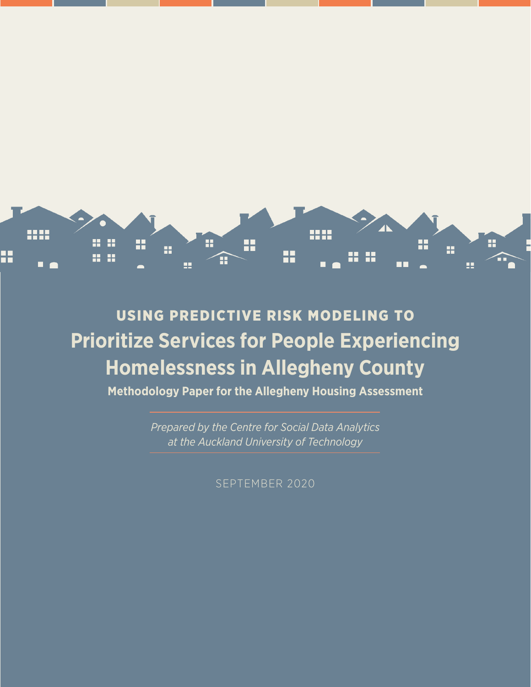

# USING PREDICTIVE RISK MODELING TO **Prioritize Services for People Experiencing Homelessness in Allegheny County**

**Methodology Paper for the Allegheny Housing Assessment**

*Prepared by the Centre for Social Data Analytics at the Auckland University of Technology*

SEPTEMBER 2020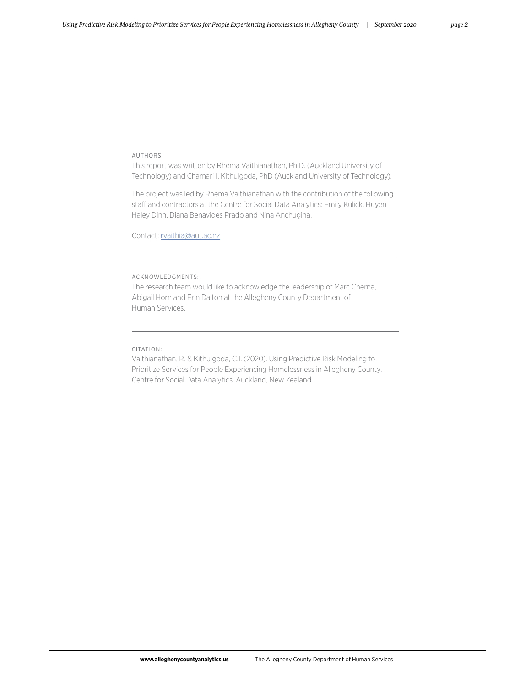#### AUTHORS

This report was written by Rhema Vaithianathan, Ph.D. (Auckland University of Technology) and Chamari I. Kithulgoda, PhD (Auckland University of Technology).

The project was led by Rhema Vaithianathan with the contribution of the following staff and contractors at the Centre for Social Data Analytics: Emily Kulick, Huyen Haley Dinh, Diana Benavides Prado and Nina Anchugina.

Contact: [rvaithia@aut.ac.nz](mailto:rvaithia@aut.ac.nz)

#### ACKNOWLEDGMENTS:

The research team would like to acknowledge the leadership of Marc Cherna, Abigail Horn and Erin Dalton at the Allegheny County Department of Human Services.

#### CITATION:

Vaithianathan, R. & Kithulgoda, C.I. (2020). Using Predictive Risk Modeling to Prioritize Services for People Experiencing Homelessness in Allegheny County. Centre for Social Data Analytics. Auckland, New Zealand.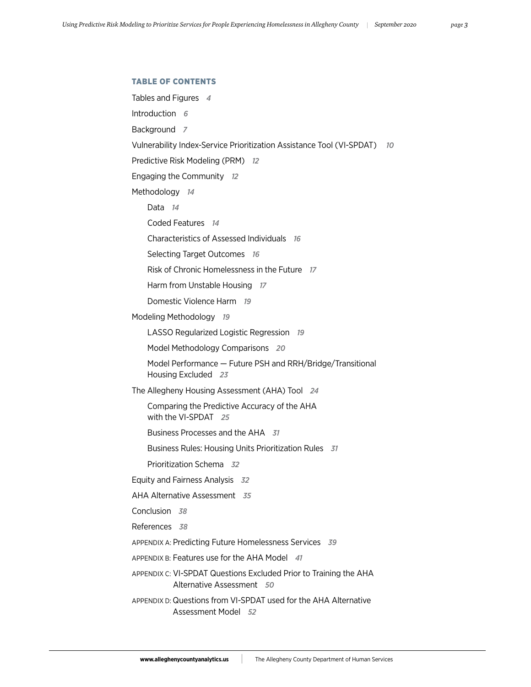# TABLE OF CONTENTS

```
Tables and Figures 4
Introduction 6
Background 7
Vulnerability Index-Service Prioritization Assistance Tool (VI-SPDAT)  10
Predictive Risk Modeling (PRM) 12
Engaging the Community 12
Methodology 14
    Data 14
    Coded Features 14
    Characteristics of Assessed Individuals 16
    Selecting Target Outcomes 16
    Risk of Chronic Homelessness in the Future 17
    Harm from Unstable Housing 17
    Domestic Violence Harm 19
Modeling Methodology 19
    LASSO Regularized Logistic Regression 19
    Model Methodology Comparisons 20
     Model Performance — Future PSH and RRH/Bridge/Transitional 
    Housing Excluded 23
The Allegheny Housing Assessment (AHA) Tool 24
     Comparing the Predictive Accuracy of the AHA 
    with the VI-SPDAT 25
    Business Processes and the AHA 31
    Business Rules: Housing Units Prioritization Rules 31
    Prioritization Schema 32
Equity and Fairness Analysis 32
AHA Alternative Assessment 35
Conclusion 38
References 38
APPENDIX A: Predicting Future Homelessness Services 39
APPENDIX B: Features use for the AHA Model 41
APPENDIX C: VI-SPDAT Questions Excluded Prior to Training the AHA 
          Alternative Assessment 50
APPENDIX D: Questions from VI-SPDAT used for the AHA Alternative 
          Assessment Model 52
```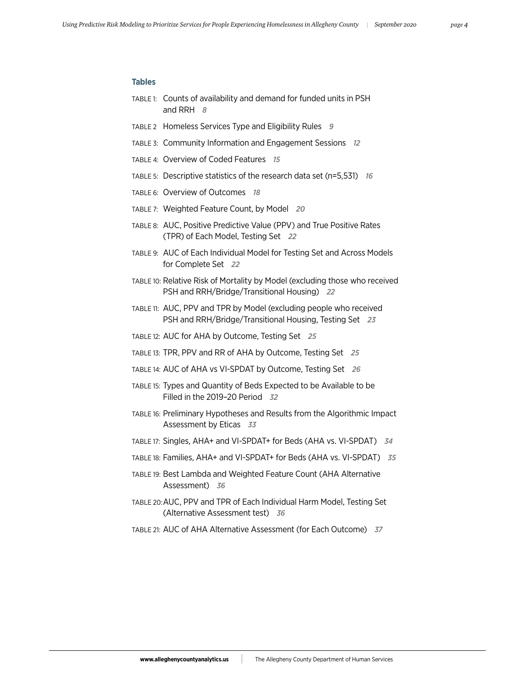# **Tables**

- TABLE 1: Counts of availability and demand for funded units in PSH and RRH *8*
- TABLE 2 Homeless Services Type and Eligibility Rules *9*
- TABLE 3: Community Information and Engagement Sessions *12*
- TABLE 4: Overview of Coded Features *15*
- TABLE 5: Descriptive statistics of the research data set (n=5,531) *16*
- TABLE 6: Overview of Outcomes *18*
- TABLE 7: Weighted Feature Count, by Model *20*
- TABLE 8: AUC, Positive Predictive Value (PPV) and True Positive Rates (TPR) of Each Model, Testing Set *22*
- TABLE 9: AUC of Each Individual Model for Testing Set and Across Models for Complete Set *22*
- TABLE 10: Relative Risk of Mortality by Model (excluding those who received PSH and RRH/Bridge/Transitional Housing) *22*
- TABLE 11: AUC, PPV and TPR by Model (excluding people who received PSH and RRH/Bridge/Transitional Housing, Testing Set *23*
- TABLE 12: AUC for AHA by Outcome, Testing Set *25*
- TABLE 13: TPR, PPV and RR of AHA by Outcome, Testing Set *25*
- TABLE 14: AUC of AHA vs VI-SPDAT by Outcome, Testing Set *26*
- TABLE 15: Types and Quantity of Beds Expected to be Available to be Filled in the 2019–20 Period *32*
- TABLE 16: Preliminary Hypotheses and Results from the Algorithmic Impact Assessment by Eticas *33*
- TABLE 17: Singles, AHA+ and VI-SPDAT+ for Beds (AHA vs. VI-SPDAT) *34*
- TABLE 18: Families, AHA+ and VI-SPDAT+ for Beds (AHA vs. VI-SPDAT) *35*
- TABLE 19: Best Lambda and Weighted Feature Count (AHA Alternative Assessment) *36*
- TABLE 20: AUC, PPV and TPR of Each Individual Harm Model, Testing Set (Alternative Assessment test) *36*
- TABLE 21: AUC of AHA Alternative Assessment (for Each Outcome) *37*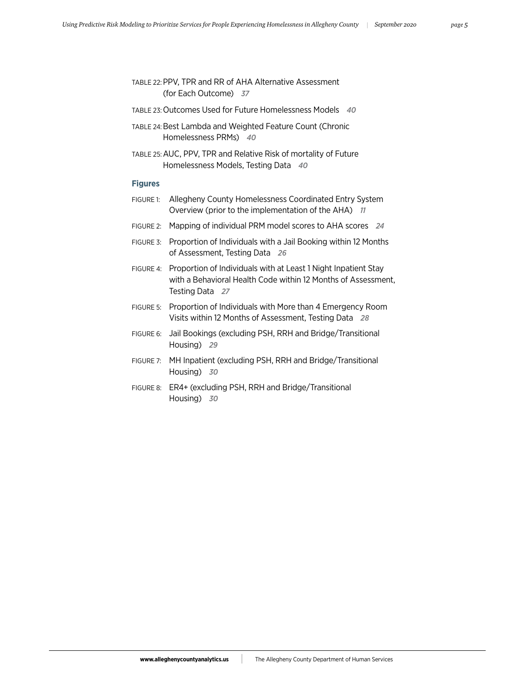| TABLE 22: PPV, TPR and RR of AHA Alternative Assessment |  |
|---------------------------------------------------------|--|
| (for Each Outcome) 37                                   |  |

- TABLE 23: Outcomes Used for Future Homelessness Models *40*
- TABLE 24: Best Lambda and Weighted Feature Count (Chronic Homelessness PRMs) *40*
- TABLE 25: AUC, PPV, TPR and Relative Risk of mortality of Future Homelessness Models, Testing Data *40*

# **Figures**

- FIGURE 1: Allegheny County Homelessness Coordinated Entry System Overview (prior to the implementation of the AHA) *11*
- FIGURE 2: Mapping of individual PRM model scores to AHA scores *24*
- FIGURE 3: Proportion of Individuals with a Jail Booking within 12 Months of Assessment, Testing Data *26*
- FIGURE 4: Proportion of Individuals with at Least 1 Night Inpatient Stay with a Behavioral Health Code within 12 Months of Assessment, Testing Data *27*
- FIGURE 5: Proportion of Individuals with More than 4 Emergency Room Visits within 12 Months of Assessment, Testing Data *28*
- FIGURE 6: Jail Bookings (excluding PSH, RRH and Bridge/Transitional Housing) *29*
- FIGURE 7: MH Inpatient (excluding PSH, RRH and Bridge/Transitional Housing) *30*
- FIGURE 8: ER4+ (excluding PSH, RRH and Bridge/Transitional Housing) *30*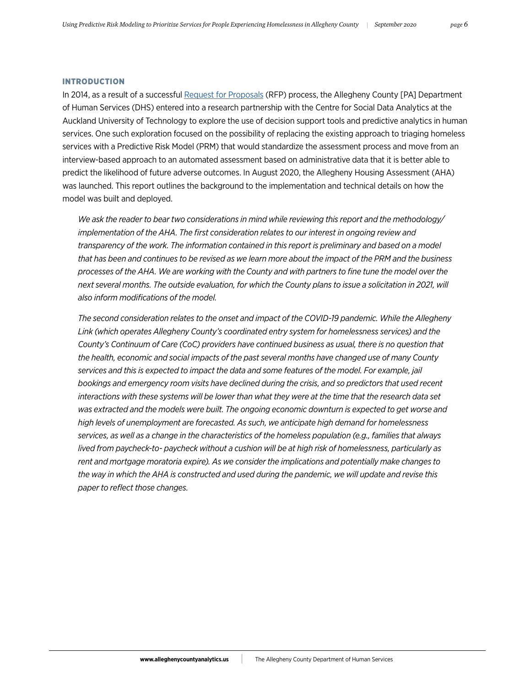#### INTRODUCTION

In 2014, as a result of a successful [Request for Proposals](https://www.alleghenycounty.us/Human-Services/Resources/Doing-Business/Solicitations/Archive.aspx) (RFP) process, the Allegheny County [PA] Department of Human Services (DHS) entered into a research partnership with the Centre for Social Data Analytics at the Auckland University of Technology to explore the use of decision support tools and predictive analytics in human services. One such exploration focused on the possibility of replacing the existing approach to triaging homeless services with a Predictive Risk Model (PRM) that would standardize the assessment process and move from an interview-based approach to an automated assessment based on administrative data that it is better able to predict the likelihood of future adverse outcomes. In August 2020, the Allegheny Housing Assessment (AHA) was launched. This report outlines the background to the implementation and technical details on how the model was built and deployed.

*We ask the reader to bear two considerations in mind while reviewing this report and the methodology/ implementation of the AHA. The first consideration relates to our interest in ongoing review and transparency of the work. The information contained in this report is preliminary and based on a model that has been and continues to be revised as we learn more about the impact of the PRM and the business processes of the AHA. We are working with the County and with partners to fine tune the model over the next several months. The outside evaluation, for which the County plans to issue a solicitation in 2021, will also inform modifications of the model.*

*The second consideration relates to the onset and impact of the COVID-19 pandemic. While the Allegheny Link (which operates Allegheny County's coordinated entry system for homelessness services) and the County's Continuum of Care (CoC) providers have continued business as usual, there is no question that the health, economic and social impacts of the past several months have changed use of many County services and this is expected to impact the data and some features of the model. For example, jail bookings and emergency room visits have declined during the crisis, and so predictors that used recent interactions with these systems will be lower than what they were at the time that the research data set*  was extracted and the models were built. The ongoing economic downturn is expected to get worse and *high levels of unemployment are forecasted. As such, we anticipate high demand for homelessness services, as well as a change in the characteristics of the homeless population (e.g., families that always lived from paycheck-to- paycheck without a cushion will be at high risk of homelessness, particularly as rent and mortgage moratoria expire). As we consider the implications and potentially make changes to the way in which the AHA is constructed and used during the pandemic, we will update and revise this paper to reflect those changes.*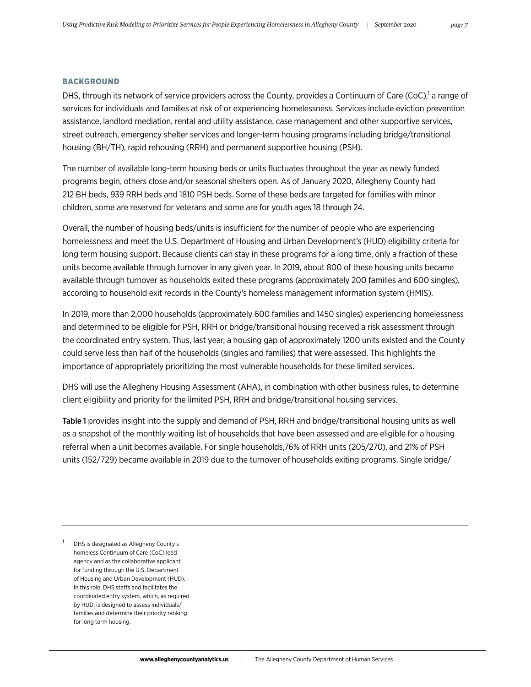#### BACKGROUND

DHS, through its network of service providers across the County, provides a Continuum of Care (CoC),<sup>1</sup> a range of services for individuals and families at risk of or experiencing homelessness. Services include eviction prevention assistance, landlord mediation, rental and utility assistance, case management and other supportive services, street outreach, emergency shelter services and longer-term housing programs including bridge/transitional housing (BH/TH), rapid rehousing (RRH) and permanent supportive housing (PSH).

The number of available long-term housing beds or units fluctuates throughout the year as newly funded programs begin, others close and/or seasonal shelters open. As of January 2020, Allegheny County had 212 BH beds, 939 RRH beds and 1810 PSH beds. Some of these beds are targeted for families with minor children, some are reserved for veterans and some are for youth ages 18 through 24.

Overall, the number of housing beds/units is insufficient for the number of people who are experiencing homelessness and meet the U.S. Department of Housing and Urban Development's (HUD) eligibility criteria for long term housing support. Because clients can stay in these programs for a long time, only a fraction of these units become available through turnover in any given year. In 2019, about 800 of these housing units became available through turnover as households exited these programs (approximately 200 families and 600 singles), according to household exit records in the County's homeless management information system (HMIS).

In 2019, more than 2,000 households (approximately 600 families and 1450 singles) experiencing homelessness and determined to be eligible for PSH, RRH or bridge/transitional housing received a risk assessment through the coordinated entry system. Thus, last year, a housing gap of approximately 1200 units existed and the County could serve less than half of the households (singles and families) that were assessed. This highlights the importance of appropriately prioritizing the most vulnerable households for these limited services.

DHS will use the Allegheny Housing Assessment (AHA), in combination with other business rules, to determine client eligibility and priority for the limited PSH, RRH and bridge/transitional housing services.

Table 1 provides insight into the supply and demand of PSH, RRH and bridge/transitional housing units as well as a snapshot of the monthly waiting list of households that have been assessed and are eligible for a housing referral when a unit becomes available. For single households,76% of RRH units (205/270), and 21% of PSH units (152/729) became available in 2019 due to the turnover of households exiting programs. Single bridge/

DHS is designated as Allegheny County's homeless Continuum of Care (CoC) lead agency and as the collaborative applicant for funding through the U.S. Department of Housing and Urban Development (HUD). In this role, DHS staffs and facilitates the coordinated entry system, which, as required by HUD, is designed to assess individuals/ families and determine their priority ranking for long term housing.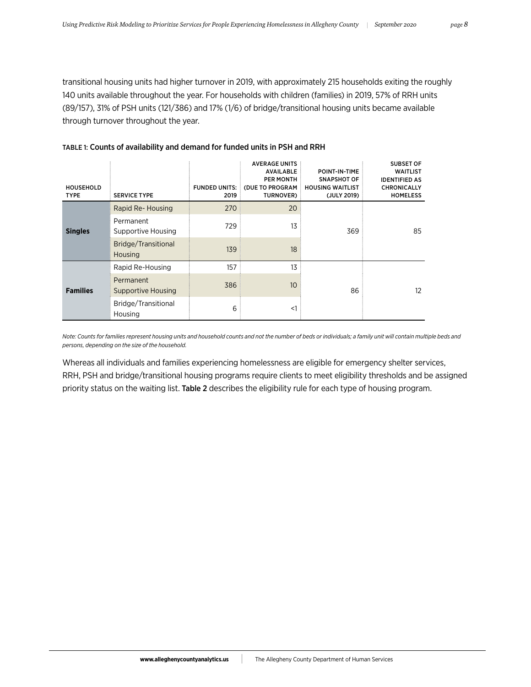transitional housing units had higher turnover in 2019, with approximately 215 households exiting the roughly 140 units available throughout the year. For households with children (families) in 2019, 57% of RRH units (89/157), 31% of PSH units (121/386) and 17% (1/6) of bridge/transitional housing units became available through turnover throughout the year.

| <b>HOUSEHOLD</b><br><b>TYPE</b> | <b>SERVICE TYPE</b>             | <b>FUNDED UNITS:</b><br>2019 | <b>AVERAGE UNITS</b><br><b>AVAILABLE</b><br><b>PER MONTH</b><br>(DUE TO PROGRAM<br>TURNOVER) | POINT-IN-TIME<br>SNAPSHOT OF<br><b>HOUSING WAITLIST</b><br>(JULY 2019) | <b>SUBSET OF</b><br><b>WAITLIST</b><br><b>IDENTIFIED AS</b><br><b>CHRONICALLY</b><br><b>HOMELESS</b> |
|---------------------------------|---------------------------------|------------------------------|----------------------------------------------------------------------------------------------|------------------------------------------------------------------------|------------------------------------------------------------------------------------------------------|
|                                 | Rapid Re-Housing                | 270                          | 20                                                                                           | 369                                                                    |                                                                                                      |
| <b>Singles</b>                  | Permanent<br>Supportive Housing | 729                          | 13                                                                                           |                                                                        | 85                                                                                                   |
|                                 | Bridge/Transitional<br>Housing  | 139                          | 18                                                                                           |                                                                        |                                                                                                      |
|                                 | Rapid Re-Housing                | 157                          | 13                                                                                           |                                                                        |                                                                                                      |
| <b>Families</b>                 | Permanent<br>Supportive Housing | 386                          | 10                                                                                           | 86                                                                     | $12 \overline{ }$                                                                                    |
|                                 | Bridge/Transitional<br>Housing  | 6                            | $<$ 1                                                                                        |                                                                        |                                                                                                      |

# TABLE 1: Counts of availability and demand for funded units in PSH and RRH

*Note: Counts for families represent housing units and household counts and not the number of beds or individuals; a family unit will contain multiple beds and persons, depending on the size of the household.*

Whereas all individuals and families experiencing homelessness are eligible for emergency shelter services, RRH, PSH and bridge/transitional housing programs require clients to meet eligibility thresholds and be assigned priority status on the waiting list. Table 2 describes the eligibility rule for each type of housing program.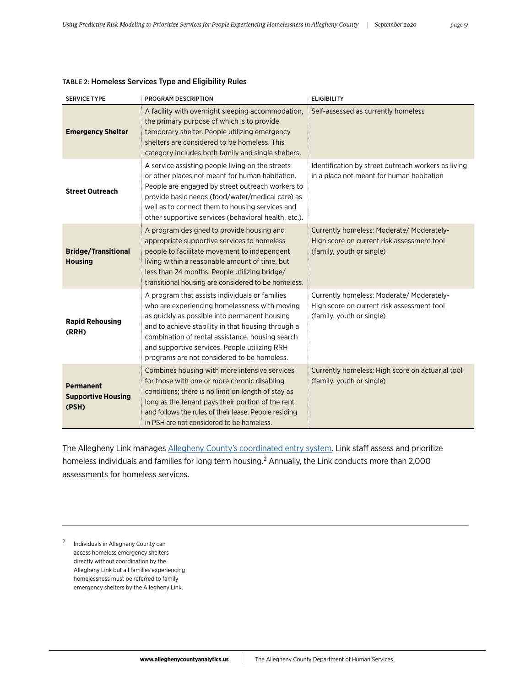| <b>SERVICE TYPE</b>                                    | PROGRAM DESCRIPTION                                                                                                                                                                                                                                                                                                                                        | <b>ELIGIBILITY</b>                                                                                                   |
|--------------------------------------------------------|------------------------------------------------------------------------------------------------------------------------------------------------------------------------------------------------------------------------------------------------------------------------------------------------------------------------------------------------------------|----------------------------------------------------------------------------------------------------------------------|
| <b>Emergency Shelter</b>                               | A facility with overnight sleeping accommodation,<br>the primary purpose of which is to provide<br>temporary shelter. People utilizing emergency<br>shelters are considered to be homeless. This<br>category includes both family and single shelters.                                                                                                     | Self-assessed as currently homeless                                                                                  |
| <b>Street Outreach</b>                                 | A service assisting people living on the streets<br>or other places not meant for human habitation.<br>People are engaged by street outreach workers to<br>provide basic needs (food/water/medical care) as<br>well as to connect them to housing services and<br>other supportive services (behavioral health, etc.).                                     | Identification by street outreach workers as living<br>in a place not meant for human habitation                     |
| <b>Bridge/Transitional</b><br><b>Housing</b>           | A program designed to provide housing and<br>appropriate supportive services to homeless<br>people to facilitate movement to independent<br>living within a reasonable amount of time, but<br>less than 24 months. People utilizing bridge/<br>transitional housing are considered to be homeless.                                                         | Currently homeless: Moderate/Moderately-<br>High score on current risk assessment tool<br>(family, youth or single)  |
| <b>Rapid Rehousing</b><br>(RRH)                        | A program that assists individuals or families<br>who are experiencing homelessness with moving<br>as quickly as possible into permanent housing<br>and to achieve stability in that housing through a<br>combination of rental assistance, housing search<br>and supportive services. People utilizing RRH<br>programs are not considered to be homeless. | Currently homeless: Moderate/ Moderately-<br>High score on current risk assessment tool<br>(family, youth or single) |
| <b>Permanent</b><br><b>Supportive Housing</b><br>(PSH) | Combines housing with more intensive services<br>for those with one or more chronic disabling<br>conditions; there is no limit on length of stay as<br>long as the tenant pays their portion of the rent<br>and follows the rules of their lease. People residing<br>in PSH are not considered to be homeless.                                             | Currently homeless: High score on actuarial tool<br>(family, youth or single)                                        |

# TABLE 2: Homeless Services Type and Eligibility Rules

The Allegheny Link manages [Allegheny County's coordinated entry system.](https://www.alleghenycounty.us/Human-Services/Programs-Services/Basic-Needs/Housing-and-Homeless/Homeless-Services.aspx) Link staff assess and prioritize homeless individuals and families for long term housing.<sup>2</sup> Annually, the Link conducts more than 2,000 assessments for homeless services.

<sup>2</sup> Individuals in Allegheny County can access homeless emergency shelters directly without coordination by the Allegheny Link but all families experiencing homelessness must be referred to family emergency shelters by the Allegheny Link.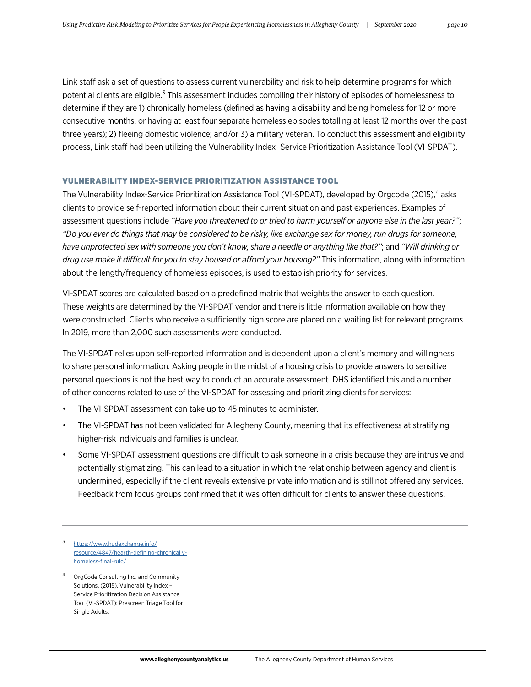Link staff ask a set of questions to assess current vulnerability and risk to help determine programs for which potential clients are eligible.<sup>3</sup> This assessment includes compiling their history of episodes of homelessness to determine if they are 1) chronically homeless (defined as having a disability and being homeless for 12 or more consecutive months, or having at least four separate homeless episodes totalling at least 12 months over the past three years); 2) fleeing domestic violence; and/or 3) a military veteran. To conduct this assessment and eligibility process, Link staff had been utilizing the Vulnerability Index- Service Prioritization Assistance Tool (VI-SPDAT).

### VULNERABILITY INDEX-SERVICE PRIORITIZATION ASSISTANCE TOOL

The Vulnerability Index-Service Prioritization Assistance Tool (VI-SPDAT), developed by Orgcode (2015),<sup>4</sup> asks clients to provide self-reported information about their current situation and past experiences. Examples of assessment questions include *"Have you threatened to or tried to harm yourself or anyone else in the last year?"*; *"Do you ever do things that may be considered to be risky, like exchange sex for money, run drugs for someone, have unprotected sex with someone you don't know, share a needle or anything like that?"*; and *"Will drinking or drug use make it difficult for you to stay housed or afford your housing?"* This information, along with information about the length/frequency of homeless episodes, is used to establish priority for services.

VI-SPDAT scores are calculated based on a predefined matrix that weights the answer to each question. These weights are determined by the VI-SPDAT vendor and there is little information available on how they were constructed. Clients who receive a sufficiently high score are placed on a waiting list for relevant programs. In 2019, more than 2,000 such assessments were conducted.

The VI-SPDAT relies upon self-reported information and is dependent upon a client's memory and willingness to share personal information. Asking people in the midst of a housing crisis to provide answers to sensitive personal questions is not the best way to conduct an accurate assessment. DHS identified this and a number of other concerns related to use of the VI-SPDAT for assessing and prioritizing clients for services:

- The VI-SPDAT assessment can take up to 45 minutes to administer.
- The VI-SPDAT has not been validated for Allegheny County, meaning that its effectiveness at stratifying higher-risk individuals and families is unclear.
- Some VI-SPDAT assessment questions are difficult to ask someone in a crisis because they are intrusive and potentially stigmatizing. This can lead to a situation in which the relationship between agency and client is undermined, especially if the client reveals extensive private information and is still not offered any services. Feedback from focus groups confirmed that it was often difficult for clients to answer these questions.
- [https://www.hudexchange.info/](https://www.hudexchange.info/resource/4847/hearth-defining-chronically-homeless-final-rule/) [resource/4847/hearth-defining-chronically](https://www.hudexchange.info/resource/4847/hearth-defining-chronically-homeless-final-rule/)[homeless-final-rule/](https://www.hudexchange.info/resource/4847/hearth-defining-chronically-homeless-final-rule/)
- OrgCode Consulting Inc. and Community Solutions. (2015). Vulnerability Index – Service Prioritization Decision Assistance Tool (VI-SPDAT): Prescreen Triage Tool for Single Adults.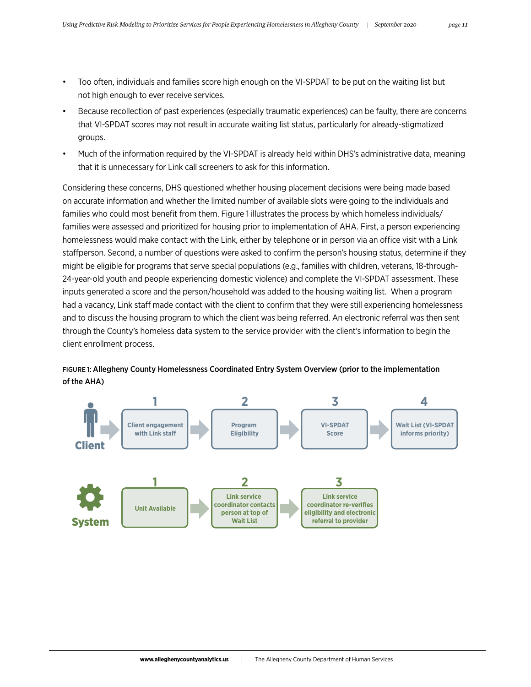- Too often, individuals and families score high enough on the VI-SPDAT to be put on the waiting list but not high enough to ever receive services.
- Because recollection of past experiences (especially traumatic experiences) can be faulty, there are concerns that VI-SPDAT scores may not result in accurate waiting list status, particularly for already-stigmatized groups.
- Much of the information required by the VI-SPDAT is already held within DHS's administrative data, meaning that it is unnecessary for Link call screeners to ask for this information.

Considering these concerns, DHS questioned whether housing placement decisions were being made based on accurate information and whether the limited number of available slots were going to the individuals and families who could most benefit from them. Figure 1 illustrates the process by which homeless individuals/ families were assessed and prioritized for housing prior to implementation of AHA. First, a person experiencing homelessness would make contact with the Link, either by telephone or in person via an office visit with a Link staffperson. Second, a number of questions were asked to confirm the person's housing status, determine if they might be eligible for programs that serve special populations (e.g., families with children, veterans, 18-through-24-year-old youth and people experiencing domestic violence) and complete the VI-SPDAT assessment. These inputs generated a score and the person/household was added to the housing waiting list. When a program had a vacancy, Link staff made contact with the client to confirm that they were still experiencing homelessness and to discuss the housing program to which the client was being referred. An electronic referral was then sent through the County's homeless data system to the service provider with the client's information to begin the client enrollment process.



FIGURE 1: Allegheny County Homelessness Coordinated Entry System Overview (prior to the implementation of the AHA)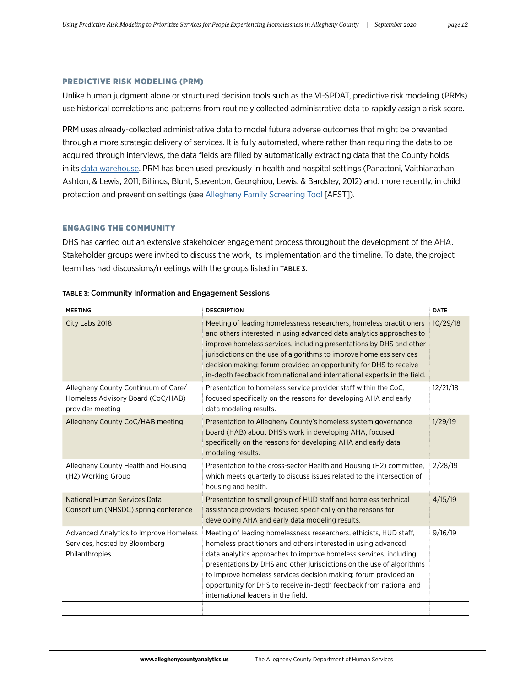#### PREDICTIVE RISK MODELING (PRM)

Unlike human judgment alone or structured decision tools such as the VI-SPDAT, predictive risk modeling (PRMs) use historical correlations and patterns from routinely collected administrative data to rapidly assign a risk score.

PRM uses already-collected administrative data to model future adverse outcomes that might be prevented through a more strategic delivery of services. It is fully automated, where rather than requiring the data to be acquired through interviews, the data fields are filled by automatically extracting data that the County holds in its [data warehouse](https://www.alleghenycountyanalytics.us/index.php/dhs-data-warehouse/). PRM has been used previously in health and hospital settings (Panattoni, Vaithianathan, Ashton, & Lewis, 2011; Billings, Blunt, Steventon, Georghiou, Lewis, & Bardsley, 2012) and. more recently, in child protection and prevention settings (see [Allegheny Family Screening Tool](https://www.alleghenycountyanalytics.us/index.php/2019/05/01/developing-predictive-risk-models-support-child-maltreatment-hotline-screening-decisions/) [AFST]).

### ENGAGING THE COMMUNITY

DHS has carried out an extensive stakeholder engagement process throughout the development of the AHA. Stakeholder groups were invited to discuss the work, its implementation and the timeline. To date, the project team has had discussions/meetings with the groups listed in TABLE 3.

| <b>MEETING</b>                                                                               | <b>DESCRIPTION</b>                                                                                                                                                                                                                                                                                                                                                                                                                                                 | <b>DATE</b> |
|----------------------------------------------------------------------------------------------|--------------------------------------------------------------------------------------------------------------------------------------------------------------------------------------------------------------------------------------------------------------------------------------------------------------------------------------------------------------------------------------------------------------------------------------------------------------------|-------------|
| City Labs 2018                                                                               | Meeting of leading homelessness researchers, homeless practitioners<br>and others interested in using advanced data analytics approaches to<br>improve homeless services, including presentations by DHS and other<br>jurisdictions on the use of algorithms to improve homeless services<br>decision making; forum provided an opportunity for DHS to receive<br>in-depth feedback from national and international experts in the field.                          | 10/29/18    |
| Allegheny County Continuum of Care/<br>Homeless Advisory Board (CoC/HAB)<br>provider meeting | Presentation to homeless service provider staff within the CoC,<br>focused specifically on the reasons for developing AHA and early<br>data modeling results.                                                                                                                                                                                                                                                                                                      | 12/21/18    |
| Allegheny County CoC/HAB meeting                                                             | Presentation to Allegheny County's homeless system governance<br>board (HAB) about DHS's work in developing AHA, focused<br>specifically on the reasons for developing AHA and early data<br>modeling results.                                                                                                                                                                                                                                                     | 1/29/19     |
| Allegheny County Health and Housing<br>(H2) Working Group                                    | Presentation to the cross-sector Health and Housing (H2) committee,<br>which meets quarterly to discuss issues related to the intersection of<br>housing and health.                                                                                                                                                                                                                                                                                               | 2/28/19     |
| National Human Services Data<br>Consortium (NHSDC) spring conference                         | Presentation to small group of HUD staff and homeless technical<br>assistance providers, focused specifically on the reasons for<br>developing AHA and early data modeling results.                                                                                                                                                                                                                                                                                | 4/15/19     |
| Advanced Analytics to Improve Homeless<br>Services, hosted by Bloomberg<br>Philanthropies    | Meeting of leading homelessness researchers, ethicists, HUD staff,<br>homeless practitioners and others interested in using advanced<br>data analytics approaches to improve homeless services, including<br>presentations by DHS and other jurisdictions on the use of algorithms<br>to improve homeless services decision making; forum provided an<br>opportunity for DHS to receive in-depth feedback from national and<br>international leaders in the field. | 9/16/19     |

#### TABLE 3: Community Information and Engagement Sessions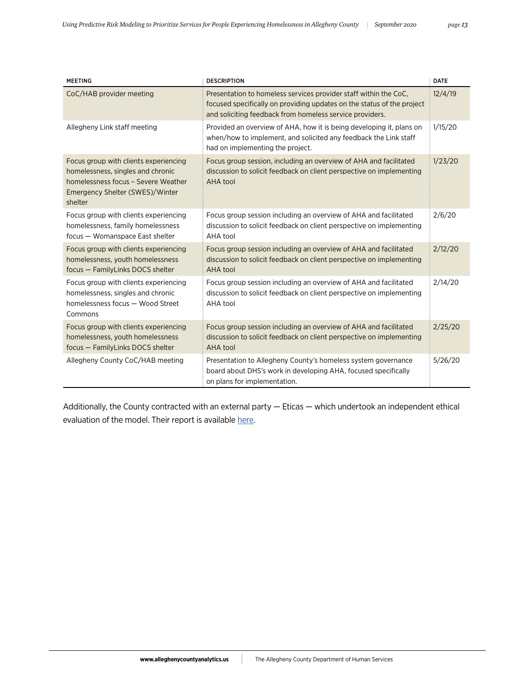| <b>MEETING</b>                                                                                                                                                  | <b>DESCRIPTION</b>                                                                                                                                                                                     | <b>DATE</b> |
|-----------------------------------------------------------------------------------------------------------------------------------------------------------------|--------------------------------------------------------------------------------------------------------------------------------------------------------------------------------------------------------|-------------|
| CoC/HAB provider meeting                                                                                                                                        | Presentation to homeless services provider staff within the CoC.<br>focused specifically on providing updates on the status of the project<br>and soliciting feedback from homeless service providers. | 12/4/19     |
| Allegheny Link staff meeting                                                                                                                                    | Provided an overview of AHA, how it is being developing it, plans on<br>when/how to implement, and solicited any feedback the Link staff<br>had on implementing the project.                           | 1/15/20     |
| Focus group with clients experiencing<br>homelessness, singles and chronic<br>homelessness focus - Severe Weather<br>Emergency Shelter (SWES)/Winter<br>shelter | Focus group session, including an overview of AHA and facilitated<br>discussion to solicit feedback on client perspective on implementing<br>AHA tool                                                  | 1/23/20     |
| Focus group with clients experiencing<br>homelessness, family homelessness<br>focus - Womanspace East shelter                                                   | Focus group session including an overview of AHA and facilitated<br>discussion to solicit feedback on client perspective on implementing<br>AHA tool                                                   | 2/6/20      |
| Focus group with clients experiencing<br>homelessness, youth homelessness<br>focus - FamilyLinks DOCS shelter                                                   | Focus group session including an overview of AHA and facilitated<br>discussion to solicit feedback on client perspective on implementing<br>AHA tool                                                   | 2/12/20     |
| Focus group with clients experiencing<br>homelessness, singles and chronic<br>homelessness focus - Wood Street<br>Commons                                       | Focus group session including an overview of AHA and facilitated<br>discussion to solicit feedback on client perspective on implementing<br>AHA tool                                                   | 2/14/20     |
| Focus group with clients experiencing<br>homelessness, youth homelessness<br>focus - FamilyLinks DOCS shelter                                                   | Focus group session including an overview of AHA and facilitated<br>discussion to solicit feedback on client perspective on implementing<br>AHA tool                                                   | 2/25/20     |
| Allegheny County CoC/HAB meeting                                                                                                                                | Presentation to Allegheny County's homeless system governance<br>board about DHS's work in developing AHA, focused specifically<br>on plans for implementation.                                        | 5/26/20     |

Additionally, the County contracted with an external party — Eticas — which undertook an independent ethical evaluation of the model. Their report is available [here](http://www.alleghenycountyanalytics.us/wp-content/uploads/2020/08/Eticas-assessment.pdf).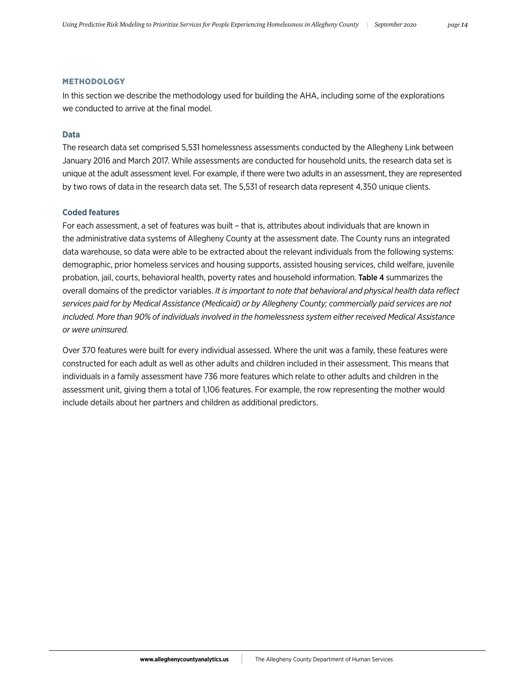#### METHODOLOGY

In this section we describe the methodology used for building the AHA, including some of the explorations we conducted to arrive at the final model.

### **Data**

The research data set comprised 5,531 homelessness assessments conducted by the Allegheny Link between January 2016 and March 2017. While assessments are conducted for household units, the research data set is unique at the adult assessment level. For example, if there were two adults in an assessment, they are represented by two rows of data in the research data set. The 5,531 of research data represent 4,350 unique clients.

# **Coded features**

For each assessment, a set of features was built – that is, attributes about individuals that are known in the administrative data systems of Allegheny County at the assessment date. The County runs an integrated data warehouse, so data were able to be extracted about the relevant individuals from the following systems: demographic, prior homeless services and housing supports, assisted housing services, child welfare, juvenile probation, jail, courts, behavioral health, poverty rates and household information. Table 4 summarizes the overall domains of the predictor variables. *It is important to note that behavioral and physical health data reflect services paid for by Medical Assistance (Medicaid) or by Allegheny County; commercially paid services are not included. More than 90% of individuals involved in the homelessness system either received Medical Assistance or were uninsured.*

Over 370 features were built for every individual assessed. Where the unit was a family, these features were constructed for each adult as well as other adults and children included in their assessment. This means that individuals in a family assessment have 736 more features which relate to other adults and children in the assessment unit, giving them a total of 1,106 features. For example, the row representing the mother would include details about her partners and children as additional predictors.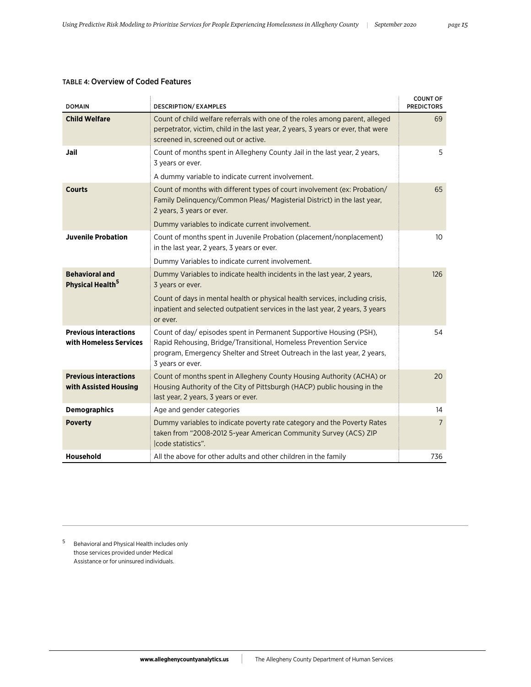| <b>TABLE 4: Overview of Coded Features</b> |
|--------------------------------------------|
|--------------------------------------------|

| <b>DOMAIN</b>                                          | <b>DESCRIPTION/ EXAMPLES</b>                                                                                                                                                                                                              | <b>COUNT OF</b><br><b>PREDICTORS</b> |
|--------------------------------------------------------|-------------------------------------------------------------------------------------------------------------------------------------------------------------------------------------------------------------------------------------------|--------------------------------------|
| <b>Child Welfare</b>                                   | Count of child welfare referrals with one of the roles among parent, alleged<br>perpetrator, victim, child in the last year, 2 years, 3 years or ever, that were<br>screened in, screened out or active.                                  | 69                                   |
| Jail                                                   | Count of months spent in Allegheny County Jail in the last year, 2 years,<br>3 years or ever.                                                                                                                                             | 5                                    |
|                                                        | A dummy variable to indicate current involvement.                                                                                                                                                                                         |                                      |
| <b>Courts</b>                                          | Count of months with different types of court involvement (ex: Probation/<br>Family Delinquency/Common Pleas/ Magisterial District) in the last year,<br>2 years, 3 years or ever.                                                        | 65                                   |
|                                                        | Dummy variables to indicate current involvement.                                                                                                                                                                                          |                                      |
| <b>Juvenile Probation</b>                              | Count of months spent in Juvenile Probation (placement/nonplacement)<br>in the last year, 2 years, 3 years or ever.                                                                                                                       | 10                                   |
|                                                        | Dummy Variables to indicate current involvement.                                                                                                                                                                                          |                                      |
| <b>Behavioral and</b><br>Physical Health <sup>5</sup>  | Dummy Variables to indicate health incidents in the last year, 2 years,<br>3 years or ever.                                                                                                                                               | 126                                  |
|                                                        | Count of days in mental health or physical health services, including crisis,<br>inpatient and selected outpatient services in the last year, 2 years, 3 years<br>or ever.                                                                |                                      |
| <b>Previous interactions</b><br>with Homeless Services | Count of day/ episodes spent in Permanent Supportive Housing (PSH),<br>Rapid Rehousing, Bridge/Transitional, Homeless Prevention Service<br>program, Emergency Shelter and Street Outreach in the last year, 2 years,<br>3 years or ever. | 54                                   |
| <b>Previous interactions</b><br>with Assisted Housing  | Count of months spent in Allegheny County Housing Authority (ACHA) or<br>Housing Authority of the City of Pittsburgh (HACP) public housing in the<br>last year, 2 years, 3 years or ever.                                                 | 20                                   |
| <b>Demographics</b>                                    | Age and gender categories                                                                                                                                                                                                                 | 14                                   |
| <b>Poverty</b>                                         | Dummy variables to indicate poverty rate category and the Poverty Rates<br>taken from "2008-2012 5-year American Community Survey (ACS) ZIP<br>Icode statistics".                                                                         | $\overline{7}$                       |
| Household                                              | All the above for other adults and other children in the family                                                                                                                                                                           | 736                                  |

<sup>5</sup> Behavioral and Physical Health includes only those services provided under Medical Assistance or for uninsured individuals.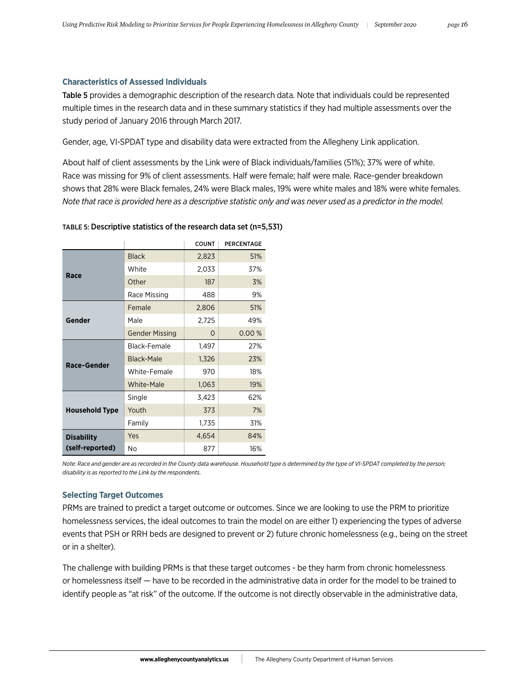### **Characteristics of Assessed Individuals**

Table 5 provides a demographic description of the research data. Note that individuals could be represented multiple times in the research data and in these summary statistics if they had multiple assessments over the study period of January 2016 through March 2017.

Gender, age, VI-SPDAT type and disability data were extracted from the Allegheny Link application.

About half of client assessments by the Link were of Black individuals/families (51%); 37% were of white. Race was missing for 9% of client assessments. Half were female; half were male. Race-gender breakdown shows that 28% were Black females, 24% were Black males, 19% were white males and 18% were white females. *Note that race is provided here as a descriptive statistic only and was never used as a predictor in the model.*

|                       |                       | <b>COUNT</b> | PERCENTAGE |
|-----------------------|-----------------------|--------------|------------|
|                       | <b>Black</b>          | 2,823        | 51%        |
|                       | White                 | 2,033        | 37%        |
| Race                  | Other                 | 187          | 3%         |
|                       | Race Missing          | 488          | 9%         |
|                       | Female                | 2,806        | 51%        |
| Gender                | Male                  | 2,725        | 49%        |
|                       | <b>Gender Missing</b> | O            | 0.00%      |
| Race-Gender           | Black-Female          | 1,497        | 27%        |
|                       | Black-Male            | 1,326        | 23%        |
|                       | White-Female          | 970          | 18%        |
|                       | <b>White-Male</b>     | 1,063        | 19%        |
|                       | Single                | 3,423        | 62%        |
| <b>Household Type</b> | Youth                 | 373          | 7%         |
|                       | Family                | 1,735        | 31%        |
| <b>Disability</b>     | Yes                   | 4,654        | 84%        |
| (self-reported)       | No                    | 877          | 16%        |

#### TABLE 5: Descriptive statistics of the research data set (n=5,531)

*Note: Race and gender are as recorded in the County data warehouse. Household type is determined by the type of VI-SPDAT completed by the person; disability is as reported to the Link by the respondents.*

# **Selecting Target Outcomes**

PRMs are trained to predict a target outcome or outcomes. Since we are looking to use the PRM to prioritize homelessness services, the ideal outcomes to train the model on are either 1) experiencing the types of adverse events that PSH or RRH beds are designed to prevent or 2) future chronic homelessness (e.g., being on the street or in a shelter).

The challenge with building PRMs is that these target outcomes - be they harm from chronic homelessness or homelessness itself — have to be recorded in the administrative data in order for the model to be trained to identify people as "at risk" of the outcome. If the outcome is not directly observable in the administrative data,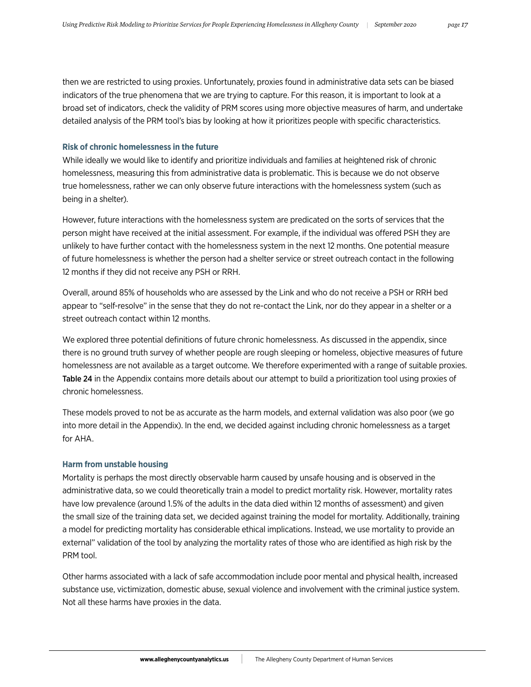then we are restricted to using proxies. Unfortunately, proxies found in administrative data sets can be biased indicators of the true phenomena that we are trying to capture. For this reason, it is important to look at a broad set of indicators, check the validity of PRM scores using more objective measures of harm, and undertake detailed analysis of the PRM tool's bias by looking at how it prioritizes people with specific characteristics.

### **Risk of chronic homelessness in the future**

While ideally we would like to identify and prioritize individuals and families at heightened risk of chronic homelessness, measuring this from administrative data is problematic. This is because we do not observe true homelessness, rather we can only observe future interactions with the homelessness system (such as being in a shelter).

However, future interactions with the homelessness system are predicated on the sorts of services that the person might have received at the initial assessment. For example, if the individual was offered PSH they are unlikely to have further contact with the homelessness system in the next 12 months. One potential measure of future homelessness is whether the person had a shelter service or street outreach contact in the following 12 months if they did not receive any PSH or RRH.

Overall, around 85% of households who are assessed by the Link and who do not receive a PSH or RRH bed appear to "self-resolve" in the sense that they do not re-contact the Link, nor do they appear in a shelter or a street outreach contact within 12 months.

We explored three potential definitions of future chronic homelessness. As discussed in the appendix, since there is no ground truth survey of whether people are rough sleeping or homeless, objective measures of future homelessness are not available as a target outcome. We therefore experimented with a range of suitable proxies. Table 24 in the Appendix contains more details about our attempt to build a prioritization tool using proxies of chronic homelessness.

These models proved to not be as accurate as the harm models, and external validation was also poor (we go into more detail in the Appendix). In the end, we decided against including chronic homelessness as a target for AHA.

### **Harm from unstable housing**

Mortality is perhaps the most directly observable harm caused by unsafe housing and is observed in the administrative data, so we could theoretically train a model to predict mortality risk. However, mortality rates have low prevalence (around 1.5% of the adults in the data died within 12 months of assessment) and given the small size of the training data set, we decided against training the model for mortality. Additionally, training a model for predicting mortality has considerable ethical implications. Instead, we use mortality to provide an external" validation of the tool by analyzing the mortality rates of those who are identified as high risk by the PRM tool.

Other harms associated with a lack of safe accommodation include poor mental and physical health, increased substance use, victimization, domestic abuse, sexual violence and involvement with the criminal justice system. Not all these harms have proxies in the data.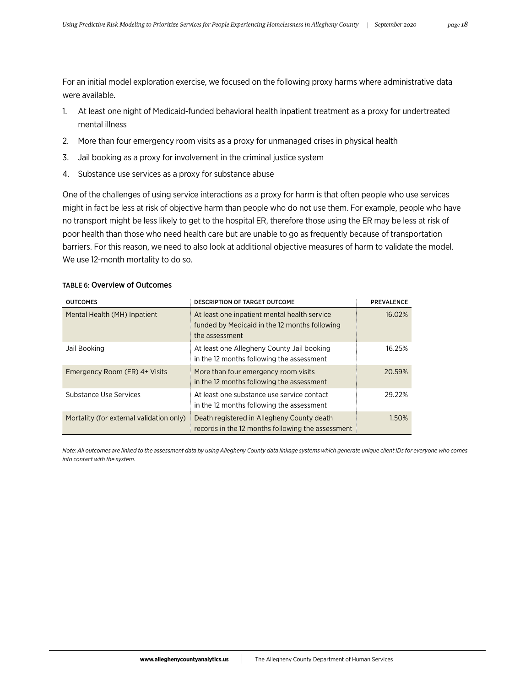For an initial model exploration exercise, we focused on the following proxy harms where administrative data were available.

- 1. At least one night of Medicaid-funded behavioral health inpatient treatment as a proxy for undertreated mental illness
- 2. More than four emergency room visits as a proxy for unmanaged crises in physical health
- 3. Jail booking as a proxy for involvement in the criminal justice system
- 4. Substance use services as a proxy for substance abuse

One of the challenges of using service interactions as a proxy for harm is that often people who use services might in fact be less at risk of objective harm than people who do not use them. For example, people who have no transport might be less likely to get to the hospital ER, therefore those using the ER may be less at risk of poor health than those who need health care but are unable to go as frequently because of transportation barriers. For this reason, we need to also look at additional objective measures of harm to validate the model. We use 12-month mortality to do so.

| <b>TABLE 6: Overview of Outcomes</b> |  |
|--------------------------------------|--|
|--------------------------------------|--|

| <b>OUTCOMES</b>                          | <b>DESCRIPTION OF TARGET OUTCOME</b>                                                                            | <b>PREVALENCE</b> |
|------------------------------------------|-----------------------------------------------------------------------------------------------------------------|-------------------|
| Mental Health (MH) Inpatient             | At least one inpatient mental health service<br>funded by Medicaid in the 12 months following<br>the assessment | 16.02%            |
| Jail Booking                             | At least one Allegheny County Jail booking<br>in the 12 months following the assessment                         | 16.25%            |
| Emergency Room (ER) 4+ Visits            | More than four emergency room visits<br>in the 12 months following the assessment                               | 20.59%            |
| Substance Use Services                   | At least one substance use service contact<br>in the 12 months following the assessment                         | 29.22%            |
| Mortality (for external validation only) | Death registered in Allegheny County death<br>records in the 12 months following the assessment                 | 1.50%             |

*Note: All outcomes are linked to the assessment data by using Allegheny County data linkage systems which generate unique client IDs for everyone who comes into contact with the system.*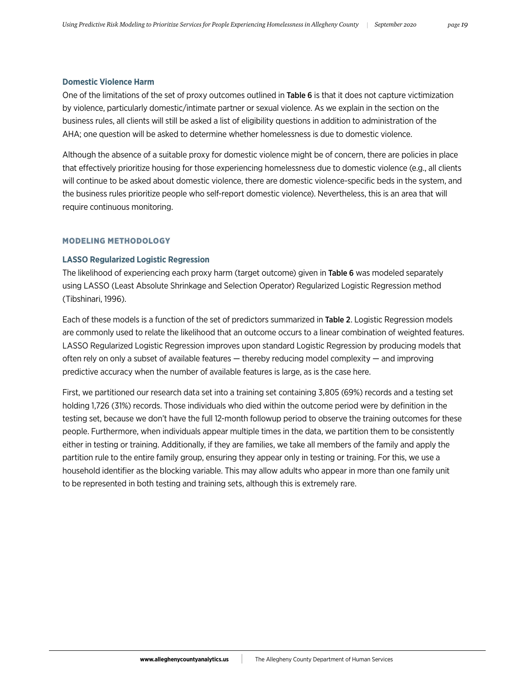#### **Domestic Violence Harm**

One of the limitations of the set of proxy outcomes outlined in Table 6 is that it does not capture victimization by violence, particularly domestic/intimate partner or sexual violence. As we explain in the section on the business rules, all clients will still be asked a list of eligibility questions in addition to administration of the AHA; one question will be asked to determine whether homelessness is due to domestic violence.

Although the absence of a suitable proxy for domestic violence might be of concern, there are policies in place that effectively prioritize housing for those experiencing homelessness due to domestic violence (e.g., all clients will continue to be asked about domestic violence, there are domestic violence-specific beds in the system, and the business rules prioritize people who self-report domestic violence). Nevertheless, this is an area that will require continuous monitoring.

#### MODELING METHODOLOGY

#### **LASSO Regularized Logistic Regression**

The likelihood of experiencing each proxy harm (target outcome) given in Table 6 was modeled separately using LASSO (Least Absolute Shrinkage and Selection Operator) Regularized Logistic Regression method (Tibshinari, 1996).

Each of these models is a function of the set of predictors summarized in Table 2. Logistic Regression models are commonly used to relate the likelihood that an outcome occurs to a linear combination of weighted features. LASSO Regularized Logistic Regression improves upon standard Logistic Regression by producing models that often rely on only a subset of available features — thereby reducing model complexity — and improving predictive accuracy when the number of available features is large, as is the case here.

First, we partitioned our research data set into a training set containing 3,805 (69%) records and a testing set holding 1,726 (31%) records. Those individuals who died within the outcome period were by definition in the testing set, because we don't have the full 12-month followup period to observe the training outcomes for these people. Furthermore, when individuals appear multiple times in the data, we partition them to be consistently either in testing or training. Additionally, if they are families, we take all members of the family and apply the partition rule to the entire family group, ensuring they appear only in testing or training. For this, we use a household identifier as the blocking variable. This may allow adults who appear in more than one family unit to be represented in both testing and training sets, although this is extremely rare.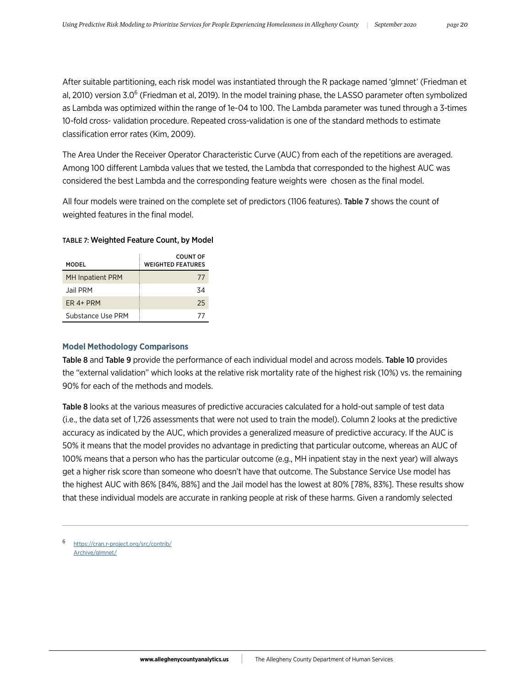After suitable partitioning, each risk model was instantiated through the R package named 'glmnet' (Friedman et al, 2010) version 3.0<sup>6</sup> (Friedman et al, 2019). In the model training phase, the LASSO parameter often symbolized as Lambda was optimized within the range of 1e-04 to 100. The Lambda parameter was tuned through a 3-times 10-fold cross- validation procedure. Repeated cross-validation is one of the standard methods to estimate classification error rates (Kim, 2009).

The Area Under the Receiver Operator Characteristic Curve (AUC) from each of the repetitions are averaged. Among 100 different Lambda values that we tested, the Lambda that corresponded to the highest AUC was considered the best Lambda and the corresponding feature weights were chosen as the final model.

All four models were trained on the complete set of predictors (1106 features). Table 7 shows the count of weighted features in the final model.

| MODFI                   | COUNT OF<br><b>WEIGHTED FEATURES</b> |
|-------------------------|--------------------------------------|
| <b>MH Inpatient PRM</b> | 77                                   |
| Jail PRM                | 34                                   |
| FR 4+ PRM               | 25                                   |
| Substance Use PRM       | 77                                   |

### TABLE 7: Weighted Feature Count, by Model

# **Model Methodology Comparisons**

Table 8 and Table 9 provide the performance of each individual model and across models. Table 10 provides the "external validation" which looks at the relative risk mortality rate of the highest risk (10%) vs. the remaining 90% for each of the methods and models.

Table 8 looks at the various measures of predictive accuracies calculated for a hold-out sample of test data (i.e., the data set of 1,726 assessments that were not used to train the model). Column 2 looks at the predictive accuracy as indicated by the AUC, which provides a generalized measure of predictive accuracy. If the AUC is 50% it means that the model provides no advantage in predicting that particular outcome, whereas an AUC of 100% means that a person who has the particular outcome (e.g., MH inpatient stay in the next year) will always get a higher risk score than someone who doesn't have that outcome. The Substance Service Use model has the highest AUC with 86% [84%, 88%] and the Jail model has the lowest at 80% [78%, 83%]. These results show that these individual models are accurate in ranking people at risk of these harms. Given a randomly selected

[https://cran.r-project.org/src/contrib/](https://cran.r-project.org/src/contrib/Archive/glmnet/) [Archive/glmnet/](https://cran.r-project.org/src/contrib/Archive/glmnet/)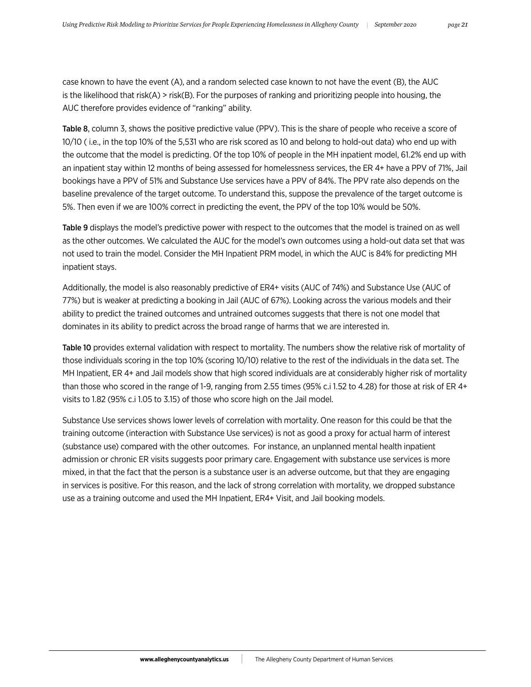case known to have the event (A), and a random selected case known to not have the event (B), the AUC is the likelihood that risk(A) > risk(B). For the purposes of ranking and prioritizing people into housing, the AUC therefore provides evidence of "ranking" ability.

Table 8, column 3, shows the positive predictive value (PPV). This is the share of people who receive a score of 10/10 ( i.e., in the top 10% of the 5,531 who are risk scored as 10 and belong to hold-out data) who end up with the outcome that the model is predicting. Of the top 10% of people in the MH inpatient model, 61.2% end up with an inpatient stay within 12 months of being assessed for homelessness services, the ER 4+ have a PPV of 71%, Jail bookings have a PPV of 51% and Substance Use services have a PPV of 84%. The PPV rate also depends on the baseline prevalence of the target outcome. To understand this, suppose the prevalence of the target outcome is 5%. Then even if we are 100% correct in predicting the event, the PPV of the top 10% would be 50%.

Table 9 displays the model's predictive power with respect to the outcomes that the model is trained on as well as the other outcomes. We calculated the AUC for the model's own outcomes using a hold-out data set that was not used to train the model. Consider the MH Inpatient PRM model, in which the AUC is 84% for predicting MH inpatient stays.

Additionally, the model is also reasonably predictive of ER4+ visits (AUC of 74%) and Substance Use (AUC of 77%) but is weaker at predicting a booking in Jail (AUC of 67%). Looking across the various models and their ability to predict the trained outcomes and untrained outcomes suggests that there is not one model that dominates in its ability to predict across the broad range of harms that we are interested in.

Table 10 provides external validation with respect to mortality. The numbers show the relative risk of mortality of those individuals scoring in the top 10% (scoring 10/10) relative to the rest of the individuals in the data set. The MH Inpatient, ER 4+ and Jail models show that high scored individuals are at considerably higher risk of mortality than those who scored in the range of 1-9, ranging from 2.55 times (95% c.i 1.52 to 4.28) for those at risk of ER 4+ visits to 1.82 (95% c.i 1.05 to 3.15) of those who score high on the Jail model.

Substance Use services shows lower levels of correlation with mortality. One reason for this could be that the training outcome (interaction with Substance Use services) is not as good a proxy for actual harm of interest (substance use) compared with the other outcomes. For instance, an unplanned mental health inpatient admission or chronic ER visits suggests poor primary care. Engagement with substance use services is more mixed, in that the fact that the person is a substance user is an adverse outcome, but that they are engaging in services is positive. For this reason, and the lack of strong correlation with mortality, we dropped substance use as a training outcome and used the MH Inpatient, ER4+ Visit, and Jail booking models.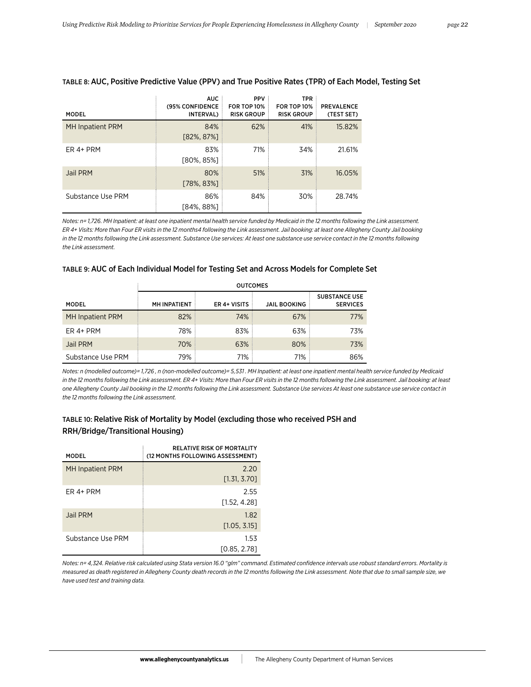| <b>MODEL</b>            | <b>AUC</b><br>(95% CONFIDENCE<br>INTERVAL) | <b>PPV</b><br><b>FOR TOP 10%</b><br><b>RISK GROUP</b> | <b>TPR</b><br><b>FOR TOP 10%</b><br><b>RISK GROUP</b> | <b>PREVALENCE</b><br>(TEST SET) |
|-------------------------|--------------------------------------------|-------------------------------------------------------|-------------------------------------------------------|---------------------------------|
| <b>MH Inpatient PRM</b> | 84%<br>$[82\%, 87\%]$                      | 62%                                                   | 41%                                                   | 15.82%                          |
| ER 4+ PRM               | 83%<br>[80%, 85%]                          | 71%                                                   | 34%                                                   | 21.61%                          |
| Jail PRM                | 80%<br>$[78\%, 83\%]$                      | 51%                                                   | 31%                                                   | 16.05%                          |
| Substance Use PRM       | 86%<br>[84%, 88%]                          | 84%                                                   | 30%                                                   | 28.74%                          |

#### TABLE 8: AUC, Positive Predictive Value (PPV) and True Positive Rates (TPR) of Each Model, Testing Set

*Notes: n= 1,726. MH Inpatient: at least one inpatient mental health service funded by Medicaid in the 12 months following the Link assessment. ER 4+ Visits: More than Four ER visits in the 12 months4 following the Link assessment. Jail booking: at least one Allegheny County Jail booking*  in the 12 months following the Link assessment. Substance Use services: At least one substance use service contact in the 12 months following *the Link assessment.*

#### TABLE 9: AUC of Each Individual Model for Testing Set and Across Models for Complete Set

|                         | <b>OUTCOMES</b>     |              |                     |                                         |  |
|-------------------------|---------------------|--------------|---------------------|-----------------------------------------|--|
| <b>MODEL</b>            | <b>MH INPATIENT</b> | ER 4+ VISITS | <b>JAIL BOOKING</b> | <b>SUBSTANCE USE</b><br><b>SERVICES</b> |  |
| <b>MH Inpatient PRM</b> | 82%                 | 74%          | 67%                 | 77%                                     |  |
| ER 4+ PRM               | 78%                 | 83%          | 63%                 | 73%                                     |  |
| Jail PRM                | 70%                 | 63%          | 80%                 | 73%                                     |  |
| Substance Use PRM       | 79%                 | 71%          | 71%                 | 86%                                     |  |

*Notes: n (modelled outcome)= 1,726 , n (non-modelled outcome)= 5,531 . MH Inpatient: at least one inpatient mental health service funded by Medicaid in the 12 months following the Link assessment. ER 4+ Visits: More than Four ER visits in the 12 months following the Link assessment. Jail booking: at least one Allegheny County Jail booking in the 12 months following the Link assessment. Substance Use services At least one substance use service contact in the 12 months following the Link assessment.*

# TABLE 10: Relative Risk of Mortality by Model (excluding those who received PSH and RRH/Bridge/Transitional Housing)

| <b>MODEL</b>            | <b>RELATIVE RISK OF MORTALITY</b><br>(12 MONTHS FOLLOWING ASSESSMENT) |
|-------------------------|-----------------------------------------------------------------------|
| <b>MH</b> Inpatient PRM | 2.20<br>[1.31, 3.70]                                                  |
| FR 4+ PRM               | 2.55<br>[1.52, 4.28]                                                  |
| Jail PRM                | 1.82<br>[1.05, 3.15]                                                  |
| Substance Use PRM       | 1.53<br>[0.85, 2.78]                                                  |

*Notes: n= 4,324. Relative risk calculated using Stata version 16.0 "glm" command. Estimated confidence intervals use robust standard errors. Mortality is measured as death registered in Allegheny County death records in the 12 months following the Link assessment. Note that due to small sample size, we have used test and training data.*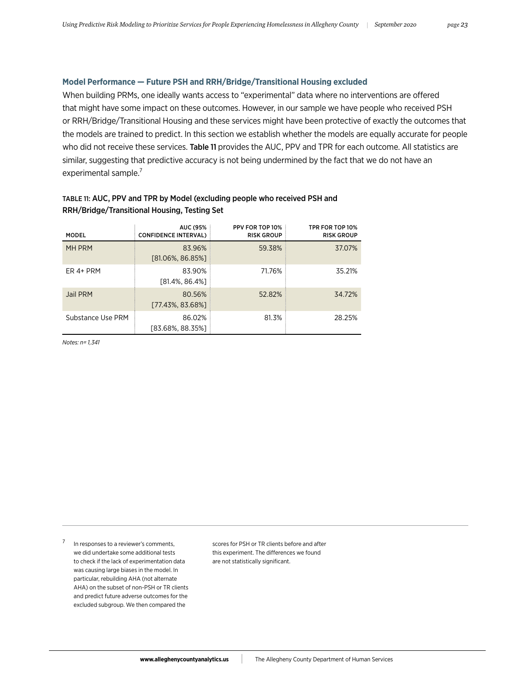# **Model Performance — Future PSH and RRH/Bridge/Transitional Housing excluded**

When building PRMs, one ideally wants access to "experimental" data where no interventions are offered that might have some impact on these outcomes. However, in our sample we have people who received PSH or RRH/Bridge/Transitional Housing and these services might have been protective of exactly the outcomes that the models are trained to predict. In this section we establish whether the models are equally accurate for people who did not receive these services. Table 11 provides the AUC, PPV and TPR for each outcome. All statistics are similar, suggesting that predictive accuracy is not being undermined by the fact that we do not have an experimental sample.<sup>7</sup>

# TABLE 11: AUC, PPV and TPR by Model (excluding people who received PSH and RRH/Bridge/Transitional Housing, Testing Set

| <b>MODEL</b>      | <b>AUC (95%</b><br><b>CONFIDENCE INTERVAL)</b> | PPV FOR TOP 10%<br><b>RISK GROUP</b> | TPR FOR TOP 10%<br><b>RISK GROUP</b> |
|-------------------|------------------------------------------------|--------------------------------------|--------------------------------------|
| MH PRM            | 83.96%<br>$[81.06\%, 86.85\%]$                 | 59.38%                               | 37.07%                               |
| ER 4+ PRM         | 83.90%<br>$[81.4\%, 86.4\%]$                   | 71.76%                               | 35.21%                               |
| Jail PRM          | 80.56%<br>[77.43%, 83.68%]                     | 52.82%                               | 34.72%                               |
| Substance Use PRM | 86.02%<br>[83.68%, 88.35%]                     | 81.3%                                | 28.25%                               |

*Notes: n= 1,341*

In responses to a reviewer's comments, we did undertake some additional tests to check if the lack of experimentation data was causing large biases in the model. In particular, rebuilding AHA (not alternate AHA) on the subset of non-PSH or TR clients and predict future adverse outcomes for the excluded subgroup. We then compared the

scores for PSH or TR clients before and after this experiment. The differences we found are not statistically significant.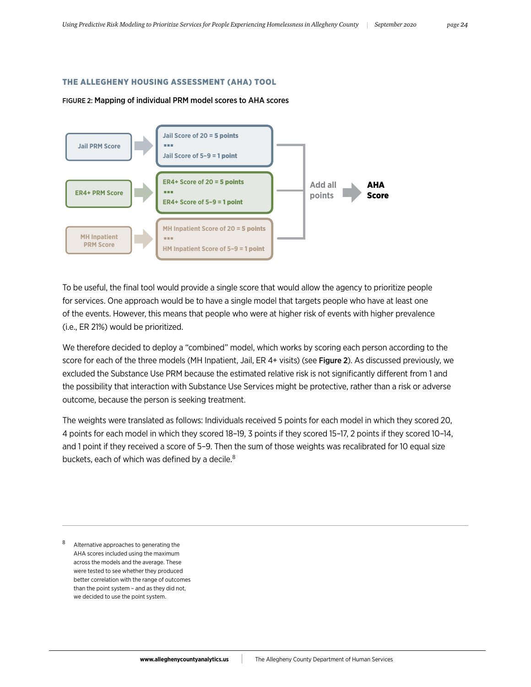#### THE ALLEGHENY HOUSING ASSESSMENT (AHA) TOOL

#### FIGURE 2: Mapping of individual PRM model scores to AHA scores



To be useful, the final tool would provide a single score that would allow the agency to prioritize people for services. One approach would be to have a single model that targets people who have at least one of the events. However, this means that people who were at higher risk of events with higher prevalence (i.e., ER 21%) would be prioritized.

We therefore decided to deploy a "combined" model, which works by scoring each person according to the score for each of the three models (MH Inpatient, Jail, ER 4+ visits) (see Figure 2). As discussed previously, we excluded the Substance Use PRM because the estimated relative risk is not significantly different from 1 and the possibility that interaction with Substance Use Services might be protective, rather than a risk or adverse outcome, because the person is seeking treatment.

The weights were translated as follows: Individuals received 5 points for each model in which they scored 20, 4 points for each model in which they scored 18–19, 3 points if they scored 15–17, 2 points if they scored 10–14, and 1 point if they received a score of 5–9. Then the sum of those weights was recalibrated for 10 equal size buckets, each of which was defined by a decile.<sup>8</sup>

Alternative approaches to generating the AHA scores included using the maximum across the models and the average. These were tested to see whether they produced better correlation with the range of outcomes than the point system – and as they did not, we decided to use the point system.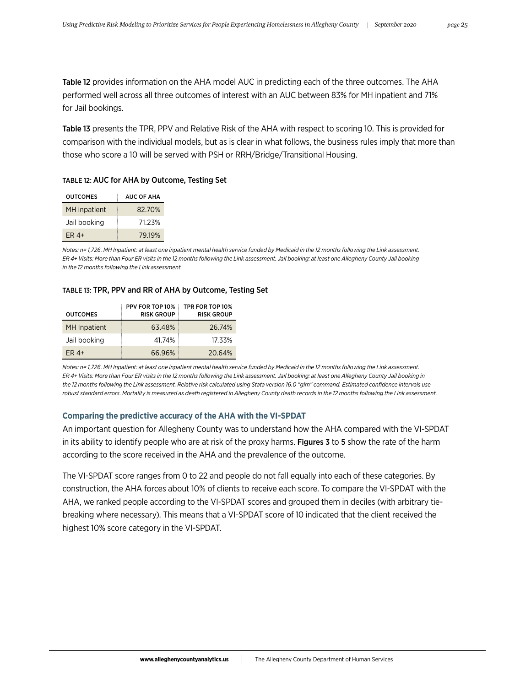Table 12 provides information on the AHA model AUC in predicting each of the three outcomes. The AHA performed well across all three outcomes of interest with an AUC between 83% for MH inpatient and 71% for Jail bookings.

Table 13 presents the TPR, PPV and Relative Risk of the AHA with respect to scoring 10. This is provided for comparison with the individual models, but as is clear in what follows, the business rules imply that more than those who score a 10 will be served with PSH or RRH/Bridge/Transitional Housing.

#### TABLE 12: AUC for AHA by Outcome, Testing Set

| <b>OUTCOMES</b>     | <b>AUC OF AHA</b> |
|---------------------|-------------------|
| <b>MH</b> inpatient | 82.70%            |
| Jail booking        | 71.23%            |
| $FR4+$              | 79.19%            |

*Notes: n= 1,726. MH Inpatient: at least one inpatient mental health service funded by Medicaid in the 12 months following the Link assessment. ER 4+ Visits: More than Four ER visits in the 12 months following the Link assessment. Jail booking: at least one Allegheny County Jail booking in the 12 months following the Link assessment.*

#### TABLE 13: TPR, PPV and RR of AHA by Outcome, Testing Set

| <b>OUTCOMES</b> | PPV FOR TOP 10%<br><b>RISK GROUP</b> | TPR FOR TOP 10%<br><b>RISK GROUP</b> |
|-----------------|--------------------------------------|--------------------------------------|
| MH Inpatient    | 63.48%                               | 26.74%                               |
| Jail booking    | 41.74%                               | 17.33%                               |
| $ER4+$          | 66.96%                               | 20.64%                               |

*Notes: n= 1,726. MH Inpatient: at least one inpatient mental health service funded by Medicaid in the 12 months following the Link assessment. ER 4+ Visits: More than Four ER visits in the 12 months following the Link assessment. Jail booking: at least one Allegheny County Jail booking in the 12 months following the Link assessment. Relative risk calculated using Stata version 16.0 "glm" command. Estimated confidence intervals use robust standard errors. Mortality is measured as death registered in Allegheny County death records in the 12 months following the Link assessment.*

#### **Comparing the predictive accuracy of the AHA with the VI-SPDAT**

An important question for Allegheny County was to understand how the AHA compared with the VI-SPDAT in its ability to identify people who are at risk of the proxy harms. Figures 3 to 5 show the rate of the harm according to the score received in the AHA and the prevalence of the outcome.

The VI-SPDAT score ranges from 0 to 22 and people do not fall equally into each of these categories. By construction, the AHA forces about 10% of clients to receive each score. To compare the VI-SPDAT with the AHA, we ranked people according to the VI-SPDAT scores and grouped them in deciles (with arbitrary tiebreaking where necessary). This means that a VI-SPDAT score of 10 indicated that the client received the highest 10% score category in the VI-SPDAT.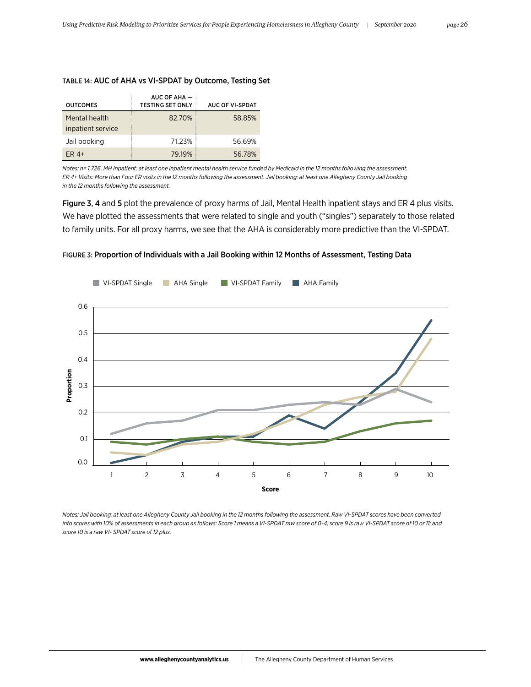| <b>OUTCOMES</b>                    | AUC OF AHA $-$<br><b>TESTING SET ONLY</b> | AUC OF VI-SPDAT |
|------------------------------------|-------------------------------------------|-----------------|
| Mental health<br>inpatient service | 82.70%                                    | 58.85%          |
| Jail booking                       | 71.23%                                    | 56.69%          |
| $ER4+$                             | 79.19%                                    | 56.78%          |

# TABLE 14: AUC of AHA vs VI-SPDAT by Outcome, Testing Set

*Notes: n= 1,726. MH Inpatient: at least one inpatient mental health service funded by Medicaid in the 12 months following the assessment. ER 4+ Visits: More than Four ER visits in the 12 months following the assessment. Jail booking: at least one Allegheny County Jail booking in the 12 months following the assessment.*

Figure 3, 4 and 5 plot the prevalence of proxy harms of Jail, Mental Health inpatient stays and ER 4 plus visits. We have plotted the assessments that were related to single and youth ("singles") separately to those related to family units. For all proxy harms, we see that the AHA is considerably more predictive than the VI-SPDAT.



FIGURE 3: Proportion of Individuals with a Jail Booking within 12 Months of Assessment, Testing Data

*Notes: Jail booking: at least one Allegheny County Jail booking in the 12 months following the assessment. Raw VI-SPDAT scores have been converted into scores with 10% of assessments in each group as follows: Score 1 means a VI-SPDAT raw score of 0-4; score 9 is raw VI-SPDAT score of 10 or 11; and score 10 is a raw VI- SPDAT score of 12 plus.*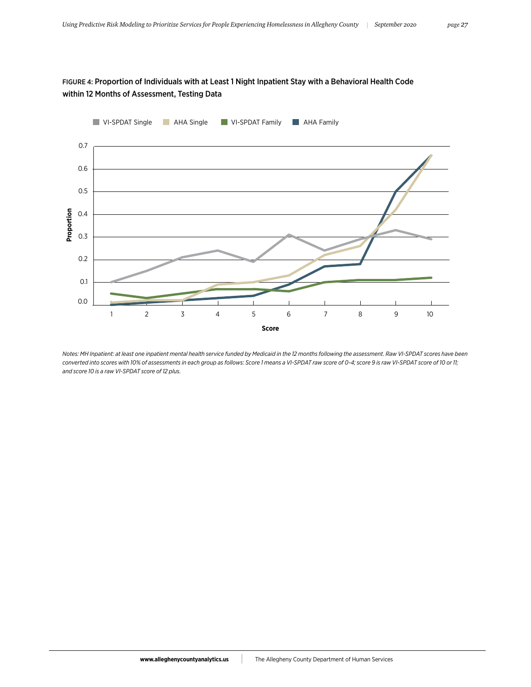# FIGURE 4: Proportion of Individuals with at Least 1 Night Inpatient Stay with a Behavioral Health Code within 12 Months of Assessment, Testing Data



*Notes: MH Inpatient: at least one inpatient mental health service funded by Medicaid in the 12 months following the assessment. Raw VI-SPDAT scores have been converted into scores with 10% of assessments in each group as follows: Score 1 means a VI-SPDAT raw score of 0-4; score 9 is raw VI-SPDAT score of 10 or 11; and score 10 is a raw VI-SPDAT score of 12 plus.*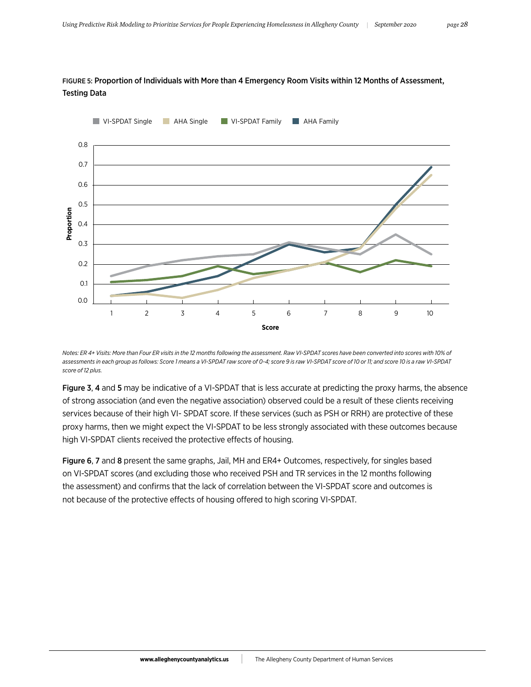

# FIGURE 5: Proportion of Individuals with More than 4 Emergency Room Visits within 12 Months of Assessment, Testing Data

*Notes: ER 4+ Visits: More than Four ER visits in the 12 months following the assessment. Raw VI-SPDAT scores have been converted into scores with 10% of assessments in each group as follows: Score 1 means a VI-SPDAT raw score of 0-4; score 9 is raw VI-SPDAT score of 10 or 11; and score 10 is a raw VI-SPDAT score of 12 plus.*

Figure 3, 4 and 5 may be indicative of a VI-SPDAT that is less accurate at predicting the proxy harms, the absence of strong association (and even the negative association) observed could be a result of these clients receiving services because of their high VI- SPDAT score. If these services (such as PSH or RRH) are protective of these proxy harms, then we might expect the VI-SPDAT to be less strongly associated with these outcomes because high VI-SPDAT clients received the protective effects of housing.

Figure 6, 7 and 8 present the same graphs, Jail, MH and ER4+ Outcomes, respectively, for singles based on VI-SPDAT scores (and excluding those who received PSH and TR services in the 12 months following the assessment) and confirms that the lack of correlation between the VI-SPDAT score and outcomes is not because of the protective effects of housing offered to high scoring VI-SPDAT.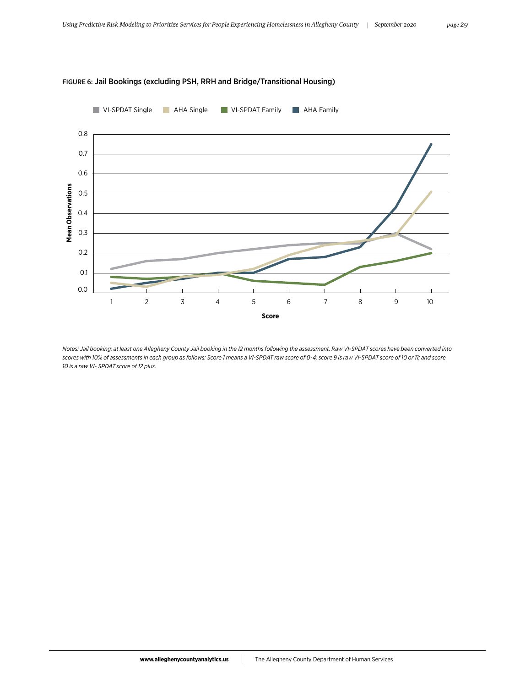

# FIGURE 6: Jail Bookings (excluding PSH, RRH and Bridge/Transitional Housing)

*Notes: Jail booking: at least one Allegheny County Jail booking in the 12 months following the assessment. Raw VI-SPDAT scores have been converted into scores with 10% of assessments in each group as follows: Score 1 means a VI-SPDAT raw score of 0-4; score 9 is raw VI-SPDAT score of 10 or 11; and score 10 is a raw VI- SPDAT score of 12 plus.*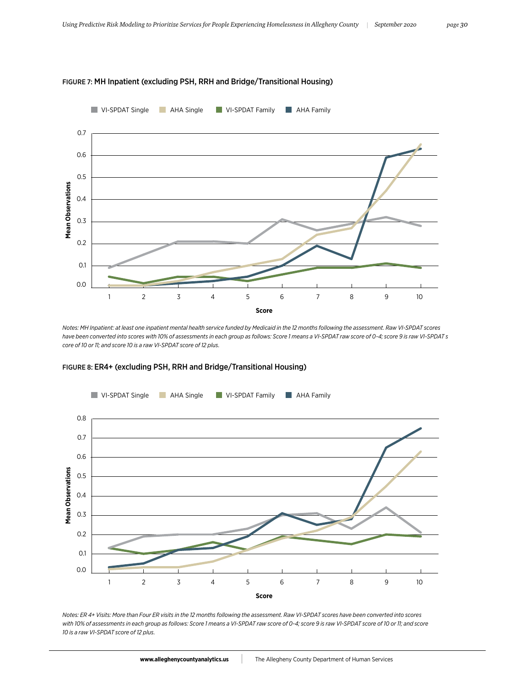

#### FIGURE 7: MH Inpatient (excluding PSH, RRH and Bridge/Transitional Housing)

*Notes: MH Inpatient: at least one inpatient mental health service funded by Medicaid in the 12 months following the assessment. Raw VI-SPDAT scores have been converted into scores with 10% of assessments in each group as follows: Score 1 means a VI-SPDAT raw score of 0-4; score 9 is raw VI-SPDAT s core of 10 or 11; and score 10 is a raw VI-SPDAT score of 12 plus.*



# FIGURE 8: ER4+ (excluding PSH, RRH and Bridge/Transitional Housing)

*Notes: ER 4+ Visits: More than Four ER visits in the 12 months following the assessment. Raw VI-SPDAT scores have been converted into scores with 10% of assessments in each group as follows: Score 1 means a VI-SPDAT raw score of 0-4; score 9 is raw VI-SPDAT score of 10 or 11; and score 10 is a raw VI-SPDAT score of 12 plus.*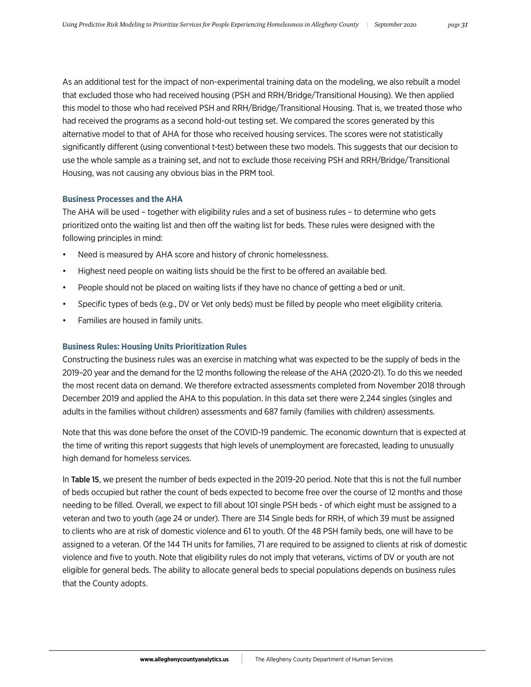As an additional test for the impact of non-experimental training data on the modeling, we also rebuilt a model that excluded those who had received housing (PSH and RRH/Bridge/Transitional Housing). We then applied this model to those who had received PSH and RRH/Bridge/Transitional Housing. That is, we treated those who had received the programs as a second hold-out testing set. We compared the scores generated by this alternative model to that of AHA for those who received housing services. The scores were not statistically significantly different (using conventional t-test) between these two models. This suggests that our decision to use the whole sample as a training set, and not to exclude those receiving PSH and RRH/Bridge/Transitional Housing, was not causing any obvious bias in the PRM tool.

### **Business Processes and the AHA**

The AHA will be used – together with eligibility rules and a set of business rules – to determine who gets prioritized onto the waiting list and then off the waiting list for beds. These rules were designed with the following principles in mind:

- Need is measured by AHA score and history of chronic homelessness.
- Highest need people on waiting lists should be the first to be offered an available bed.
- People should not be placed on waiting lists if they have no chance of getting a bed or unit.
- Specific types of beds (e.g., DV or Vet only beds) must be filled by people who meet eligibility criteria.
- Families are housed in family units.

### **Business Rules: Housing Units Prioritization Rules**

Constructing the business rules was an exercise in matching what was expected to be the supply of beds in the 2019–20 year and the demand for the 12 months following the release of the AHA (2020-21). To do this we needed the most recent data on demand. We therefore extracted assessments completed from November 2018 through December 2019 and applied the AHA to this population. In this data set there were 2,244 singles (singles and adults in the families without children) assessments and 687 family (families with children) assessments.

Note that this was done before the onset of the COVID-19 pandemic. The economic downturn that is expected at the time of writing this report suggests that high levels of unemployment are forecasted, leading to unusually high demand for homeless services.

In Table 15, we present the number of beds expected in the 2019-20 period. Note that this is not the full number of beds occupied but rather the count of beds expected to become free over the course of 12 months and those needing to be filled. Overall, we expect to fill about 101 single PSH beds - of which eight must be assigned to a veteran and two to youth (age 24 or under). There are 314 Single beds for RRH, of which 39 must be assigned to clients who are at risk of domestic violence and 61 to youth. Of the 48 PSH family beds, one will have to be assigned to a veteran. Of the 144 TH units for families, 71 are required to be assigned to clients at risk of domestic violence and five to youth. Note that eligibility rules do not imply that veterans, victims of DV or youth are not eligible for general beds. The ability to allocate general beds to special populations depends on business rules that the County adopts.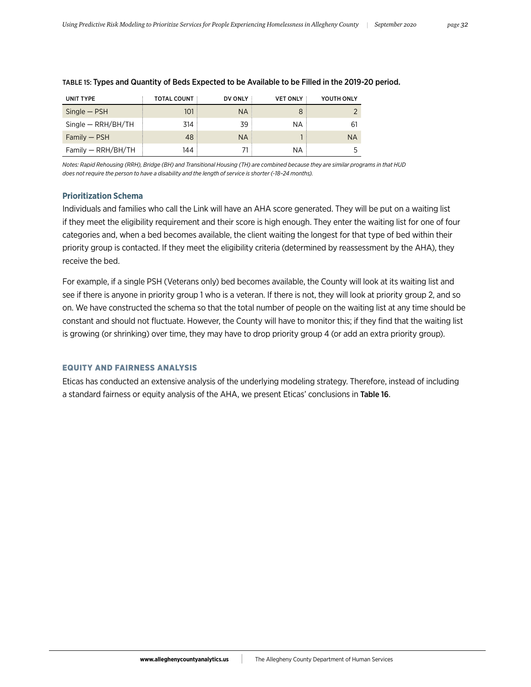| UNIT TYPE            | TOTAL COUNT | DV ONLY   | <b>VET ONLY</b> | YOUTH ONLY |
|----------------------|-------------|-----------|-----------------|------------|
| $Single - PSH$       | 101         | <b>NA</b> |                 |            |
| $Single - RRH/BH/TH$ | 314         | 39        | ΝA              | 61         |
| $Family - PSH$       | 48          | <b>NA</b> |                 | <b>NA</b>  |
| $Family - RRH/BH/TH$ | 144         |           | ΝA              |            |

#### TABLE 15: Types and Quantity of Beds Expected to be Available to be Filled in the 2019-20 period.

*Notes: Rapid Rehousing (RRH), Bridge (BH) and Transitional Housing (TH) are combined because they are similar programs in that HUD does not require the person to have a disability and the length of service is shorter (~18–24 months).*

# **Prioritization Schema**

Individuals and families who call the Link will have an AHA score generated. They will be put on a waiting list if they meet the eligibility requirement and their score is high enough. They enter the waiting list for one of four categories and, when a bed becomes available, the client waiting the longest for that type of bed within their priority group is contacted. If they meet the eligibility criteria (determined by reassessment by the AHA), they receive the bed.

For example, if a single PSH (Veterans only) bed becomes available, the County will look at its waiting list and see if there is anyone in priority group 1 who is a veteran. If there is not, they will look at priority group 2, and so on. We have constructed the schema so that the total number of people on the waiting list at any time should be constant and should not fluctuate. However, the County will have to monitor this; if they find that the waiting list is growing (or shrinking) over time, they may have to drop priority group 4 (or add an extra priority group).

# EQUITY AND FAIRNESS ANALYSIS

Eticas has conducted an extensive analysis of the underlying modeling strategy. Therefore, instead of including a standard fairness or equity analysis of the AHA, we present Eticas' conclusions in Table 16.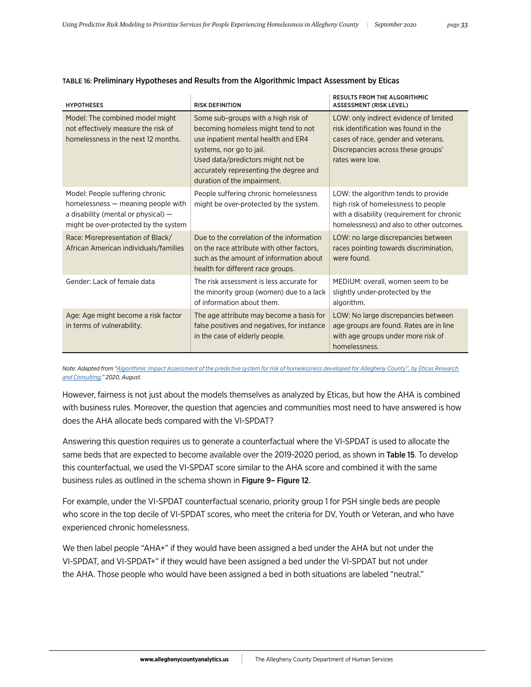| <b>HYPOTHESES</b>                                                                                                                                       | <b>RISK DEFINITION</b>                                                                                                                                                                                                                                      | <b>RESULTS FROM THE ALGORITHMIC</b><br><b>ASSESSMENT (RISK LEVEL)</b>                                                                                                          |
|---------------------------------------------------------------------------------------------------------------------------------------------------------|-------------------------------------------------------------------------------------------------------------------------------------------------------------------------------------------------------------------------------------------------------------|--------------------------------------------------------------------------------------------------------------------------------------------------------------------------------|
| Model: The combined model might<br>not effectively measure the risk of<br>homelessness in the next 12 months.                                           | Some sub-groups with a high risk of<br>becoming homeless might tend to not<br>use inpatient mental health and ER4<br>systems, nor go to jail.<br>Used data/predictors might not be<br>accurately representing the degree and<br>duration of the impairment. | LOW: only indirect evidence of limited<br>risk identification was found in the<br>cases of race, gender and veterans.<br>Discrepancies across these groups'<br>rates were low. |
| Model: People suffering chronic<br>homelessness — meaning people with<br>a disability (mental or physical) $-$<br>might be over-protected by the system | People suffering chronic homelessness<br>might be over-protected by the system.                                                                                                                                                                             | LOW: the algorithm tends to provide<br>high risk of homelessness to people<br>with a disability (requirement for chronic<br>homelessness) and also to other outcomes.          |
| Race: Misrepresentation of Black/<br>African American individuals/families                                                                              | Due to the correlation of the information<br>on the race attribute with other factors,<br>such as the amount of information about<br>health for different race groups.                                                                                      | LOW: no large discrepancies between<br>races pointing towards discrimination,<br>were found.                                                                                   |
| Gender: Lack of female data                                                                                                                             | The risk assessment is less accurate for<br>the minority group (women) due to a lack<br>of information about them.                                                                                                                                          | MEDIUM: overall, women seem to be<br>slightly under-protected by the<br>algorithm.                                                                                             |
| Age: Age might become a risk factor<br>in terms of vulnerability.                                                                                       | The age attribute may become a basis for<br>false positives and negatives, for instance<br>in the case of elderly people.                                                                                                                                   | LOW: No large discrepancies between<br>age groups are found. Rates are in line<br>with age groups under more risk of<br>homelessness.                                          |

#### TABLE 16: Preliminary Hypotheses and Results from the Algorithmic Impact Assessment by Eticas

*Note: Adapted from "[Algorithmic Impact Assessment of the predictive system for risk of homelessness developed for Allegheny County", by Eticas Research](https://www.alleghenycountyanalytics.us/wp-content/uploads/2020/08/Eticas-assessment.pdf)  [and Consulting](https://www.alleghenycountyanalytics.us/wp-content/uploads/2020/08/Eticas-assessment.pdf)," 2020, August.*

However, fairness is not just about the models themselves as analyzed by Eticas, but how the AHA is combined with business rules. Moreover, the question that agencies and communities most need to have answered is how does the AHA allocate beds compared with the VI-SPDAT?

Answering this question requires us to generate a counterfactual where the VI-SPDAT is used to allocate the same beds that are expected to become available over the 2019-2020 period, as shown in Table 15. To develop this counterfactual, we used the VI-SPDAT score similar to the AHA score and combined it with the same business rules as outlined in the schema shown in Figure 9– Figure 12.

For example, under the VI-SPDAT counterfactual scenario, priority group 1 for PSH single beds are people who score in the top decile of VI-SPDAT scores, who meet the criteria for DV, Youth or Veteran, and who have experienced chronic homelessness.

We then label people "AHA+" if they would have been assigned a bed under the AHA but not under the VI-SPDAT, and VI-SPDAT+" if they would have been assigned a bed under the VI-SPDAT but not under the AHA. Those people who would have been assigned a bed in both situations are labeled "neutral."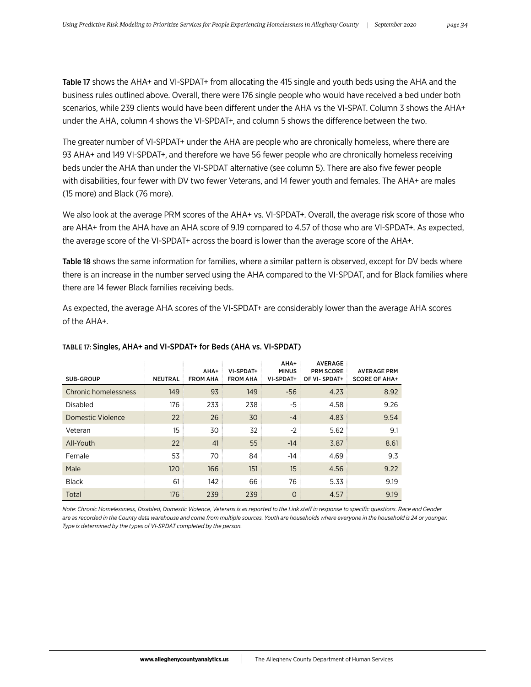Table 17 shows the AHA+ and VI-SPDAT+ from allocating the 415 single and youth beds using the AHA and the business rules outlined above. Overall, there were 176 single people who would have received a bed under both scenarios, while 239 clients would have been different under the AHA vs the VI-SPAT. Column 3 shows the AHA+ under the AHA, column 4 shows the VI-SPDAT+, and column 5 shows the difference between the two.

The greater number of VI-SPDAT+ under the AHA are people who are chronically homeless, where there are 93 AHA+ and 149 VI-SPDAT+, and therefore we have 56 fewer people who are chronically homeless receiving beds under the AHA than under the VI-SPDAT alternative (see column 5). There are also five fewer people with disabilities, four fewer with DV two fewer Veterans, and 14 fewer youth and females. The AHA+ are males (15 more) and Black (76 more).

We also look at the average PRM scores of the AHA+ vs. VI-SPDAT+. Overall, the average risk score of those who are AHA+ from the AHA have an AHA score of 9.19 compared to 4.57 of those who are VI-SPDAT+. As expected, the average score of the VI-SPDAT+ across the board is lower than the average score of the AHA+.

Table 18 shows the same information for families, where a similar pattern is observed, except for DV beds where there is an increase in the number served using the AHA compared to the VI-SPDAT, and for Black families where there are 14 fewer Black families receiving beds.

As expected, the average AHA scores of the VI-SPDAT+ are considerably lower than the average AHA scores of the AHA+.

| SUB-GROUP            | NEUTRAL | AHA+<br><b>FROM AHA</b> | VI-SPDAT+<br><b>FROM AHA</b> | AHA+<br><b>MINUS</b><br>VI-SPDAT+ | <b>AVERAGE</b><br><b>PRM SCORE</b><br>OF VI-SPDAT+ | <b>AVERAGE PRM</b><br><b>SCORE OF AHA+</b> |
|----------------------|---------|-------------------------|------------------------------|-----------------------------------|----------------------------------------------------|--------------------------------------------|
| Chronic homelessness | 149     | 93                      | 149                          | $-56$                             | 4.23                                               | 8.92                                       |
| <b>Disabled</b>      | 176     | 233                     | 238                          | -5                                | 4.58                                               | 9.26                                       |
| Domestic Violence    | 22      | 26                      | 30                           | $-4$                              | 4.83                                               | 9.54                                       |
| Veteran              | 15      | 30                      | 32                           | $-2$                              | 5.62                                               | 9.1                                        |
| All-Youth            | 22      | 41                      | 55                           | $-14$                             | 3.87                                               | 8.61                                       |
| Female               | 53      | 70                      | 84                           | $-14$                             | 4.69                                               | 9.3                                        |
| Male                 | 120     | 166                     | 151                          | 15                                | 4.56                                               | 9.22                                       |
| <b>Black</b>         | 61      | 142                     | 66                           | 76                                | 5.33                                               | 9.19                                       |
| Total                | 176     | 239                     | 239                          | $\Omega$                          | 4.57                                               | 9.19                                       |

# TABLE 17: Singles, AHA+ and VI-SPDAT+ for Beds (AHA vs. VI-SPDAT)

*Note: Chronic Homelessness, Disabled, Domestic Violence, Veterans is as reported to the Link staff in response to specific questions. Race and Gender are as recorded in the County data warehouse and come from multiple sources. Youth are households where everyone in the household is 24 or younger. Type is determined by the types of VI-SPDAT completed by the person.*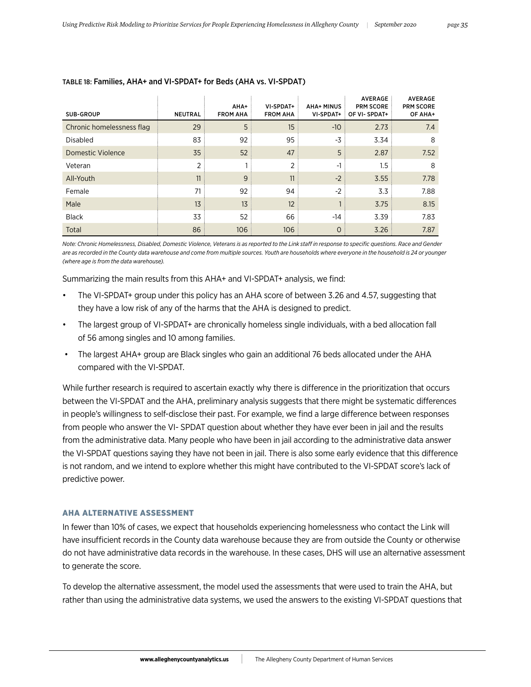| SUB-GROUP                 | <b>NEUTRAL</b> | AHA+<br><b>FROM AHA</b> | VI-SPDAT+<br><b>FROM AHA</b> | <b>AHA+ MINUS</b><br>VI-SPDAT+ | AVERAGE<br><b>PRM SCORE</b><br>OF VI-SPDAT+ | <b>AVERAGE</b><br><b>PRM SCORE</b><br>OF AHA+ |
|---------------------------|----------------|-------------------------|------------------------------|--------------------------------|---------------------------------------------|-----------------------------------------------|
| Chronic homelessness flag | 29             | 5                       | 15                           | $-10$                          | 2.73                                        | 7.4                                           |
| <b>Disabled</b>           | 83             | 92                      | 95                           | -3                             | 3.34                                        | 8                                             |
| Domestic Violence         | 35             | 52                      | 47                           | 5                              | 2.87                                        | 7.52                                          |
| Veteran                   | 2              |                         | 2                            | $-1$                           | 1.5                                         | 8                                             |
| All-Youth                 | 11             | 9                       | 11                           | $-2$                           | 3.55                                        | 7.78                                          |
| Female                    | 71             | 92                      | 94                           | $-2$                           | 3.3                                         | 7.88                                          |
| Male                      | 13             | 13                      | 12                           |                                | 3.75                                        | 8.15                                          |
| <b>Black</b>              | 33             | 52                      | 66                           | $-14$                          | 3.39                                        | 7.83                                          |
| Total                     | 86             | 106                     | 106                          | $\Omega$                       | 3.26                                        | 7.87                                          |

 $\bar{t}$ 

#### TABLE 18: Families, AHA+ and VI-SPDAT+ for Beds (AHA vs. VI-SPDAT)

*Note: Chronic Homelessness, Disabled, Domestic Violence, Veterans is as reported to the Link staff in response to specific questions. Race and Gender are as recorded in the County data warehouse and come from multiple sources. Youth are households where everyone in the household is 24 or younger (where age is from the data warehouse).*

Summarizing the main results from this AHA+ and VI-SPDAT+ analysis, we find:

- The VI-SPDAT+ group under this policy has an AHA score of between 3.26 and 4.57, suggesting that they have a low risk of any of the harms that the AHA is designed to predict.
- The largest group of VI-SPDAT+ are chronically homeless single individuals, with a bed allocation fall of 56 among singles and 10 among families.
- The largest AHA+ group are Black singles who gain an additional 76 beds allocated under the AHA compared with the VI-SPDAT.

While further research is required to ascertain exactly why there is difference in the prioritization that occurs between the VI-SPDAT and the AHA, preliminary analysis suggests that there might be systematic differences in people's willingness to self-disclose their past. For example, we find a large difference between responses from people who answer the VI- SPDAT question about whether they have ever been in jail and the results from the administrative data. Many people who have been in jail according to the administrative data answer the VI-SPDAT questions saying they have not been in jail. There is also some early evidence that this difference is not random, and we intend to explore whether this might have contributed to the VI-SPDAT score's lack of predictive power.

#### AHA ALTERNATIVE ASSESSMENT

In fewer than 10% of cases, we expect that households experiencing homelessness who contact the Link will have insufficient records in the County data warehouse because they are from outside the County or otherwise do not have administrative data records in the warehouse. In these cases, DHS will use an alternative assessment to generate the score.

To develop the alternative assessment, the model used the assessments that were used to train the AHA, but rather than using the administrative data systems, we used the answers to the existing VI-SPDAT questions that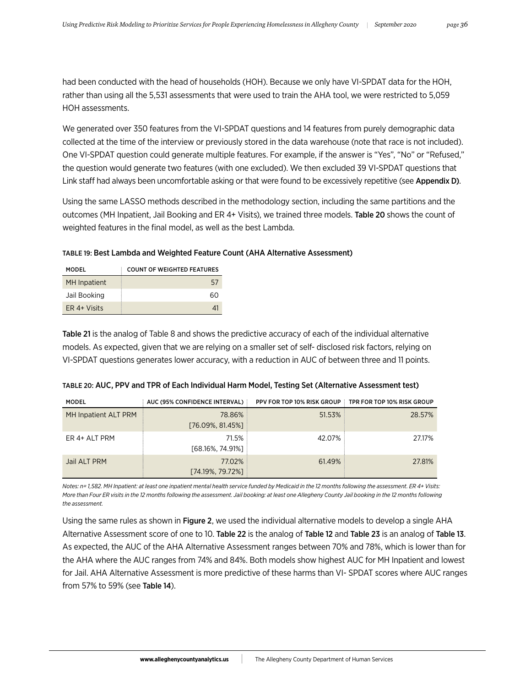had been conducted with the head of households (HOH). Because we only have VI-SPDAT data for the HOH, rather than using all the 5,531 assessments that were used to train the AHA tool, we were restricted to 5,059 HOH assessments.

We generated over 350 features from the VI-SPDAT questions and 14 features from purely demographic data collected at the time of the interview or previously stored in the data warehouse (note that race is not included). One VI-SPDAT question could generate multiple features. For example, if the answer is "Yes", "No" or "Refused," the question would generate two features (with one excluded). We then excluded 39 VI-SPDAT questions that Link staff had always been uncomfortable asking or that were found to be excessively repetitive (see Appendix D).

Using the same LASSO methods described in the methodology section, including the same partitions and the outcomes (MH Inpatient, Jail Booking and ER 4+ Visits), we trained three models. Table 20 shows the count of weighted features in the final model, as well as the best Lambda.

| TABLE 19: Best Lambda and Weighted Feature Count (AHA Alternative Assessment) |  |  |  |
|-------------------------------------------------------------------------------|--|--|--|
|-------------------------------------------------------------------------------|--|--|--|

| MODFI               | <b>COUNT OF WEIGHTED FEATURES</b> |
|---------------------|-----------------------------------|
| <b>MH</b> Inpatient | 57                                |
| Jail Booking        | 60                                |
| ER 4+ Visits        | 41                                |

Table 21 is the analog of Table 8 and shows the predictive accuracy of each of the individual alternative models. As expected, given that we are relying on a smaller set of self- disclosed risk factors, relying on VI-SPDAT questions generates lower accuracy, with a reduction in AUC of between three and 11 points.

| MODEL                | AUC (95% CONFIDENCE INTERVAL) | <b>PPV FOR TOP 10% RISK GROUP TPR FOR TOP 10% RISK GROUP</b> |        |
|----------------------|-------------------------------|--------------------------------------------------------------|--------|
| MH Inpatient ALT PRM | 78.86%<br>[76.09%, 81.45%]    | $51.53\%$                                                    | 28.57% |
| ER 4+ ALT PRM        | 71.5%<br>[68.16%, 74.91%]     | 42.07%                                                       | 27.17% |
| Jail ALT PRM         | 77.02%<br>[74.19%, 79.72%]    | 61.49%                                                       | 27.81% |

| TABLE 20: AUC, PPV and TPR of Each Individual Harm Model, Testing Set (Alternative Assessment test) |  |
|-----------------------------------------------------------------------------------------------------|--|
|-----------------------------------------------------------------------------------------------------|--|

*Notes: n= 1,582. MH Inpatient: at least one inpatient mental health service funded by Medicaid in the 12 months following the assessment. ER 4+ Visits:*  More than Four ER visits in the 12 months following the assessment. Jail booking: at least one Allegheny County Jail booking in the 12 months following *the assessment.*

Using the same rules as shown in Figure 2, we used the individual alternative models to develop a single AHA Alternative Assessment score of one to 10. Table 22 is the analog of Table 12 and Table 23 is an analog of Table 13. As expected, the AUC of the AHA Alternative Assessment ranges between 70% and 78%, which is lower than for the AHA where the AUC ranges from 74% and 84%. Both models show highest AUC for MH Inpatient and lowest for Jail. AHA Alternative Assessment is more predictive of these harms than VI- SPDAT scores where AUC ranges from 57% to 59% (see Table 14).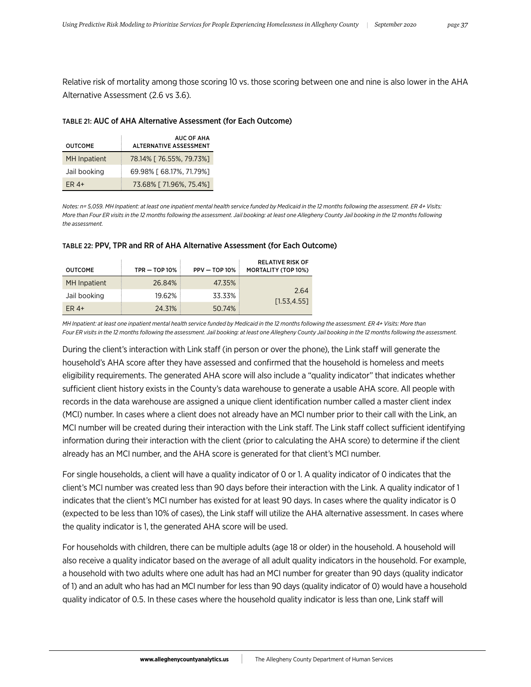Relative risk of mortality among those scoring 10 vs. those scoring between one and nine is also lower in the AHA Alternative Assessment (2.6 vs 3.6).

#### TABLE 21: AUC of AHA Alternative Assessment (for Each Outcome)

| <b>OUTCOME</b>      | <b>AUC OF AHA</b><br><b>ALTERNATIVE ASSESSMENT</b> |
|---------------------|----------------------------------------------------|
| <b>MH</b> Inpatient | 78.14% [ 76.55%, 79.73%]                           |
| Jail booking        | 69.98% [ 68.17%, 71.79%]                           |
| $FR4+$              | 73.68% [71.96%, 75.4%]                             |

*Notes: n= 5,059. MH Inpatient: at least one inpatient mental health service funded by Medicaid in the 12 months following the assessment. ER 4+ Visits:*  More than Four ER visits in the 12 months following the assessment. Jail booking: at least one Allegheny County Jail booking in the 12 months following *the assessment.*

| <b>OUTCOME</b> | $TPR - TOP 10%$ | $PPV - TOP 10%$ | <b>RELATIVE RISK OF</b><br><b>MORTALITY (TOP 10%)</b> |
|----------------|-----------------|-----------------|-------------------------------------------------------|
| MH Inpatient   | 26.84%          | 47.35%          |                                                       |
| Jail booking   | 19.62%          | 33.33%          | 2.64<br>[1.53, 4.55]                                  |
| ER $4+$        | 24.31%          | 50.74%          |                                                       |

#### TABLE 22: PPV, TPR and RR of AHA Alternative Assessment (for Each Outcome)

*MH Inpatient: at least one inpatient mental health service funded by Medicaid in the 12 months following the assessment. ER 4+ Visits: More than Four ER visits in the 12 months following the assessment. Jail booking: at least one Allegheny County Jail booking in the 12 months following the assessment.*

During the client's interaction with Link staff (in person or over the phone), the Link staff will generate the household's AHA score after they have assessed and confirmed that the household is homeless and meets eligibility requirements. The generated AHA score will also include a "quality indicator" that indicates whether sufficient client history exists in the County's data warehouse to generate a usable AHA score. All people with records in the data warehouse are assigned a unique client identification number called a master client index (MCI) number. In cases where a client does not already have an MCI number prior to their call with the Link, an MCI number will be created during their interaction with the Link staff. The Link staff collect sufficient identifying information during their interaction with the client (prior to calculating the AHA score) to determine if the client already has an MCI number, and the AHA score is generated for that client's MCI number.

For single households, a client will have a quality indicator of 0 or 1. A quality indicator of 0 indicates that the client's MCI number was created less than 90 days before their interaction with the Link. A quality indicator of 1 indicates that the client's MCI number has existed for at least 90 days. In cases where the quality indicator is 0 (expected to be less than 10% of cases), the Link staff will utilize the AHA alternative assessment. In cases where the quality indicator is 1, the generated AHA score will be used.

For households with children, there can be multiple adults (age 18 or older) in the household. A household will also receive a quality indicator based on the average of all adult quality indicators in the household. For example, a household with two adults where one adult has had an MCI number for greater than 90 days (quality indicator of 1) and an adult who has had an MCI number for less than 90 days (quality indicator of 0) would have a household quality indicator of 0.5. In these cases where the household quality indicator is less than one, Link staff will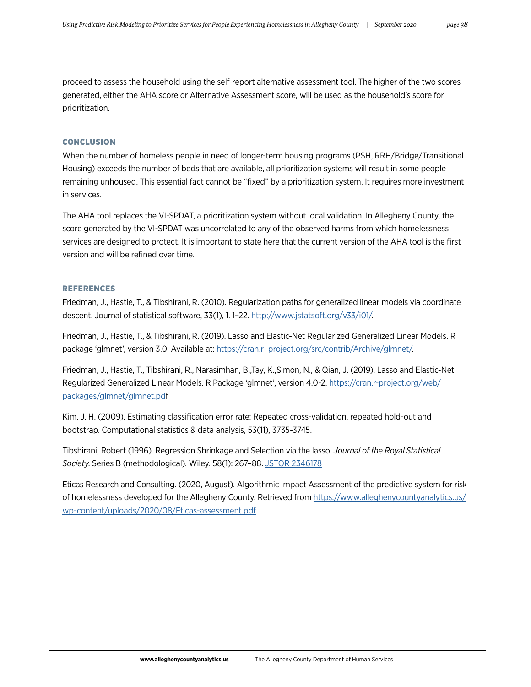proceed to assess the household using the self-report alternative assessment tool. The higher of the two scores generated, either the AHA score or Alternative Assessment score, will be used as the household's score for prioritization.

# **CONCLUSION**

When the number of homeless people in need of longer-term housing programs (PSH, RRH/Bridge/Transitional Housing) exceeds the number of beds that are available, all prioritization systems will result in some people remaining unhoused. This essential fact cannot be "fixed" by a prioritization system. It requires more investment in services.

The AHA tool replaces the VI-SPDAT, a prioritization system without local validation. In Allegheny County, the score generated by the VI-SPDAT was uncorrelated to any of the observed harms from which homelessness services are designed to protect. It is important to state here that the current version of the AHA tool is the first version and will be refined over time.

#### REFERENCES

Friedman, J., Hastie, T., & Tibshirani, R. (2010). Regularization paths for generalized linear models via coordinate descent. Journal of statistical software, 33(1), 1.1-22.<http://www.jstatsoft.org/v33/i01/>.

Friedman, J., Hastie, T., & Tibshirani, R. (2019). Lasso and Elastic-Net Regularized Generalized Linear Models. R package 'glmnet', version 3.0. Available at: [https://cran.r- project.org/src/contrib/Archive/glmnet/](https://cran.r-project.org/src/contrib/Archive/glmnet/).

Friedman, J., Hastie, T., Tibshirani, R., Narasimhan, B.,Tay, K.,Simon, N., & Qian, J. (2019). Lasso and Elastic-Net Regularized Generalized Linear Models. R Package 'glmnet', version 4.0-2. [https://cran.r-project.org/web/](https://cran.r-project.org/web/packages/glmnet/glmnet.pd) [packages/glmnet/glmnet.pdf](https://cran.r-project.org/web/packages/glmnet/glmnet.pd)

Kim, J. H. (2009). Estimating classification error rate: Repeated cross-validation, repeated hold-out and bootstrap. Computational statistics & data analysis, 53(11), 3735-3745.

Tibshirani, Robert (1996). Regression Shrinkage and Selection via the lasso. *Journal of the Royal Statistical Society*. Series B (methodological). Wiley. 58(1): 267–88. [JSTOR 2346178](https://en.wikipedia.org/wiki/JSTOR)

Eticas Research and Consulting. (2020, August). Algorithmic Impact Assessment of the predictive system for risk of homelessness developed for the Allegheny County. Retrieved from [https://www.alleghenycountyanalytics.us/](https://www.alleghenycountyanalytics.us/wp-content/uploads/2020/08/Eticas-assessment.pdf) [wp-content/uploads/2020/08/Eticas-assessment.pdf](https://www.alleghenycountyanalytics.us/wp-content/uploads/2020/08/Eticas-assessment.pdf)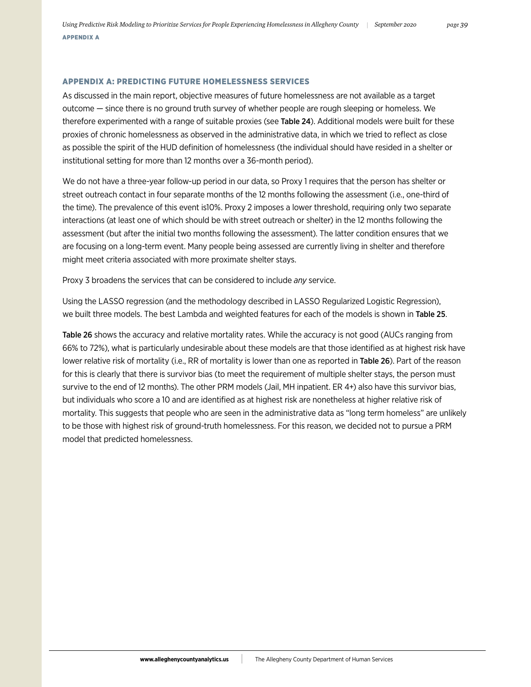### APPENDIX A: PREDICTING FUTURE HOMELESSNESS SERVICES

As discussed in the main report, objective measures of future homelessness are not available as a target outcome — since there is no ground truth survey of whether people are rough sleeping or homeless. We therefore experimented with a range of suitable proxies (see Table 24). Additional models were built for these proxies of chronic homelessness as observed in the administrative data, in which we tried to reflect as close as possible the spirit of the HUD definition of homelessness (the individual should have resided in a shelter or institutional setting for more than 12 months over a 36-month period).

We do not have a three-year follow-up period in our data, so Proxy 1 requires that the person has shelter or street outreach contact in four separate months of the 12 months following the assessment (i.e., one-third of the time). The prevalence of this event is10%. Proxy 2 imposes a lower threshold, requiring only two separate interactions (at least one of which should be with street outreach or shelter) in the 12 months following the assessment (but after the initial two months following the assessment). The latter condition ensures that we are focusing on a long-term event. Many people being assessed are currently living in shelter and therefore might meet criteria associated with more proximate shelter stays.

Proxy 3 broadens the services that can be considered to include *any* service.

Using the LASSO regression (and the methodology described in LASSO Regularized Logistic Regression), we built three models. The best Lambda and weighted features for each of the models is shown in Table 25.

Table 26 shows the accuracy and relative mortality rates. While the accuracy is not good (AUCs ranging from 66% to 72%), what is particularly undesirable about these models are that those identified as at highest risk have lower relative risk of mortality (i.e., RR of mortality is lower than one as reported in Table 26). Part of the reason for this is clearly that there is survivor bias (to meet the requirement of multiple shelter stays, the person must survive to the end of 12 months). The other PRM models (Jail, MH inpatient. ER 4+) also have this survivor bias, but individuals who score a 10 and are identified as at highest risk are nonetheless at higher relative risk of mortality. This suggests that people who are seen in the administrative data as "long term homeless" are unlikely to be those with highest risk of ground-truth homelessness. For this reason, we decided not to pursue a PRM model that predicted homelessness.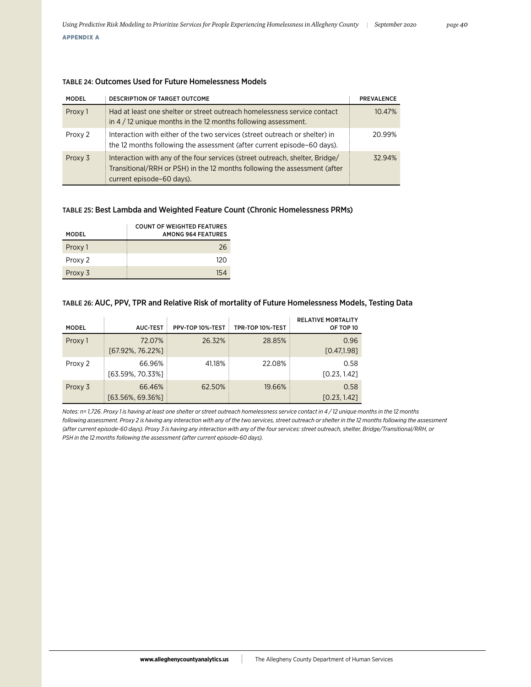# TABLE 24: Outcomes Used for Future Homelessness Models

| <b>MODEL</b> | <b>DESCRIPTION OF TARGET OUTCOME</b>                                                                                                                                                   | <b>PREVALENCE</b> |
|--------------|----------------------------------------------------------------------------------------------------------------------------------------------------------------------------------------|-------------------|
| Proxy 1      | Had at least one shelter or street outreach homelessness service contact<br>in $4/12$ unique months in the 12 months following assessment.                                             | 10.47%            |
| Proxy 2      | Interaction with either of the two services (street outreach or shelter) in<br>the 12 months following the assessment (after current episode-60 days).                                 | 20.99%            |
| Proxy 3      | Interaction with any of the four services (street outreach, shelter, Bridge/<br>Transitional/RRH or PSH) in the 12 months following the assessment (after<br>current episode-60 days). | 32.94%            |

# TABLE 25: Best Lambda and Weighted Feature Count (Chronic Homelessness PRMs)

| <b>MODEL</b> | COUNT OF WEIGHTED FEATURES<br>AMONG 964 FFATURES |
|--------------|--------------------------------------------------|
| Proxy 1      | 26                                               |
| Proxy 2      | 120                                              |
| Proxy 3      | 154                                              |

# TABLE 26: AUC, PPV, TPR and Relative Risk of mortality of Future Homelessness Models, Testing Data

| <b>MODEL</b> | <b>AUC-TEST</b>            | PPV-TOP 10%-TEST | TPR-TOP 10%-TEST | <b>RELATIVE MORTALITY</b><br>OF TOP 10 |
|--------------|----------------------------|------------------|------------------|----------------------------------------|
| Proxy 1      | 72.07%<br>[67.92%, 76.22%] | 26.32%           | 28.85%           | 0.96<br>[0.47, 1.98]                   |
| Proxy 2      | 66.96%<br>[63.59%, 70.33%] | 41.18%           | 22.08%           | 0.58<br>[0.23, 1.42]                   |
| Proxy 3      | 66.46%<br>[63.56%, 69.36%] | 62.50%           | 19.66%           | 0.58<br>[0.23, 1.42]                   |

*Notes: n= 1,726. Proxy 1 is having at least one shelter or street outreach homelessness service contact in 4 / 12 unique months in the 12 months following assessment. Proxy 2 is having any interaction with any of the two services, street outreach or shelter in the 12 months following the assessment (after current episode-60 days). Proxy 3 is having any interaction with any of the four services: street outreach, shelter, Bridge/Transitional/RRH, or PSH in the 12 months following the assessment (after current episode-60 days).*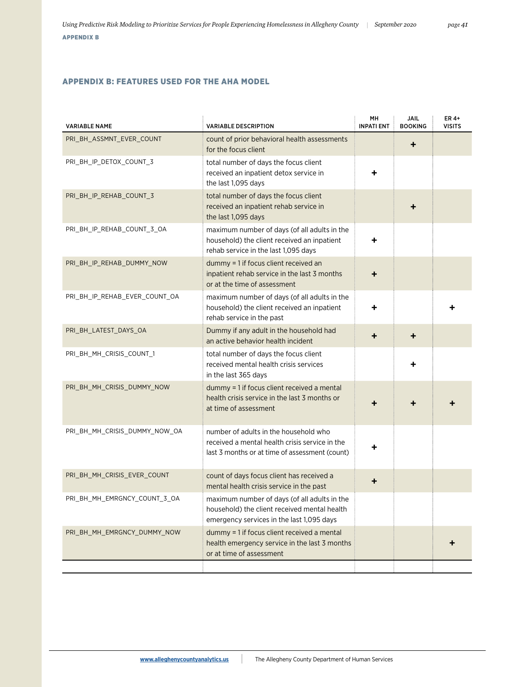# APPENDIX B: FEATURES USED FOR THE AHA MODEL

| <b>VARIABLE NAME</b>          | <b>VARIABLE DESCRIPTION</b>                                                                                                               | MН<br><b>INPATI ENT</b> | <b>JAIL</b><br><b>BOOKING</b> | ER 4+<br><b>VISITS</b> |
|-------------------------------|-------------------------------------------------------------------------------------------------------------------------------------------|-------------------------|-------------------------------|------------------------|
| PRI_BH_ASSMNT_EVER_COUNT      | count of prior behavioral health assessments<br>for the focus client                                                                      |                         | ٠                             |                        |
| PRI_BH_IP_DETOX_COUNT_3       | total number of days the focus client<br>received an inpatient detox service in<br>the last 1,095 days                                    | ٠                       |                               |                        |
| PRI_BH_IP_REHAB_COUNT_3       | total number of days the focus client<br>received an inpatient rehab service in<br>the last 1,095 days                                    |                         | ٠                             |                        |
| PRI_BH_IP_REHAB_COUNT_3_OA    | maximum number of days (of all adults in the<br>household) the client received an inpatient<br>rehab service in the last 1,095 days       | ٠                       |                               |                        |
| PRI_BH_IP_REHAB_DUMMY_NOW     | dummy = 1 if focus client received an<br>inpatient rehab service in the last 3 months<br>or at the time of assessment                     | ٠                       |                               |                        |
| PRI_BH_IP_REHAB_EVER_COUNT_OA | maximum number of days (of all adults in the<br>household) the client received an inpatient<br>rehab service in the past                  | ٠                       |                               |                        |
| PRI BH LATEST DAYS OA         | Dummy if any adult in the household had<br>an active behavior health incident                                                             | ٠                       | ÷                             |                        |
| PRI BH MH CRISIS COUNT 1      | total number of days the focus client<br>received mental health crisis services<br>in the last 365 days                                   |                         |                               |                        |
| PRI_BH_MH_CRISIS_DUMMY_NOW    | dummy = 1 if focus client received a mental<br>health crisis service in the last 3 months or<br>at time of assessment                     | ٠                       |                               |                        |
| PRI_BH_MH_CRISIS_DUMMY_NOW_OA | number of adults in the household who<br>received a mental health crisis service in the<br>last 3 months or at time of assessment (count) | ٠                       |                               |                        |
| PRI BH MH CRISIS EVER COUNT   | count of days focus client has received a<br>mental health crisis service in the past                                                     | ٠                       |                               |                        |
| PRI_BH_MH_EMRGNCY_COUNT_3_OA  | maximum number of days (of all adults in the<br>household) the client received mental health<br>emergency services in the last 1,095 days |                         |                               |                        |
| PRI_BH_MH_EMRGNCY_DUMMY_NOW   | dummy = 1 if focus client received a mental<br>health emergency service in the last 3 months<br>or at time of assessment                  |                         |                               |                        |
|                               |                                                                                                                                           |                         |                               |                        |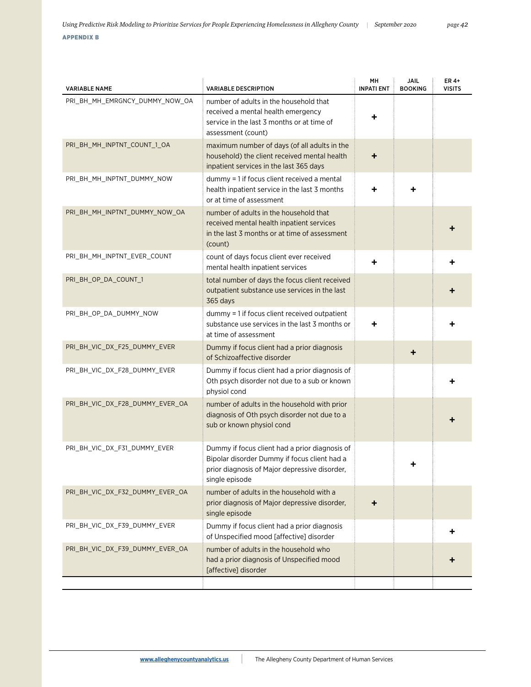|  |  |  | <b>APPENDIX</b> |  |
|--|--|--|-----------------|--|
|  |  |  |                 |  |

| <b>VARIABLE NAME</b>            | <b>VARIABLE DESCRIPTION</b>                                                                                                                                       | MH<br><b>INPATI ENT</b> | JAIL<br><b>BOOKING</b> | ER 4+<br><b>VISITS</b> |
|---------------------------------|-------------------------------------------------------------------------------------------------------------------------------------------------------------------|-------------------------|------------------------|------------------------|
| PRI_BH_MH_EMRGNCY_DUMMY_NOW_OA  | number of adults in the household that<br>received a mental health emergency<br>service in the last 3 months or at time of<br>assessment (count)                  | ٠                       |                        |                        |
| PRI_BH_MH_INPTNT_COUNT_1_OA     | maximum number of days (of all adults in the<br>household) the client received mental health<br>inpatient services in the last 365 days                           | ٠                       |                        |                        |
| PRI_BH_MH_INPTNT_DUMMY_NOW      | dummy = 1 if focus client received a mental<br>health inpatient service in the last 3 months<br>or at time of assessment                                          |                         |                        |                        |
| PRI_BH_MH_INPTNT_DUMMY_NOW_OA   | number of adults in the household that<br>received mental health inpatient services<br>in the last 3 months or at time of assessment<br>(count)                   |                         |                        |                        |
| PRI_BH_MH_INPTNT_EVER_COUNT     | count of days focus client ever received<br>mental health inpatient services                                                                                      | ٠                       |                        |                        |
| PRI_BH_OP_DA_COUNT_1            | total number of days the focus client received<br>outpatient substance use services in the last<br>365 days                                                       |                         |                        |                        |
| PRI_BH_OP_DA_DUMMY_NOW          | dummy = 1 if focus client received outpatient<br>substance use services in the last 3 months or<br>at time of assessment                                          | ٠                       |                        |                        |
| PRI_BH_VIC_DX_F25_DUMMY_EVER    | Dummy if focus client had a prior diagnosis<br>of Schizoaffective disorder                                                                                        |                         | ٠                      |                        |
| PRI_BH_VIC_DX_F28_DUMMY_EVER    | Dummy if focus client had a prior diagnosis of<br>Oth psych disorder not due to a sub or known<br>physiol cond                                                    |                         |                        |                        |
| PRI_BH_VIC_DX_F28_DUMMY_EVER_OA | number of adults in the household with prior<br>diagnosis of Oth psych disorder not due to a<br>sub or known physiol cond                                         |                         |                        |                        |
| PRI BH VIC DX F31 DUMMY EVER    | Dummy if focus client had a prior diagnosis of<br>Bipolar disorder Dummy if focus client had a<br>prior diagnosis of Major depressive disorder,<br>single episode |                         |                        |                        |
| PRI BH VIC DX F32 DUMMY EVER OA | number of adults in the household with a<br>prior diagnosis of Major depressive disorder,<br>single episode                                                       | ٠                       |                        |                        |
| PRI_BH_VIC_DX_F39_DUMMY_EVER    | Dummy if focus client had a prior diagnosis<br>of Unspecified mood [affective] disorder                                                                           |                         |                        |                        |
| PRI BH VIC DX F39 DUMMY EVER OA | number of adults in the household who<br>had a prior diagnosis of Unspecified mood<br>[affective] disorder                                                        |                         |                        |                        |
|                                 |                                                                                                                                                                   |                         |                        |                        |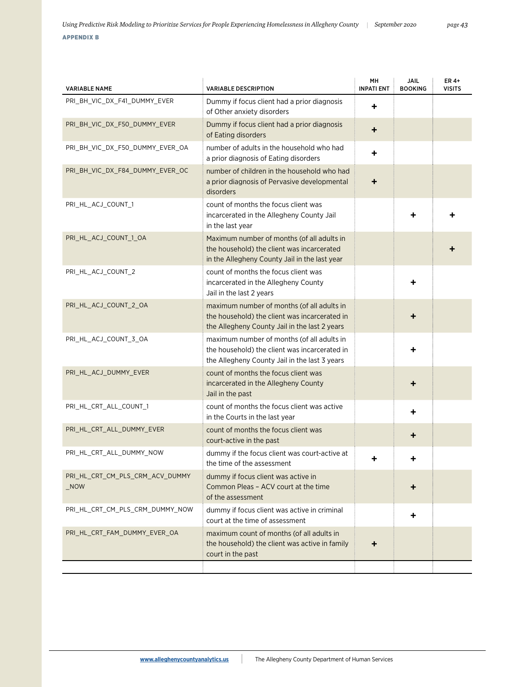| <b>VARIABLE NAME</b>                              | <b>VARIABLE DESCRIPTION</b>                                                                                                                  | MH<br><b>INPATI ENT</b> | <b>JAIL</b><br><b>BOOKING</b> | ER 4+<br><b>VISITS</b> |
|---------------------------------------------------|----------------------------------------------------------------------------------------------------------------------------------------------|-------------------------|-------------------------------|------------------------|
| PRI_BH_VIC_DX_F41_DUMMY_EVER                      | Dummy if focus client had a prior diagnosis<br>of Other anxiety disorders                                                                    | ٠                       |                               |                        |
| PRI_BH_VIC_DX_F50_DUMMY_EVER                      | Dummy if focus client had a prior diagnosis<br>of Eating disorders                                                                           | ٠                       |                               |                        |
| PRI_BH_VIC_DX_F50_DUMMY_EVER_OA                   | number of adults in the household who had<br>a prior diagnosis of Eating disorders                                                           | ٠                       |                               |                        |
| PRI BH VIC DX F84 DUMMY EVER OC                   | number of children in the household who had<br>a prior diagnosis of Pervasive developmental<br>disorders                                     | ٠                       |                               |                        |
| PRI_HL_ACJ_COUNT_1                                | count of months the focus client was<br>incarcerated in the Allegheny County Jail<br>in the last year                                        |                         |                               |                        |
| PRI_HL_ACJ_COUNT_1_OA                             | Maximum number of months (of all adults in<br>the household) the client was incarcerated<br>in the Allegheny County Jail in the last year    |                         |                               |                        |
| PRI_HL_ACJ_COUNT_2                                | count of months the focus client was<br>incarcerated in the Allegheny County<br>Jail in the last 2 years                                     |                         |                               |                        |
| PRI_HL_ACJ_COUNT_2_OA                             | maximum number of months (of all adults in<br>the household) the client was incarcerated in<br>the Allegheny County Jail in the last 2 years |                         |                               |                        |
| PRI_HL_ACJ_COUNT_3_OA                             | maximum number of months (of all adults in<br>the household) the client was incarcerated in<br>the Allegheny County Jail in the last 3 years |                         |                               |                        |
| PRI_HL_ACJ_DUMMY_EVER                             | count of months the focus client was<br>incarcerated in the Allegheny County<br>Jail in the past                                             |                         |                               |                        |
| PRI_HL_CRT_ALL_COUNT_1                            | count of months the focus client was active<br>in the Courts in the last year                                                                |                         | ٠                             |                        |
| PRI_HL_CRT_ALL_DUMMY_EVER                         | count of months the focus client was<br>court-active in the past                                                                             |                         | ٠                             |                        |
| PRI HL CRT ALL DUMMY NOW                          | dummy if the focus client was court-active at<br>the time of the assessment                                                                  | +                       |                               |                        |
| PRI_HL_CRT_CM_PLS_CRM_ACV_DUMMY<br>$_{\rm \_NON}$ | dummy if focus client was active in<br>Common Pleas - ACV court at the time<br>of the assessment                                             |                         |                               |                        |
| PRI_HL_CRT_CM_PLS_CRM_DUMMY_NOW                   | dummy if focus client was active in criminal<br>court at the time of assessment                                                              |                         | ٠                             |                        |
| PRI_HL_CRT_FAM_DUMMY_EVER_OA                      | maximum count of months (of all adults in<br>the household) the client was active in family<br>court in the past                             | ٠                       |                               |                        |
|                                                   |                                                                                                                                              |                         |                               |                        |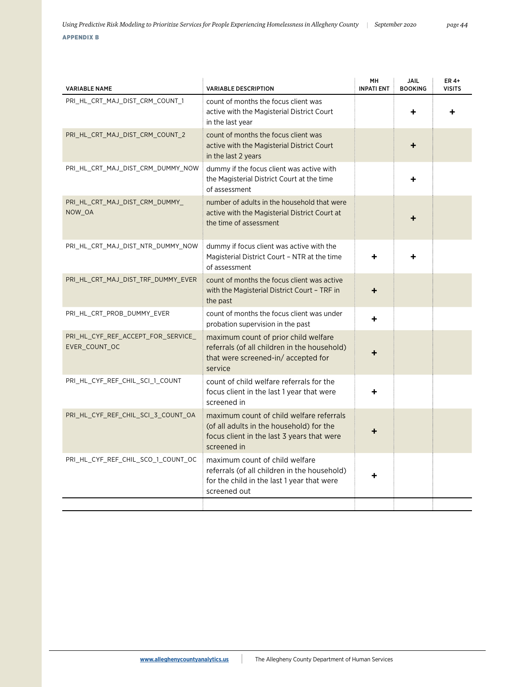| <b>VARIABLE NAME</b>                                | <b>VARIABLE DESCRIPTION</b>                                                                                                                       | MH<br><b>INPATI ENT</b> | <b>JAIL</b><br><b>BOOKING</b> | ER 4+<br><b>VISITS</b> |
|-----------------------------------------------------|---------------------------------------------------------------------------------------------------------------------------------------------------|-------------------------|-------------------------------|------------------------|
| PRI_HL_CRT_MAJ_DIST_CRM_COUNT_1                     | count of months the focus client was<br>active with the Magisterial District Court<br>in the last year                                            |                         | ÷                             |                        |
| PRI_HL_CRT_MAJ_DIST_CRM_COUNT_2                     | count of months the focus client was<br>active with the Magisterial District Court<br>in the last 2 years                                         |                         |                               |                        |
| PRI HL CRT MAJ DIST CRM DUMMY NOW                   | dummy if the focus client was active with<br>the Magisterial District Court at the time<br>of assessment                                          |                         |                               |                        |
| PRI_HL_CRT_MAJ_DIST_CRM_DUMMY_<br>NOW OA            | number of adults in the household that were<br>active with the Magisterial District Court at<br>the time of assessment                            |                         |                               |                        |
| PRI_HL_CRT_MAJ_DIST_NTR_DUMMY_NOW                   | dummy if focus client was active with the<br>Magisterial District Court - NTR at the time<br>of assessment                                        |                         |                               |                        |
| PRI_HL_CRT_MAJ_DIST_TRF_DUMMY_EVER                  | count of months the focus client was active<br>with the Magisterial District Court - TRF in<br>the past                                           | +                       |                               |                        |
| PRI_HL_CRT_PROB_DUMMY_EVER                          | count of months the focus client was under<br>probation supervision in the past                                                                   |                         |                               |                        |
| PRI_HL_CYF_REF_ACCEPT_FOR_SERVICE_<br>EVER_COUNT_OC | maximum count of prior child welfare<br>referrals (of all children in the household)<br>that were screened-in/accepted for<br>service             |                         |                               |                        |
| PRI_HL_CYF_REF_CHIL_SCI_1_COUNT                     | count of child welfare referrals for the<br>focus client in the last 1 year that were<br>screened in                                              | ٠                       |                               |                        |
| PRI HL CYF REF CHIL SCI 3 COUNT OA                  | maximum count of child welfare referrals<br>(of all adults in the household) for the<br>focus client in the last 3 years that were<br>screened in |                         |                               |                        |
| PRI_HL_CYF_REF_CHIL_SCO_1_COUNT_OC                  | maximum count of child welfare<br>referrals (of all children in the household)<br>for the child in the last 1 year that were<br>screened out      |                         |                               |                        |
|                                                     |                                                                                                                                                   |                         |                               |                        |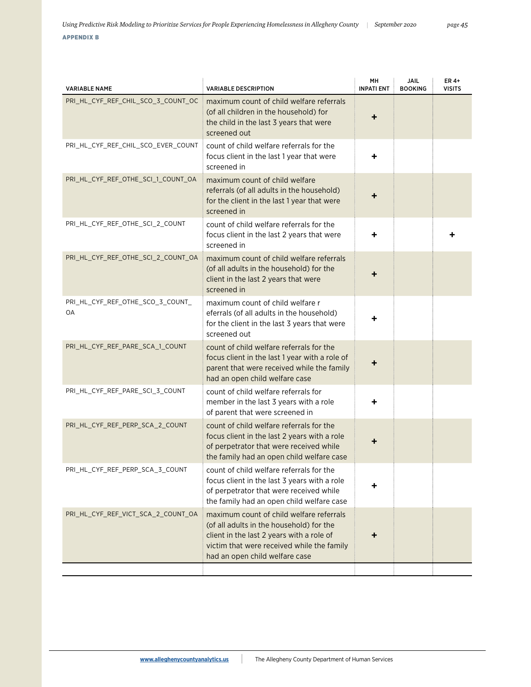| <b>VARIABLE NAME</b>                   | <b>VARIABLE DESCRIPTION</b>                                                                                                                                                                                       | MH<br><b>INPATI ENT</b> | <b>JAIL</b><br><b>BOOKING</b> | ER 4+<br><b>VISITS</b> |
|----------------------------------------|-------------------------------------------------------------------------------------------------------------------------------------------------------------------------------------------------------------------|-------------------------|-------------------------------|------------------------|
| PRI HL CYF REF CHIL SCO 3 COUNT OC     | maximum count of child welfare referrals<br>(of all children in the household) for<br>the child in the last 3 years that were<br>screened out                                                                     | ٠                       |                               |                        |
| PRI_HL_CYF_REF_CHIL_SCO_EVER_COUNT     | count of child welfare referrals for the<br>focus client in the last 1 year that were<br>screened in                                                                                                              | ٠                       |                               |                        |
| PRI_HL_CYF_REF_OTHE_SCI_1_COUNT_OA     | maximum count of child welfare<br>referrals (of all adults in the household)<br>for the client in the last 1 year that were<br>screened in                                                                        | +                       |                               |                        |
| PRI_HL_CYF_REF_OTHE_SCI_2_COUNT        | count of child welfare referrals for the<br>focus client in the last 2 years that were<br>screened in                                                                                                             | ٠                       |                               |                        |
| PRI HL CYF REF OTHE SCI 2 COUNT OA     | maximum count of child welfare referrals<br>(of all adults in the household) for the<br>client in the last 2 years that were<br>screened in                                                                       |                         |                               |                        |
| PRI_HL_CYF_REF_OTHE_SCO_3_COUNT_<br>0A | maximum count of child welfare r<br>eferrals (of all adults in the household)<br>for the client in the last 3 years that were<br>screened out                                                                     | ٠                       |                               |                        |
| PRI_HL_CYF_REF_PARE_SCA_1_COUNT        | count of child welfare referrals for the<br>focus client in the last 1 year with a role of<br>parent that were received while the family<br>had an open child welfare case                                        |                         |                               |                        |
| PRI_HL_CYF_REF_PARE_SCI_3_COUNT        | count of child welfare referrals for<br>member in the last 3 years with a role<br>of parent that were screened in                                                                                                 | ٠                       |                               |                        |
| PRI_HL_CYF_REF_PERP_SCA_2_COUNT        | count of child welfare referrals for the<br>focus client in the last 2 years with a role<br>of perpetrator that were received while<br>the family had an open child welfare case                                  |                         |                               |                        |
| PRI_HL_CYF_REF_PERP_SCA_3_COUNT        | count of child welfare referrals for the<br>focus client in the last 3 years with a role<br>of perpetrator that were received while<br>the family had an open child welfare case                                  |                         |                               |                        |
| PRI_HL_CYF_REF_VICT_SCA_2_COUNT_OA     | maximum count of child welfare referrals<br>(of all adults in the household) for the<br>client in the last 2 years with a role of<br>victim that were received while the family<br>had an open child welfare case |                         |                               |                        |
|                                        |                                                                                                                                                                                                                   |                         |                               |                        |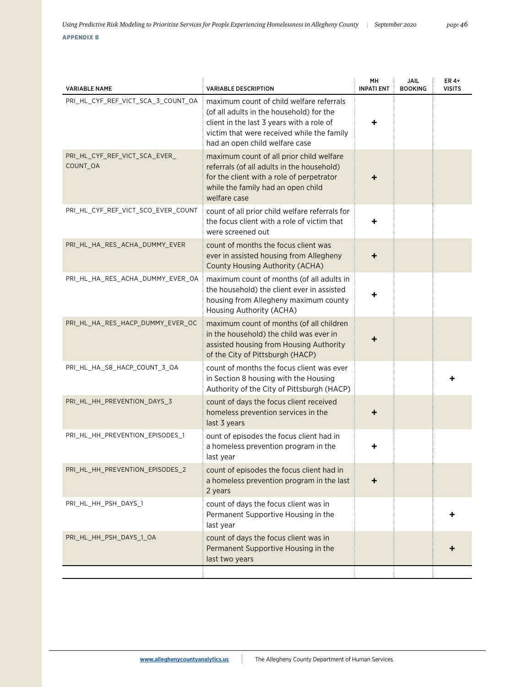| . . |  | PPENDIX |  |  |  |
|-----|--|---------|--|--|--|
|     |  |         |  |  |  |

| <b>VARIABLE NAME</b>                      | <b>VARIABLE DESCRIPTION</b>                                                                                                                                                                                       | MH<br><b>INPATI ENT</b> | JAIL<br><b>BOOKING</b> | ER 4+<br><b>VISITS</b> |
|-------------------------------------------|-------------------------------------------------------------------------------------------------------------------------------------------------------------------------------------------------------------------|-------------------------|------------------------|------------------------|
| PRI_HL_CYF_REF_VICT_SCA_3_COUNT_OA        | maximum count of child welfare referrals<br>(of all adults in the household) for the<br>client in the last 3 years with a role of<br>victim that were received while the family<br>had an open child welfare case | ٠                       |                        |                        |
| PRI_HL_CYF_REF_VICT_SCA_EVER_<br>COUNT_OA | maximum count of all prior child welfare<br>referrals (of all adults in the household)<br>for the client with a role of perpetrator<br>while the family had an open child<br>welfare case                         | ٠                       |                        |                        |
| PRI_HL_CYF_REF_VICT_SCO_EVER_COUNT        | count of all prior child welfare referrals for<br>the focus client with a role of victim that<br>were screened out                                                                                                | ٠                       |                        |                        |
| PRI_HL_HA_RES_ACHA_DUMMY_EVER             | count of months the focus client was<br>ever in assisted housing from Allegheny<br>County Housing Authority (ACHA)                                                                                                |                         |                        |                        |
| PRI_HL_HA_RES_ACHA_DUMMY_EVER_OA          | maximum count of months (of all adults in<br>the household) the client ever in assisted<br>housing from Allegheny maximum county<br>Housing Authority (ACHA)                                                      |                         |                        |                        |
| PRI_HL_HA_RES_HACP_DUMMY_EVER_OC          | maximum count of months (of all children<br>in the household) the child was ever in<br>assisted housing from Housing Authority<br>of the City of Pittsburgh (HACP)                                                |                         |                        |                        |
| PRI_HL_HA_S8_HACP_COUNT_3_OA              | count of months the focus client was ever<br>in Section 8 housing with the Housing<br>Authority of the City of Pittsburgh (HACP)                                                                                  |                         |                        |                        |
| PRI_HL_HH_PREVENTION_DAYS_3               | count of days the focus client received<br>homeless prevention services in the<br>last 3 years                                                                                                                    | ٠                       |                        |                        |
| PRI_HL_HH_PREVENTION_EPISODES_1           | ount of episodes the focus client had in<br>a homeless prevention program in the<br>last year                                                                                                                     |                         |                        |                        |
| PRI_HL_HH_PREVENTION_EPISODES_2           | count of episodes the focus client had in<br>a homeless prevention program in the last<br>2 years                                                                                                                 | ٠                       |                        |                        |
| PRI_HL_HH_PSH_DAYS_1                      | count of days the focus client was in<br>Permanent Supportive Housing in the<br>last year                                                                                                                         |                         |                        |                        |
| PRI_HL_HH_PSH_DAYS_1_OA                   | count of days the focus client was in<br>Permanent Supportive Housing in the<br>last two years                                                                                                                    |                         |                        |                        |
|                                           |                                                                                                                                                                                                                   |                         |                        |                        |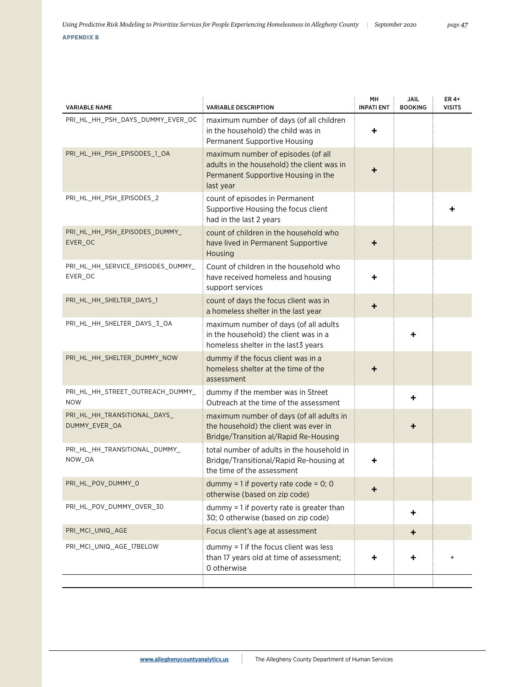| <b>VARIABLE NAME</b>                           | <b>VARIABLE DESCRIPTION</b>                                                                                                          | MН<br><b>INPATI ENT</b> | <b>JAIL</b><br><b>BOOKING</b> | ER 4+<br><b>VISITS</b> |
|------------------------------------------------|--------------------------------------------------------------------------------------------------------------------------------------|-------------------------|-------------------------------|------------------------|
| PRI HL HH PSH DAYS DUMMY EVER OC               | maximum number of days (of all children<br>in the household) the child was in<br>Permanent Supportive Housing                        | ÷                       |                               |                        |
| PRI_HL_HH_PSH_EPISODES_1_OA                    | maximum number of episodes (of all<br>adults in the household) the client was in<br>Permanent Supportive Housing in the<br>last year | ÷                       |                               |                        |
| PRI_HL_HH_PSH_EPISODES_2                       | count of episodes in Permanent<br>Supportive Housing the focus client<br>had in the last 2 years                                     |                         |                               |                        |
| PRI_HL_HH_PSH_EPISODES_DUMMY_<br>EVER_OC       | count of children in the household who<br>have lived in Permanent Supportive<br>Housing                                              |                         |                               |                        |
| PRI_HL_HH_SERVICE_EPISODES_DUMMY_<br>EVER_OC   | Count of children in the household who<br>have received homeless and housing<br>support services                                     | ٠                       |                               |                        |
| PRI_HL_HH_SHELTER_DAYS_1                       | count of days the focus client was in<br>a homeless shelter in the last year                                                         | ٠                       |                               |                        |
| PRI_HL_HH_SHELTER_DAYS_3_OA                    | maximum number of days (of all adults<br>in the household) the client was in a<br>homeless shelter in the last3 years                |                         |                               |                        |
| PRI_HL_HH_SHELTER_DUMMY_NOW                    | dummy if the focus client was in a<br>homeless shelter at the time of the<br>assessment                                              | ٠                       |                               |                        |
| PRI_HL_HH_STREET_OUTREACH_DUMMY_<br><b>NOW</b> | dummy if the member was in Street<br>Outreach at the time of the assessment                                                          |                         | ٠                             |                        |
| PRI_HL_HH_TRANSITIONAL_DAYS_<br>DUMMY_EVER_OA  | maximum number of days (of all adults in<br>the household) the client was ever in<br>Bridge/Transition al/Rapid Re-Housing           |                         | +                             |                        |
| PRI_HL_HH_TRANSITIONAL_DUMMY_<br>NOW_OA        | total number of adults in the household in<br>Bridge/Transitional/Rapid Re-housing at<br>the time of the assessment                  | ٠                       |                               |                        |
| PRI_HL_POV_DUMMY_0                             | dummy = 1 if poverty rate code = $0$ ; 0<br>otherwise (based on zip code)                                                            | ٠                       |                               |                        |
| PRI_HL_POV_DUMMY_OVER_30                       | dummy = 1 if poverty rate is greater than<br>30; 0 otherwise (based on zip code)                                                     |                         | ٠                             |                        |
| PRI_MCI_UNIQ_AGE                               | Focus client's age at assessment                                                                                                     |                         | ٠                             |                        |
| PRI_MCI_UNIQ_AGE_17BELOW                       | dummy = 1 if the focus client was less                                                                                               |                         |                               |                        |

than 17 years old at time of assessment;

+ + <sup>+</sup>

0 otherwise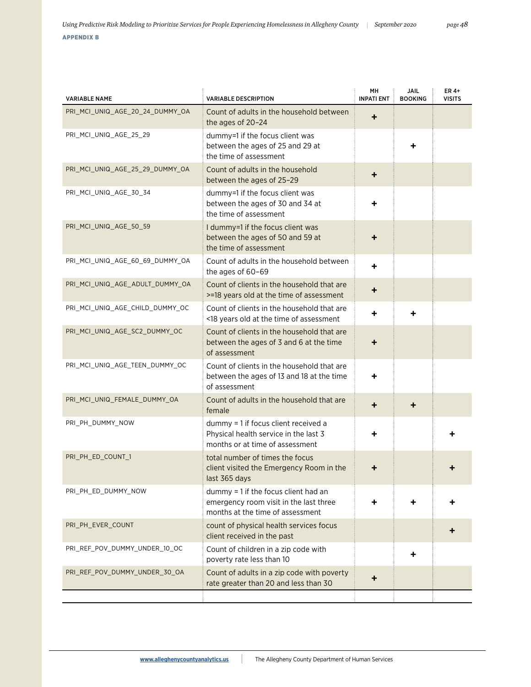| <b>VARIABLE NAME</b>            | <b>VARIABLE DESCRIPTION</b>                                                                                        | MН<br><b>INPATI ENT</b> | <b>JAIL</b><br><b>BOOKING</b> | ER 4+<br><b>VISITS</b> |
|---------------------------------|--------------------------------------------------------------------------------------------------------------------|-------------------------|-------------------------------|------------------------|
| PRI_MCI_UNIQ_AGE_20_24_DUMMY_OA | Count of adults in the household between<br>the ages of 20-24                                                      | ٠                       |                               |                        |
| PRI_MCI_UNIQ_AGE_25_29          | dummy=1 if the focus client was<br>between the ages of 25 and 29 at<br>the time of assessment                      |                         |                               |                        |
| PRI MCI UNIQ AGE 25 29 DUMMY OA | Count of adults in the household<br>between the ages of 25-29                                                      | ٠                       |                               |                        |
| PRI_MCI_UNIQ_AGE_30_34          | dummy=1 if the focus client was<br>between the ages of 30 and 34 at<br>the time of assessment                      | ٠                       |                               |                        |
| PRI_MCI_UNIQ_AGE_50_59          | I dummy=1 if the focus client was<br>between the ages of 50 and 59 at<br>the time of assessment                    | ٠                       |                               |                        |
| PRI_MCI_UNIQ_AGE_60_69_DUMMY_OA | Count of adults in the household between<br>the ages of 60-69                                                      | ٠                       |                               |                        |
| PRI_MCI_UNIQ_AGE_ADULT_DUMMY_OA | Count of clients in the household that are<br>>=18 years old at the time of assessment                             | +                       |                               |                        |
| PRI_MCI_UNIQ_AGE_CHILD_DUMMY_OC | Count of clients in the household that are<br><18 years old at the time of assessment                              | ٠                       | ٠                             |                        |
| PRI_MCI_UNIQ_AGE_SC2_DUMMY_OC   | Count of clients in the household that are<br>between the ages of 3 and 6 at the time<br>of assessment             | ٠                       |                               |                        |
| PRI_MCI_UNIQ_AGE_TEEN_DUMMY_OC  | Count of clients in the household that are<br>between the ages of 13 and 18 at the time<br>of assessment           | ٠                       |                               |                        |
| PRI_MCI_UNIQ_FEMALE_DUMMY_OA    | Count of adults in the household that are<br>female                                                                | ٠                       | +                             |                        |
| PRI_PH_DUMMY_NOW                | dummy = 1 if focus client received a<br>Physical health service in the last 3<br>months or at time of assessment   | ÷                       |                               |                        |
| PRI PH ED COUNT 1               | total number of times the focus<br>client visited the Emergency Room in the<br>last 365 days                       | ٠                       |                               |                        |
| PRI_PH_ED_DUMMY_NOW             | dummy = 1 if the focus client had an<br>emergency room visit in the last three<br>months at the time of assessment |                         |                               |                        |
| PRI_PH_EVER_COUNT               | count of physical health services focus<br>client received in the past                                             |                         |                               |                        |
| PRI_REF_POV_DUMMY_UNDER_10_OC   | Count of children in a zip code with<br>poverty rate less than 10                                                  |                         | ٠                             |                        |
| PRI_REF_POV_DUMMY_UNDER_30_OA   | Count of adults in a zip code with poverty<br>rate greater than 20 and less than 30                                | ٠                       |                               |                        |
|                                 |                                                                                                                    |                         |                               |                        |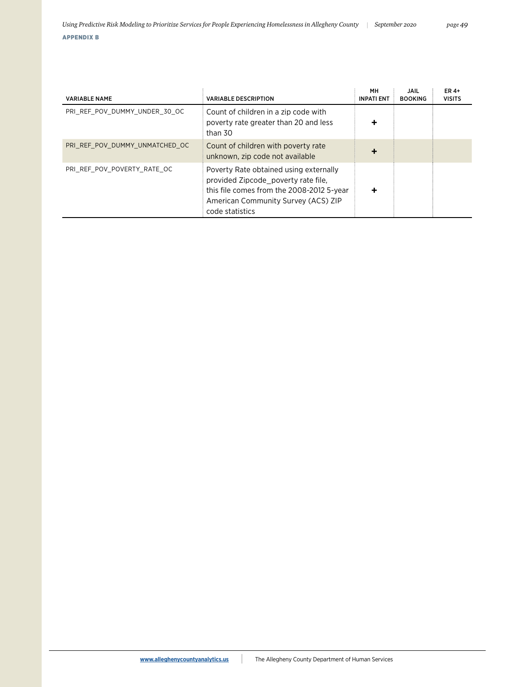|  | ÷. | - 1 | - |  |
|--|----|-----|---|--|
|  |    |     |   |  |

| <b>VARIABLE NAME</b>           | <b>VARIABLE DESCRIPTION</b>                                                                                                                                                          | MН<br><b>INPATI ENT</b> | JAIL<br><b>BOOKING</b> | ER 4+<br><b>VISITS</b> |
|--------------------------------|--------------------------------------------------------------------------------------------------------------------------------------------------------------------------------------|-------------------------|------------------------|------------------------|
| PRI REF POV DUMMY UNDER 30 OC  | Count of children in a zip code with<br>poverty rate greater than 20 and less<br>than 30                                                                                             | ┿                       |                        |                        |
| PRI REF POV DUMMY UNMATCHED OC | Count of children with poverty rate<br>unknown, zip code not available                                                                                                               | ┿                       |                        |                        |
| PRI REF POV POVERTY RATE OC    | Poverty Rate obtained using externally<br>provided Zipcode poverty rate file,<br>this file comes from the 2008-2012 5-year<br>American Community Survey (ACS) ZIP<br>code statistics |                         |                        |                        |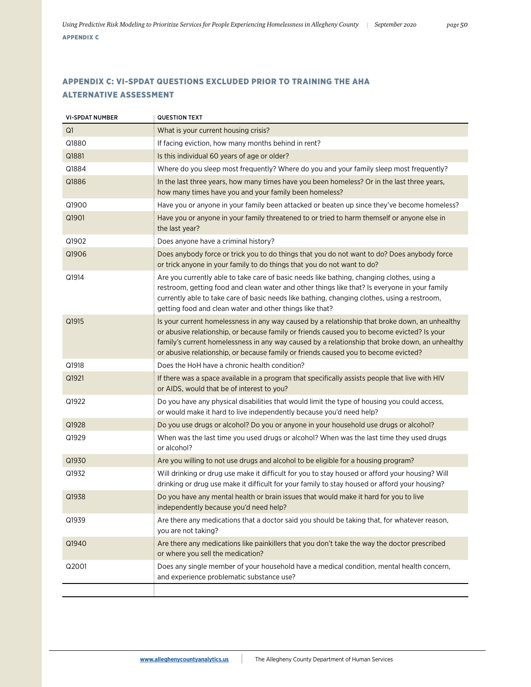# APPENDIX C: VI-SPDAT QUESTIONS EXCLUDED PRIOR TO TRAINING THE AHA ALTERNATIVE ASSESSMENT

| <b>VI-SPDAT NUMBER</b> | QUESTION TEXT                                                                                                                                                                                                                                                                                                                                                                           |
|------------------------|-----------------------------------------------------------------------------------------------------------------------------------------------------------------------------------------------------------------------------------------------------------------------------------------------------------------------------------------------------------------------------------------|
| Q1                     | What is your current housing crisis?                                                                                                                                                                                                                                                                                                                                                    |
| Q1880                  | If facing eviction, how many months behind in rent?                                                                                                                                                                                                                                                                                                                                     |
| Q1881                  | Is this individual 60 years of age or older?                                                                                                                                                                                                                                                                                                                                            |
| Q1884                  | Where do you sleep most frequently? Where do you and your family sleep most frequently?                                                                                                                                                                                                                                                                                                 |
| Q1886                  | In the last three years, how many times have you been homeless? Or in the last three years,<br>how many times have you and your family been homeless?                                                                                                                                                                                                                                   |
| Q1900                  | Have you or anyone in your family been attacked or beaten up since they've become homeless?                                                                                                                                                                                                                                                                                             |
| Q1901                  | Have you or anyone in your family threatened to or tried to harm themself or anyone else in<br>the last year?                                                                                                                                                                                                                                                                           |
| Q1902                  | Does anyone have a criminal history?                                                                                                                                                                                                                                                                                                                                                    |
| Q1906                  | Does anybody force or trick you to do things that you do not want to do? Does anybody force<br>or trick anyone in your family to do things that you do not want to do?                                                                                                                                                                                                                  |
| Q1914                  | Are you currently able to take care of basic needs like bathing, changing clothes, using a<br>restroom, getting food and clean water and other things like that? Is everyone in your family<br>currently able to take care of basic needs like bathing, changing clothes, using a restroom,<br>getting food and clean water and other things like that?                                 |
| Q1915                  | Is your current homelessness in any way caused by a relationship that broke down, an unhealthy<br>or abusive relationship, or because family or friends caused you to become evicted? Is your<br>family's current homelessness in any way caused by a relationship that broke down, an unhealthy<br>or abusive relationship, or because family or friends caused you to become evicted? |
| Q1918                  | Does the HoH have a chronic health condition?                                                                                                                                                                                                                                                                                                                                           |
| Q1921                  | If there was a space available in a program that specifically assists people that live with HIV<br>or AIDS, would that be of interest to you?                                                                                                                                                                                                                                           |
| Q1922                  | Do you have any physical disabilities that would limit the type of housing you could access,<br>or would make it hard to live independently because you'd need help?                                                                                                                                                                                                                    |
| Q1928                  | Do you use drugs or alcohol? Do you or anyone in your household use drugs or alcohol?                                                                                                                                                                                                                                                                                                   |
| Q1929                  | When was the last time you used drugs or alcohol? When was the last time they used drugs<br>or alcohol?                                                                                                                                                                                                                                                                                 |
| Q1930                  | Are you willing to not use drugs and alcohol to be eligible for a housing program?                                                                                                                                                                                                                                                                                                      |
| Q1932                  | Will drinking or drug use make it difficult for you to stay housed or afford your housing? Will<br>drinking or drug use make it difficult for your family to stay housed or afford your housing?                                                                                                                                                                                        |
| Q1938                  | Do you have any mental health or brain issues that would make it hard for you to live<br>independently because you'd need help?                                                                                                                                                                                                                                                         |
| Q1939                  | Are there any medications that a doctor said you should be taking that, for whatever reason,<br>you are not taking?                                                                                                                                                                                                                                                                     |
| Q1940                  | Are there any medications like painkillers that you don't take the way the doctor prescribed<br>or where you sell the medication?                                                                                                                                                                                                                                                       |
| Q2001                  | Does any single member of your household have a medical condition, mental health concern,<br>and experience problematic substance use?                                                                                                                                                                                                                                                  |
|                        |                                                                                                                                                                                                                                                                                                                                                                                         |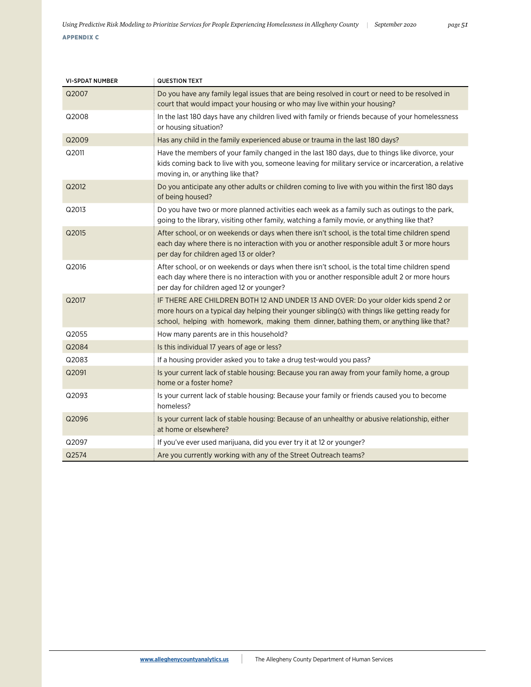# VI-SPDAT NUMBER **QUESTION TEXT** Q2007 Do you have any family legal issues that are being resolved in court or need to be resolved in court that would impact your housing or who may live within your housing? Q2008 In the last 180 days have any children lived with family or friends because of your homelessness or housing situation? Q2009 Has any child in the family experienced abuse or trauma in the last 180 days? Q2011 Have the members of your family changed in the last 180 days, due to things like divorce, your kids coming back to live with you, someone leaving for military service or incarceration, a relative moving in, or anything like that? Q2012 Do you anticipate any other adults or children coming to live with you within the first 180 days of being housed? Q2013 Do you have two or more planned activities each week as a family such as outings to the park, going to the library, visiting other family, watching a family movie, or anything like that? Q2015 After school, or on weekends or days when there isn't school, is the total time children spend each day where there is no interaction with you or another responsible adult 3 or more hours per day for children aged 13 or older? Q2016 After school, or on weekends or days when there isn't school, is the total time children spend each day where there is no interaction with you or another responsible adult 2 or more hours per day for children aged 12 or younger? Q2017 IF THERE ARE CHILDREN BOTH 12 AND UNDER 13 AND OVER: Do your older kids spend 2 or more hours on a typical day helping their younger sibling(s) with things like getting ready for school, helping with homework, making them dinner, bathing them, or anything like that? Q2055 How many parents are in this household? Q2084 **IS this individual 17 years of age or less?** Q2083 **If a housing provider asked you to take a drug test-would you pass?** Q2091 Is your current lack of stable housing: Because you ran away from your family home, a group home or a foster home? Q2093 Is your current lack of stable housing: Because your family or friends caused you to become homeless? Q2096 Is your current lack of stable housing: Because of an unhealthy or abusive relationship, either at home or elsewhere? Q2097 If you've ever used marijuana, did you ever try it at 12 or younger? Q2574 Are you currently working with any of the Street Outreach teams?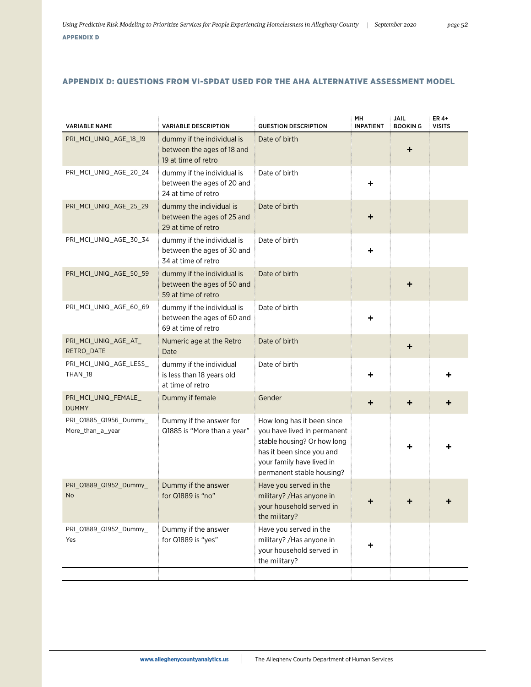# APPENDIX D: QUESTIONS FROM VI-SPDAT USED FOR THE AHA ALTERNATIVE ASSESSMENT MODEL

| <b>VARIABLE NAME</b>                       | <b>VARIABLE DESCRIPTION</b>                                                     | <b>QUESTION DESCRIPTION</b>                                                                                                                                                     | MH<br><b>INPATIENT</b> | <b>JAIL</b><br><b>BOOKING</b> | ER 4+<br><b>VISITS</b> |
|--------------------------------------------|---------------------------------------------------------------------------------|---------------------------------------------------------------------------------------------------------------------------------------------------------------------------------|------------------------|-------------------------------|------------------------|
| PRI MCI UNIQ AGE 18 19                     | dummy if the individual is<br>between the ages of 18 and<br>19 at time of retro | Date of birth                                                                                                                                                                   |                        | ٠                             |                        |
| PRI_MCI_UNIQ_AGE_20_24                     | dummy if the individual is<br>between the ages of 20 and<br>24 at time of retro | Date of birth                                                                                                                                                                   | ٠                      |                               |                        |
| PRI MCI UNIQ AGE 25 29                     | dummy the individual is<br>between the ages of 25 and<br>29 at time of retro    | Date of birth                                                                                                                                                                   | $\ddot{}$              |                               |                        |
| PRI_MCI_UNIQ_AGE_30_34                     | dummy if the individual is<br>between the ages of 30 and<br>34 at time of retro | Date of birth                                                                                                                                                                   | ٠                      |                               |                        |
| PRI_MCI_UNIQ_AGE_50_59                     | dummy if the individual is<br>between the ages of 50 and<br>59 at time of retro | Date of birth                                                                                                                                                                   |                        | ┿                             |                        |
| PRI_MCI_UNIQ_AGE_60_69                     | dummy if the individual is<br>between the ages of 60 and<br>69 at time of retro | Date of birth                                                                                                                                                                   | ٠                      |                               |                        |
| PRI_MCI_UNIQ_AGE_AT_<br>RETRO_DATE         | Numeric age at the Retro<br>Date                                                | Date of birth                                                                                                                                                                   |                        | ٠                             |                        |
| PRI MCI UNIQ AGE LESS<br>THAN_18           | dummy if the individual<br>is less than 18 years old<br>at time of retro        | Date of birth                                                                                                                                                                   | ٠                      |                               |                        |
| PRI_MCI_UNIQ_FEMALE_<br><b>DUMMY</b>       | Dummy if female                                                                 | Gender                                                                                                                                                                          | ٠                      | ٠                             |                        |
| PRI_Q1885_Q1956_Dummy_<br>More_than_a_year | Dummy if the answer for<br>Q1885 is "More than a year"                          | How long has it been since<br>you have lived in permanent<br>stable housing? Or how long<br>has it been since you and<br>your family have lived in<br>permanent stable housing? |                        |                               |                        |
| PRI_Q1889_Q1952_Dummy_<br>No               | Dummy if the answer<br>for Q1889 is "no"                                        | Have you served in the<br>military? / Has anyone in<br>your household served in<br>the military?                                                                                |                        |                               |                        |
| PRI_Q1889_Q1952_Dummy_<br>Yes              | Dummy if the answer<br>for Q1889 is "yes"                                       | Have you served in the<br>military? / Has anyone in<br>your household served in<br>the military?                                                                                | +                      |                               |                        |
|                                            |                                                                                 |                                                                                                                                                                                 |                        |                               |                        |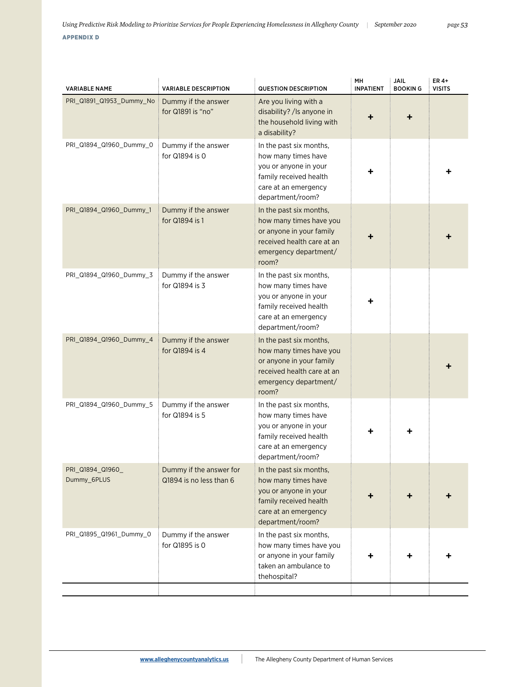| <b>VARIABLE NAME</b>            | <b>VARIABLE DESCRIPTION</b>                        | <b>QUESTION DESCRIPTION</b>                                                                                                                    | MH<br><b>INPATIENT</b> | <b>JAIL</b><br><b>BOOKING</b> | ER 4+<br><b>VISITS</b> |
|---------------------------------|----------------------------------------------------|------------------------------------------------------------------------------------------------------------------------------------------------|------------------------|-------------------------------|------------------------|
| PRI Q1891 Q1953 Dummy No        | Dummy if the answer<br>for Q1891 is "no"           | Are you living with a<br>disability? / Is anyone in<br>the household living with<br>a disability?                                              | ╈                      |                               |                        |
| PRI_Q1894_Q1960_Dummy_0         | Dummy if the answer<br>for Q1894 is 0              | In the past six months,<br>how many times have<br>you or anyone in your<br>family received health<br>care at an emergency<br>department/room?  | ٠                      |                               |                        |
| PRI_Q1894_Q1960_Dummy_1         | Dummy if the answer<br>for Q1894 is 1              | In the past six months,<br>how many times have you<br>or anyone in your family<br>received health care at an<br>emergency department/<br>room? |                        |                               |                        |
| PRI_Q1894_Q1960_Dummy_3         | Dummy if the answer<br>for Q1894 is 3              | In the past six months,<br>how many times have<br>you or anyone in your<br>family received health<br>care at an emergency<br>department/room?  | +                      |                               |                        |
| PRI_Q1894_Q1960_Dummy_4         | Dummy if the answer<br>for Q1894 is 4              | In the past six months,<br>how many times have you<br>or anyone in your family<br>received health care at an<br>emergency department/<br>room? |                        |                               |                        |
| PRI_Q1894_Q1960_Dummy_5         | Dummy if the answer<br>for Q1894 is 5              | In the past six months,<br>how many times have<br>you or anyone in your<br>family received health<br>care at an emergency<br>department/room?  |                        |                               |                        |
| PRI_Q1894_Q1960_<br>Dummy 6PLUS | Dummy if the answer for<br>Q1894 is no less than 6 | In the past six months,<br>how many times have<br>you or anyone in your<br>family received health<br>care at an emergency<br>department/room?  |                        | ٠                             |                        |
| PRI_Q1895_Q1961_Dummy_0         | Dummy if the answer<br>for Q1895 is 0              | In the past six months,<br>how many times have you<br>or anyone in your family<br>taken an ambulance to<br>thehospital?                        |                        |                               |                        |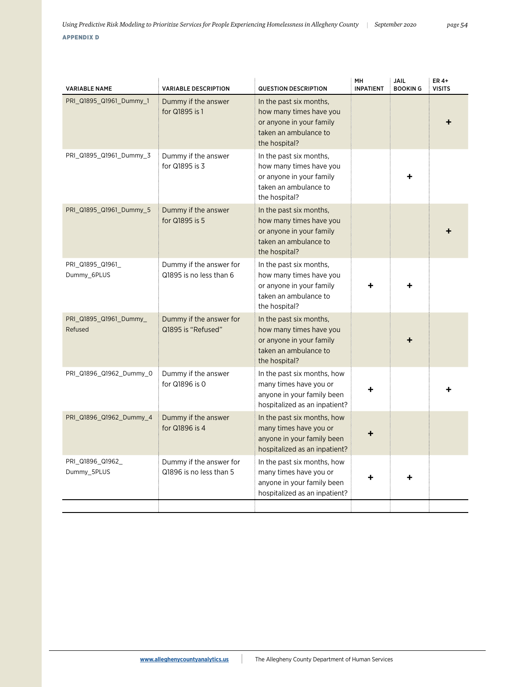VARIABLE NAME VARIABLE DESCRIPTION QUESTION DESCRIPTION MH INPATIENT JAIL BOOKIN G ER 4+ VISITS PRI\_Q1895\_Q1961\_Dummy\_1 Dummy if the answer for Q1895 is 1 In the past six months, how many times have you or anyone in your family taken an ambulance to the hospital?  $\ddotmark$ PRI\_Q1895\_Q1961\_Dummy\_3 Dummy if the answer for Q1895 is 3 In the past six months, how many times have you or anyone in your family taken an ambulance to the hospital? + PRI\_Q1895\_Q1961\_Dummy\_5 Dummy if the answer for Q1895 is 5 In the past six months, how many times have you or anyone in your family taken an ambulance to the hospital? + PRI\_Q1895\_Q1961\_ Dummy\_6PLUS Dummy if the answer for Q1895 is no less than 6 In the past six months, how many times have you or anyone in your family taken an ambulance to the hospital? + + PRI\_Q1895\_Q1961\_Dummy\_ Refused Dummy if the answer for Q1895 is "Refused" In the past six months, how many times have you or anyone in your family taken an ambulance to the hospital? + PRI\_Q1896\_Q1962\_Dummy\_0 Dummy if the answer for Q1896 is 0 In the past six months, how many times have you or anyone in your family been hospitalized as an inpatient? + + PRI\_Q1896\_Q1962\_Dummy\_4 Dummy if the answer for Q1896 is 4 In the past six months, how many times have you or anyone in your family been hospitalized as an inpatient? + PRI\_Q1896\_Q1962\_ Dummy\_5PLUS Dummy if the answer for Q1896 is no less than 5 In the past six months, how many times have you or anyone in your family been + +

hospitalized as an inpatient?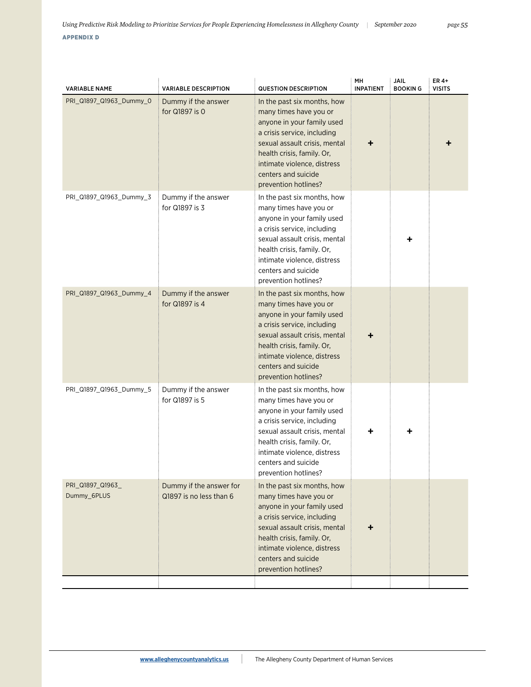| PRI Q1897 Q1963 Dummy 0         | Dummy if the answer                                |                                                                                                                                                                                                                                                                 |   |   | <b>VISITS</b> |
|---------------------------------|----------------------------------------------------|-----------------------------------------------------------------------------------------------------------------------------------------------------------------------------------------------------------------------------------------------------------------|---|---|---------------|
|                                 | for Q1897 is 0                                     | In the past six months, how<br>many times have you or<br>anyone in your family used<br>a crisis service, including<br>sexual assault crisis, mental<br>health crisis, family. Or,<br>intimate violence, distress<br>centers and suicide<br>prevention hotlines? | + |   |               |
| PRI Q1897 Q1963 Dummy 3         | Dummy if the answer<br>for Q1897 is 3              | In the past six months, how<br>many times have you or<br>anyone in your family used<br>a crisis service, including<br>sexual assault crisis, mental<br>health crisis, family. Or,<br>intimate violence, distress<br>centers and suicide<br>prevention hotlines? |   | ٠ |               |
| PRI_Q1897_Q1963_Dummy_4         | Dummy if the answer<br>for Q1897 is 4              | In the past six months, how<br>many times have you or<br>anyone in your family used<br>a crisis service, including<br>sexual assault crisis, mental<br>health crisis, family. Or,<br>intimate violence, distress<br>centers and suicide<br>prevention hotlines? | ٠ |   |               |
| PRI_Q1897_Q1963_Dummy_5         | Dummy if the answer<br>for Q1897 is 5              | In the past six months, how<br>many times have you or<br>anyone in your family used<br>a crisis service, including<br>sexual assault crisis, mental<br>health crisis, family. Or,<br>intimate violence, distress<br>centers and suicide<br>prevention hotlines? |   |   |               |
| PRI_Q1897_Q1963_<br>Dummy 6PLUS | Dummy if the answer for<br>Q1897 is no less than 6 | In the past six months, how<br>many times have you or<br>anyone in your family used<br>a crisis service, including<br>sexual assault crisis, mental<br>health crisis, family. Or,<br>intimate violence, distress<br>centers and suicide<br>prevention hotlines? | ÷ |   |               |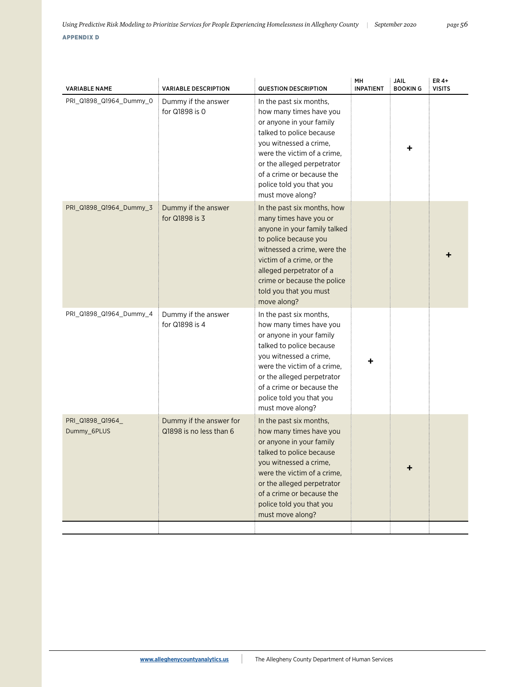| PRI_Q1898_Q1964_Dummy_0         | Dummy if the answer<br>for Q1898 is 0              | In the past six months,                                                                                                                                                                                                                                                        |  |  |
|---------------------------------|----------------------------------------------------|--------------------------------------------------------------------------------------------------------------------------------------------------------------------------------------------------------------------------------------------------------------------------------|--|--|
|                                 |                                                    | how many times have you<br>or anyone in your family<br>talked to police because<br>you witnessed a crime,<br>were the victim of a crime,<br>or the alleged perpetrator<br>of a crime or because the<br>police told you that you<br>must move along?                            |  |  |
| PRI_Q1898_Q1964_Dummy_3         | Dummy if the answer<br>for Q1898 is 3              | In the past six months, how<br>many times have you or<br>anyone in your family talked<br>to police because you<br>witnessed a crime, were the<br>victim of a crime, or the<br>alleged perpetrator of a<br>crime or because the police<br>told you that you must<br>move along? |  |  |
| PRI_Q1898_Q1964_Dummy_4         | Dummy if the answer<br>for Q1898 is 4              | In the past six months,<br>how many times have you<br>or anyone in your family<br>talked to police because<br>you witnessed a crime,<br>were the victim of a crime,<br>or the alleged perpetrator<br>of a crime or because the<br>police told you that you<br>must move along? |  |  |
| PRI_Q1898_Q1964_<br>Dummy_6PLUS | Dummy if the answer for<br>Q1898 is no less than 6 | In the past six months,<br>how many times have you<br>or anyone in your family<br>talked to police because<br>vou witnessed a crime.<br>were the victim of a crime,<br>or the alleged perpetrator<br>of a crime or because the<br>police told you that you<br>must move along? |  |  |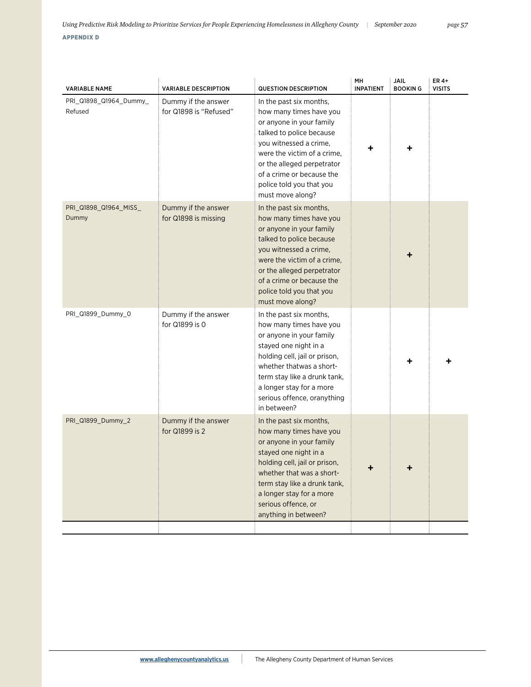| <b>VARIABLE NAME</b>              | <b>VARIABLE DESCRIPTION</b>                   | <b>QUESTION DESCRIPTION</b>                                                                                                                                                                                                                                                      | MH<br><b>INPATIENT</b> | JAIL<br><b>BOOKING</b> | ER 4+<br><b>VISITS</b> |
|-----------------------------------|-----------------------------------------------|----------------------------------------------------------------------------------------------------------------------------------------------------------------------------------------------------------------------------------------------------------------------------------|------------------------|------------------------|------------------------|
| PRI_Q1898_Q1964_Dummy_<br>Refused | Dummy if the answer<br>for Q1898 is "Refused" | In the past six months,<br>how many times have you<br>or anyone in your family<br>talked to police because<br>you witnessed a crime,<br>were the victim of a crime,<br>or the alleged perpetrator<br>of a crime or because the<br>police told you that you<br>must move along?   |                        |                        |                        |
| PRI_Q1898_Q1964_MISS_<br>Dummy    | Dummy if the answer<br>for Q1898 is missing   | In the past six months,<br>how many times have you<br>or anyone in your family<br>talked to police because<br>you witnessed a crime,<br>were the victim of a crime,<br>or the alleged perpetrator<br>of a crime or because the<br>police told you that you<br>must move along?   |                        | +                      |                        |
| PRI_Q1899_Dummy_0                 | Dummy if the answer<br>for Q1899 is 0         | In the past six months,<br>how many times have you<br>or anyone in your family<br>stayed one night in a<br>holding cell, jail or prison,<br>whether thatwas a short-<br>term stay like a drunk tank,<br>a longer stay for a more<br>serious offence, oranything<br>in between?   |                        | ٠                      |                        |
| PRI_Q1899_Dummy_2                 | Dummy if the answer<br>for Q1899 is 2         | In the past six months,<br>how many times have you<br>or anyone in your family<br>stayed one night in a<br>holding cell, jail or prison,<br>whether that was a short-<br>term stay like a drunk tank,<br>a longer stay for a more<br>serious offence, or<br>anything in between? | ٠                      | +                      |                        |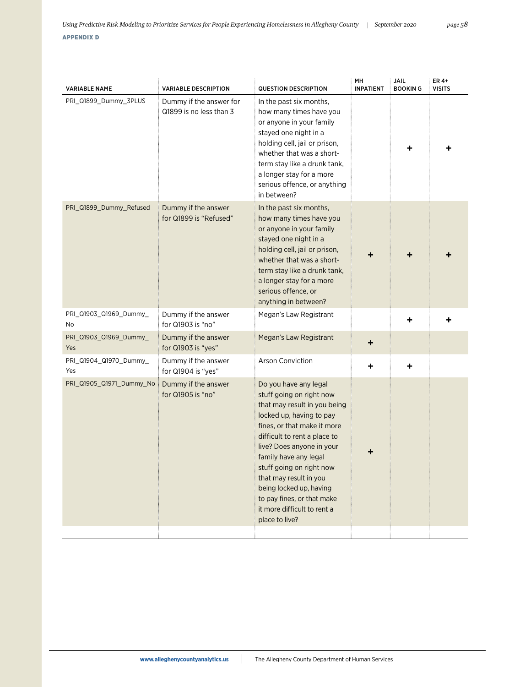| <b>VARIABLE NAME</b>          | <b>VARIABLE DESCRIPTION</b>                        | <b>QUESTION DESCRIPTION</b>                                                                                                                                                                                                                                                                                                                                                                        | MH<br><b>INPATIENT</b> | <b>JAIL</b><br><b>BOOKING</b> | ER 4+<br><b>VISITS</b> |
|-------------------------------|----------------------------------------------------|----------------------------------------------------------------------------------------------------------------------------------------------------------------------------------------------------------------------------------------------------------------------------------------------------------------------------------------------------------------------------------------------------|------------------------|-------------------------------|------------------------|
| PRI_Q1899_Dummy_3PLUS         | Dummy if the answer for<br>Q1899 is no less than 3 | In the past six months,<br>how many times have you<br>or anyone in your family<br>stayed one night in a<br>holding cell, jail or prison,<br>whether that was a short-<br>term stay like a drunk tank,<br>a longer stay for a more<br>serious offence, or anything<br>in between?                                                                                                                   |                        |                               |                        |
| PRI_Q1899_Dummy_Refused       | Dummy if the answer<br>for Q1899 is "Refused"      | In the past six months,<br>how many times have you<br>or anyone in your family<br>stayed one night in a<br>holding cell, jail or prison,<br>whether that was a short-<br>term stay like a drunk tank,<br>a longer stay for a more<br>serious offence, or<br>anything in between?                                                                                                                   | ٠                      | ┿                             |                        |
| PRI_Q1903_Q1969_Dummy_<br>No  | Dummy if the answer<br>for Q1903 is "no"           | Megan's Law Registrant                                                                                                                                                                                                                                                                                                                                                                             |                        | ÷                             |                        |
| PRI_Q1903_Q1969_Dummy_<br>Yes | Dummy if the answer<br>for Q1903 is "yes"          | Megan's Law Registrant                                                                                                                                                                                                                                                                                                                                                                             | +                      |                               |                        |
| PRI_Q1904_Q1970_Dummy_<br>Yes | Dummy if the answer<br>for Q1904 is "yes"          | Arson Conviction                                                                                                                                                                                                                                                                                                                                                                                   | +                      | ٠                             |                        |
| PRI_Q1905_Q1971_Dummy_No      | Dummy if the answer<br>for Q1905 is "no"           | Do you have any legal<br>stuff going on right now<br>that may result in you being<br>locked up, having to pay<br>fines, or that make it more<br>difficult to rent a place to<br>live? Does anyone in your<br>family have any legal<br>stuff going on right now<br>that may result in you<br>being locked up, having<br>to pay fines, or that make<br>it more difficult to rent a<br>place to live? |                        |                               |                        |
|                               |                                                    |                                                                                                                                                                                                                                                                                                                                                                                                    |                        |                               |                        |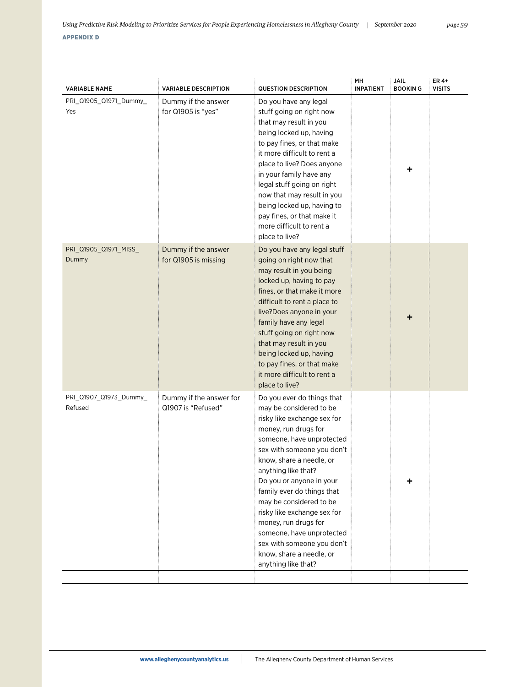| <b>VARIABLE NAME</b>              | <b>VARIABLE DESCRIPTION</b>                   | <b>QUESTION DESCRIPTION</b>                                                                                                                                                                                                                                                                                                                                                                                                                                                          | MH<br><b>INPATIENT</b> | JAIL<br><b>BOOKING</b> | ER 4+<br><b>VISITS</b> |
|-----------------------------------|-----------------------------------------------|--------------------------------------------------------------------------------------------------------------------------------------------------------------------------------------------------------------------------------------------------------------------------------------------------------------------------------------------------------------------------------------------------------------------------------------------------------------------------------------|------------------------|------------------------|------------------------|
| PRI_Q1905_Q1971_Dummy_<br>Yes     | Dummy if the answer<br>for Q1905 is "yes"     | Do you have any legal<br>stuff going on right now<br>that may result in you<br>being locked up, having<br>to pay fines, or that make<br>it more difficult to rent a<br>place to live? Does anyone<br>in your family have any<br>legal stuff going on right<br>now that may result in you<br>being locked up, having to<br>pay fines, or that make it<br>more difficult to rent a<br>place to live?                                                                                   |                        |                        |                        |
| PRI Q1905 Q1971 MISS<br>Dummy     | Dummy if the answer<br>for Q1905 is missing   | Do you have any legal stuff<br>going on right now that<br>may result in you being<br>locked up, having to pay<br>fines, or that make it more<br>difficult to rent a place to<br>live?Does anyone in your<br>family have any legal<br>stuff going on right now<br>that may result in you<br>being locked up, having<br>to pay fines, or that make<br>it more difficult to rent a<br>place to live?                                                                                    |                        | ٠                      |                        |
| PRI_Q1907_Q1973_Dummy_<br>Refused | Dummy if the answer for<br>Q1907 is "Refused" | Do you ever do things that<br>may be considered to be<br>risky like exchange sex for<br>money, run drugs for<br>someone, have unprotected<br>sex with someone you don't<br>know, share a needle, or<br>anything like that?<br>Do you or anyone in your<br>family ever do things that<br>may be considered to be<br>risky like exchange sex for<br>money, run drugs for<br>someone, have unprotected<br>sex with someone you don't<br>know, share a needle, or<br>anything like that? |                        |                        |                        |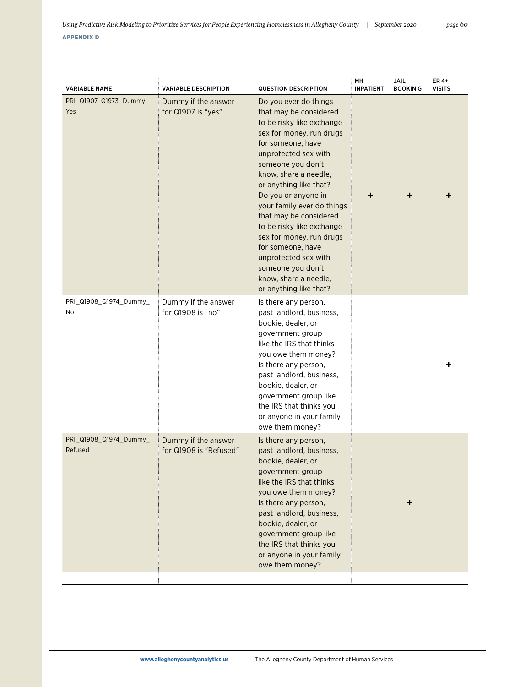| <b>VARIABLE NAME</b>              | <b>VARIABLE DESCRIPTION</b>                   | <b>QUESTION DESCRIPTION</b>                                                                                                                                                                                                                                                                                                                                                                                                                                                                | MН<br><b>INPATIENT</b> | JAIL<br><b>BOOKING</b> | ER 4+<br><b>VISITS</b> |
|-----------------------------------|-----------------------------------------------|--------------------------------------------------------------------------------------------------------------------------------------------------------------------------------------------------------------------------------------------------------------------------------------------------------------------------------------------------------------------------------------------------------------------------------------------------------------------------------------------|------------------------|------------------------|------------------------|
| PRI_Q1907_Q1973_Dummy_<br>Yes     | Dummy if the answer<br>for Q1907 is "yes"     | Do you ever do things<br>that may be considered<br>to be risky like exchange<br>sex for money, run drugs<br>for someone, have<br>unprotected sex with<br>someone you don't<br>know, share a needle,<br>or anything like that?<br>Do you or anyone in<br>your family ever do things<br>that may be considered<br>to be risky like exchange<br>sex for money, run drugs<br>for someone, have<br>unprotected sex with<br>someone you don't<br>know, share a needle,<br>or anything like that? | ٠                      |                        |                        |
| PRI_Q1908_Q1974_Dummy_<br>No      | Dummy if the answer<br>for Q1908 is "no"      | Is there any person,<br>past landlord, business,<br>bookie, dealer, or<br>government group<br>like the IRS that thinks<br>you owe them money?<br>Is there any person,<br>past landlord, business,<br>bookie, dealer, or<br>government group like<br>the IRS that thinks you<br>or anyone in your family<br>owe them money?                                                                                                                                                                 |                        |                        |                        |
| PRI_Q1908_Q1974_Dummy_<br>Refused | Dummy if the answer<br>for Q1908 is "Refused" | Is there any person,<br>past landlord, business,<br>bookie, dealer, or<br>government group<br>like the IRS that thinks<br>you owe them money?<br>Is there any person,<br>past landlord, business,<br>bookie, dealer, or<br>government group like<br>the IRS that thinks you<br>or anyone in your family<br>owe them money?                                                                                                                                                                 |                        |                        |                        |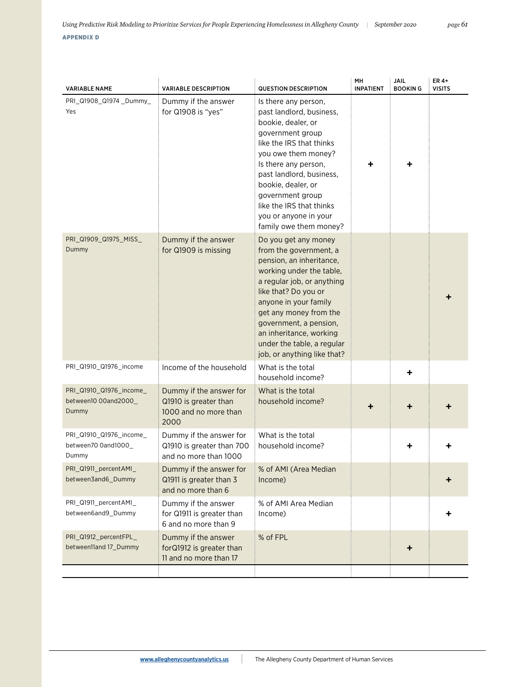| <b>VARIABLE NAME</b>                                     | <b>VARIABLE DESCRIPTION</b>                                                       | <b>QUESTION DESCRIPTION</b>                                                                                                                                                                                                                                                                                                       | MН<br><b>INPATIENT</b> | JAIL<br><b>BOOKING</b> | ER 4+<br><b>VISITS</b> |
|----------------------------------------------------------|-----------------------------------------------------------------------------------|-----------------------------------------------------------------------------------------------------------------------------------------------------------------------------------------------------------------------------------------------------------------------------------------------------------------------------------|------------------------|------------------------|------------------------|
| PRI_Q1908_Q1974_Dummy_<br>Yes                            | Dummy if the answer<br>for Q1908 is "yes"                                         | Is there any person,<br>past landlord, business,<br>bookie, dealer, or<br>government group<br>like the IRS that thinks<br>you owe them money?<br>Is there any person,<br>past landlord, business,<br>bookie, dealer, or<br>government group<br>like the IRS that thinks<br>you or anyone in your<br>family owe them money?        |                        |                        |                        |
| PRI_Q1909_Q1975_MISS_<br>Dummy                           | Dummy if the answer<br>for Q1909 is missing                                       | Do you get any money<br>from the government, a<br>pension, an inheritance,<br>working under the table,<br>a regular job, or anything<br>like that? Do you or<br>anyone in your family<br>get any money from the<br>government, a pension,<br>an inheritance, working<br>under the table, a regular<br>job, or anything like that? |                        |                        |                        |
| PRI_Q1910_Q1976_income                                   | Income of the household                                                           | What is the total<br>household income?                                                                                                                                                                                                                                                                                            |                        |                        |                        |
| PRI_Q1910_Q1976_income_<br>between10 00and2000_<br>Dummy | Dummy if the answer for<br>Q1910 is greater than<br>1000 and no more than<br>2000 | What is the total<br>household income?                                                                                                                                                                                                                                                                                            |                        |                        |                        |
| PRI_Q1910_Q1976_income_<br>between70 0and1000_<br>Dummy  | Dummy if the answer for<br>Q1910 is greater than 700<br>and no more than 1000     | What is the total<br>household income?                                                                                                                                                                                                                                                                                            |                        |                        |                        |
| PRI_Q1911_percentAMI_<br>between3and6_Dummy              | Dummy if the answer for<br>Q1911 is greater than 3<br>and no more than 6          | % of AMI (Area Median<br>Income)                                                                                                                                                                                                                                                                                                  |                        |                        |                        |
| PRI_Q1911_percentAMI_<br>between6and9_Dummy              | Dummy if the answer<br>for Q1911 is greater than<br>6 and no more than 9          | % of AMI Area Median<br>Income)                                                                                                                                                                                                                                                                                                   |                        |                        |                        |
| PRI_Q1912_percentFPL_<br>between11and 17 Dummy           | Dummy if the answer<br>forQ1912 is greater than<br>11 and no more than 17         | % of FPL                                                                                                                                                                                                                                                                                                                          |                        | ٠                      |                        |
|                                                          |                                                                                   |                                                                                                                                                                                                                                                                                                                                   |                        |                        |                        |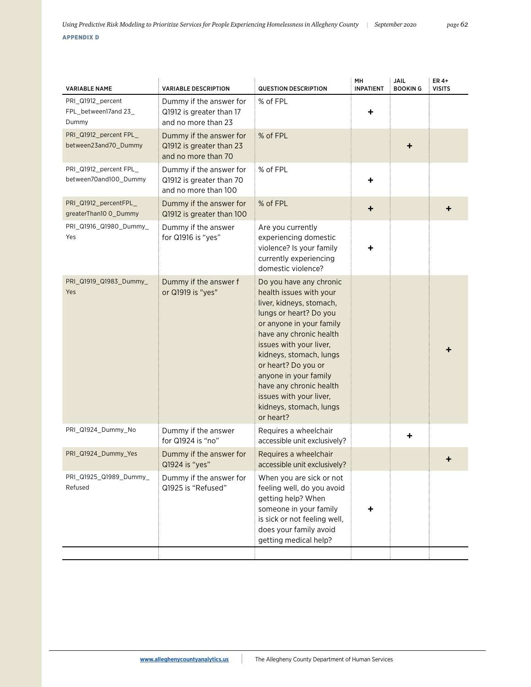| <b>VARIABLE DESCRIPTION</b>                                                 | <b>QUESTION DESCRIPTION</b>                                                                                                                                                                                                                                                                                                                                         | MН<br><b>INPATIENT</b> | JAIL<br><b>BOOKING</b> | ER 4+<br><b>VISITS</b> |
|-----------------------------------------------------------------------------|---------------------------------------------------------------------------------------------------------------------------------------------------------------------------------------------------------------------------------------------------------------------------------------------------------------------------------------------------------------------|------------------------|------------------------|------------------------|
| Dummy if the answer for<br>Q1912 is greater than 17<br>and no more than 23  | % of FPL                                                                                                                                                                                                                                                                                                                                                            | ٠                      |                        |                        |
| Dummy if the answer for<br>Q1912 is greater than 23<br>and no more than 70  | % of FPL                                                                                                                                                                                                                                                                                                                                                            |                        | ٠                      |                        |
| Dummy if the answer for<br>Q1912 is greater than 70<br>and no more than 100 | % of FPL                                                                                                                                                                                                                                                                                                                                                            | ÷                      |                        |                        |
| Dummy if the answer for<br>Q1912 is greater than 100                        | % of FPL                                                                                                                                                                                                                                                                                                                                                            | ٠                      |                        | +                      |
| Dummy if the answer<br>for Q1916 is "yes"                                   | Are you currently<br>experiencing domestic<br>violence? Is your family<br>currently experiencing<br>domestic violence?                                                                                                                                                                                                                                              |                        |                        |                        |
| Dummy if the answer f<br>or Q1919 is "yes"                                  | Do you have any chronic<br>health issues with your<br>liver, kidneys, stomach,<br>lungs or heart? Do you<br>or anyone in your family<br>have any chronic health<br>issues with your liver,<br>kidneys, stomach, lungs<br>or heart? Do you or<br>anyone in your family<br>have any chronic health<br>issues with your liver,<br>kidneys, stomach, lungs<br>or heart? |                        |                        |                        |
| Dummy if the answer<br>for Q1924 is "no"                                    | Requires a wheelchair<br>accessible unit exclusively?                                                                                                                                                                                                                                                                                                               |                        | ٠                      |                        |
| Dummy if the answer for<br>Q1924 is "yes"                                   | Requires a wheelchair<br>accessible unit exclusively?                                                                                                                                                                                                                                                                                                               |                        |                        |                        |
| Dummy if the answer for<br>Q1925 is "Refused"                               | When you are sick or not<br>feeling well, do you avoid<br>getting help? When<br>someone in your family<br>is sick or not feeling well,<br>does your family avoid<br>getting medical help?                                                                                                                                                                           |                        |                        |                        |
|                                                                             |                                                                                                                                                                                                                                                                                                                                                                     |                        |                        |                        |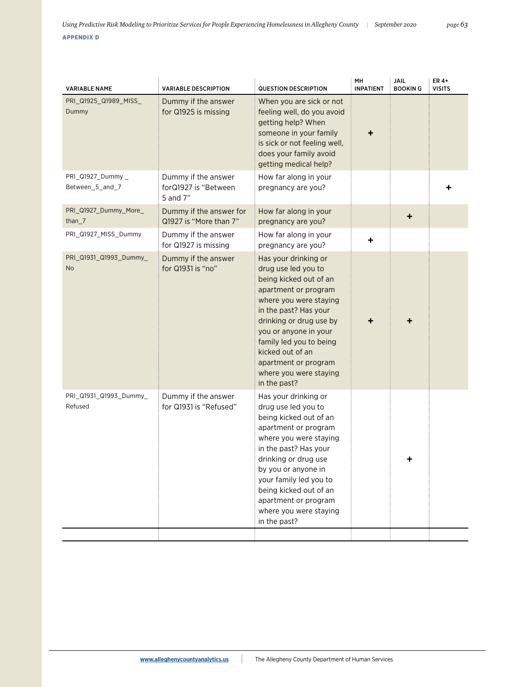|  | <b>YPPE)</b> | ENI | ∵ xاد |  |
|--|--------------|-----|-------|--|
|  |              |     |       |  |

| <b>VARIABLE NAME</b>                | <b>VARIABLE DESCRIPTION</b>                             | <b>QUESTION DESCRIPTION</b>                                                                                                                                                                                                                                                                                           | MH<br><b>INPATIENT</b> | JAIL<br><b>BOOKING</b> | ER 4+<br><b>VISITS</b> |
|-------------------------------------|---------------------------------------------------------|-----------------------------------------------------------------------------------------------------------------------------------------------------------------------------------------------------------------------------------------------------------------------------------------------------------------------|------------------------|------------------------|------------------------|
| PRI_Q1925_Q1989_MISS_<br>Dummy      | Dummy if the answer<br>for Q1925 is missing             | When you are sick or not<br>feeling well, do you avoid<br>getting help? When<br>someone in your family<br>is sick or not feeling well,<br>does your family avoid<br>getting medical help?                                                                                                                             | +                      |                        |                        |
| PRI_Q1927_Dummy_<br>Between 5 and 7 | Dummy if the answer<br>forQ1927 is "Between<br>5 and 7" | How far along in your<br>pregnancy are you?                                                                                                                                                                                                                                                                           |                        |                        |                        |
| PRI_Q1927_Dummy_More_<br>than $_7$  | Dummy if the answer for<br>Q1927 is "More than 7"       | How far along in your<br>pregnancy are you?                                                                                                                                                                                                                                                                           |                        | ٠                      |                        |
| PRI_Q1927_MISS_Dummy                | Dummy if the answer<br>for Q1927 is missing             | How far along in your<br>pregnancy are you?                                                                                                                                                                                                                                                                           | ٠                      |                        |                        |
| PRI_Q1931_Q1993_Dummy_<br><b>No</b> | Dummy if the answer<br>for Q1931 is "no"                | Has your drinking or<br>drug use led you to<br>being kicked out of an<br>apartment or program<br>where you were staying<br>in the past? Has your<br>drinking or drug use by<br>you or anyone in your<br>family led you to being<br>kicked out of an<br>apartment or program<br>where you were staying<br>in the past? |                        |                        |                        |
| PRI_Q1931_Q1993_Dummy_<br>Refused   | Dummy if the answer<br>for Q1931 is "Refused"           | Has your drinking or<br>drug use led you to<br>being kicked out of an<br>apartment or program<br>where you were staying<br>in the past? Has your<br>drinking or drug use<br>by you or anyone in<br>your family led you to<br>being kicked out of an<br>apartment or program<br>where you were staying<br>in the past? |                        | ٠                      |                        |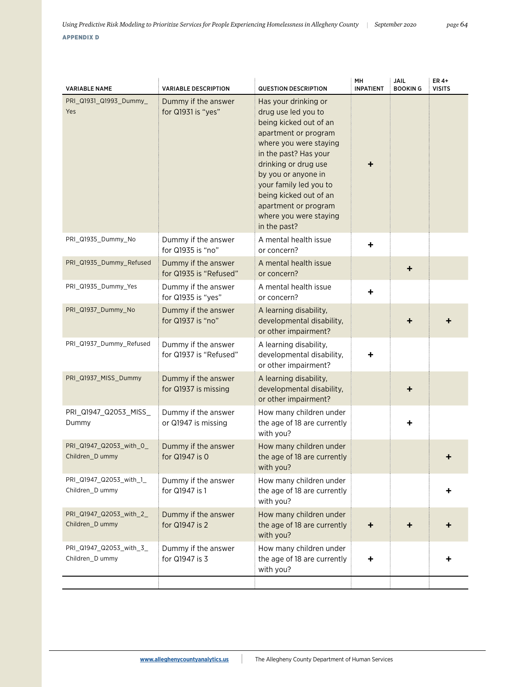| <b>VARIABLE NAME</b>                       | <b>VARIABLE DESCRIPTION</b>                   | <b>QUESTION DESCRIPTION</b>                                                                                                                                                                                                                                                                                           | MH<br><b>INPATIENT</b> | JAIL<br><b>BOOKING</b> | ER 4+<br><b>VISITS</b> |
|--------------------------------------------|-----------------------------------------------|-----------------------------------------------------------------------------------------------------------------------------------------------------------------------------------------------------------------------------------------------------------------------------------------------------------------------|------------------------|------------------------|------------------------|
| PRI_Q1931_Q1993_Dummy_<br>Yes              | Dummy if the answer<br>for Q1931 is "yes"     | Has your drinking or<br>drug use led you to<br>being kicked out of an<br>apartment or program<br>where you were staying<br>in the past? Has your<br>drinking or drug use<br>by you or anyone in<br>your family led you to<br>being kicked out of an<br>apartment or program<br>where you were staying<br>in the past? |                        |                        |                        |
| PRI_Q1935_Dummy_No                         | Dummy if the answer<br>for Q1935 is "no"      | A mental health issue<br>or concern?                                                                                                                                                                                                                                                                                  | $\ddot{}$              |                        |                        |
| PRI_Q1935_Dummy_Refused                    | Dummy if the answer<br>for Q1935 is "Refused" | A mental health issue<br>or concern?                                                                                                                                                                                                                                                                                  |                        | ٠                      |                        |
| PRI Q1935 Dummy Yes                        | Dummy if the answer<br>for Q1935 is "yes"     | A mental health issue<br>or concern?                                                                                                                                                                                                                                                                                  | ٠                      |                        |                        |
| PRI_Q1937_Dummy_No                         | Dummy if the answer<br>for Q1937 is "no"      | A learning disability,<br>developmental disability,<br>or other impairment?                                                                                                                                                                                                                                           |                        |                        |                        |
| PRI_Q1937_Dummy_Refused                    | Dummy if the answer<br>for Q1937 is "Refused" | A learning disability,<br>developmental disability,<br>or other impairment?                                                                                                                                                                                                                                           | +                      |                        |                        |
| PRI_Q1937_MISS_Dummy                       | Dummy if the answer<br>for Q1937 is missing   | A learning disability,<br>developmental disability,<br>or other impairment?                                                                                                                                                                                                                                           |                        |                        |                        |
| PRI_Q1947_Q2053_MISS_<br>Dummy             | Dummy if the answer<br>or Q1947 is missing    | How many children under<br>the age of 18 are currently<br>with you?                                                                                                                                                                                                                                                   |                        |                        |                        |
| PRI_Q1947_Q2053_with_0_<br>Children_D ummy | Dummy if the answer<br>for Q1947 is 0         | How many children under<br>the age of 18 are currently<br>with you?                                                                                                                                                                                                                                                   |                        |                        |                        |
| PRI Q1947 Q2053 with 1<br>Children_D ummy  | Dummy if the answer<br>for Q1947 is 1         | How many children under<br>the age of 18 are currently<br>with you?                                                                                                                                                                                                                                                   |                        |                        |                        |
| PRI_Q1947_Q2053_with_2_<br>Children D ummy | Dummy if the answer<br>for Q1947 is 2         | How many children under<br>the age of 18 are currently<br>with you?                                                                                                                                                                                                                                                   | ٠                      |                        |                        |
| PRI_Q1947_Q2053_with_3_<br>Children_D ummy | Dummy if the answer<br>for Q1947 is 3         | How many children under<br>the age of 18 are currently<br>with you?                                                                                                                                                                                                                                                   |                        |                        |                        |
|                                            |                                               |                                                                                                                                                                                                                                                                                                                       |                        |                        |                        |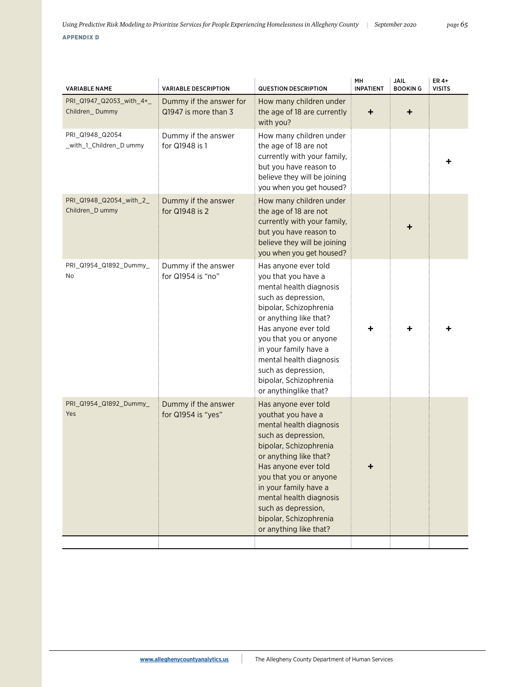| <b>VARIABLE NAME</b>                       | <b>VARIABLE DESCRIPTION</b>                     | <b>QUESTION DESCRIPTION</b>                                                                                                                                                                                                                                                                                                       | MН<br><b>INPATIENT</b> | JAIL<br><b>BOOKING</b> | ER 4+<br><b>VISITS</b> |
|--------------------------------------------|-------------------------------------------------|-----------------------------------------------------------------------------------------------------------------------------------------------------------------------------------------------------------------------------------------------------------------------------------------------------------------------------------|------------------------|------------------------|------------------------|
| PRI Q1947 Q2053 with 4+<br>Children_Dummy  | Dummy if the answer for<br>Q1947 is more than 3 | How many children under<br>the age of 18 are currently<br>with you?                                                                                                                                                                                                                                                               | ٠                      | ÷                      |                        |
| PRI Q1948 Q2054<br>_with_1_Children_D ummy | Dummy if the answer<br>for Q1948 is 1           | How many children under<br>the age of 18 are not<br>currently with your family,<br>but you have reason to<br>believe they will be joining<br>you when you get housed?                                                                                                                                                             |                        |                        |                        |
| PRI_Q1948_Q2054_with_2_<br>Children_D ummy | Dummy if the answer<br>for Q1948 is 2           | How many children under<br>the age of 18 are not<br>currently with your family,<br>but you have reason to<br>believe they will be joining<br>you when you get housed?                                                                                                                                                             |                        |                        |                        |
| PRI_Q1954_Q1892_Dummy_<br>No               | Dummy if the answer<br>for Q1954 is "no"        | Has anyone ever told<br>you that you have a<br>mental health diagnosis<br>such as depression,<br>bipolar, Schizophrenia<br>or anything like that?<br>Has anyone ever told<br>you that you or anyone<br>in your family have a<br>mental health diagnosis<br>such as depression,<br>bipolar, Schizophrenia<br>or anythinglike that? |                        |                        |                        |
| PRI_Q1954_Q1892_Dummy_<br>Yes              | Dummy if the answer<br>for Q1954 is "yes"       | Has anyone ever told<br>youthat you have a<br>mental health diagnosis<br>such as depression,<br>bipolar, Schizophrenia<br>or anything like that?<br>Has anyone ever told<br>you that you or anyone<br>in your family have a<br>mental health diagnosis<br>such as depression,<br>bipolar, Schizophrenia<br>or anything like that? |                        |                        |                        |
|                                            |                                                 |                                                                                                                                                                                                                                                                                                                                   |                        |                        |                        |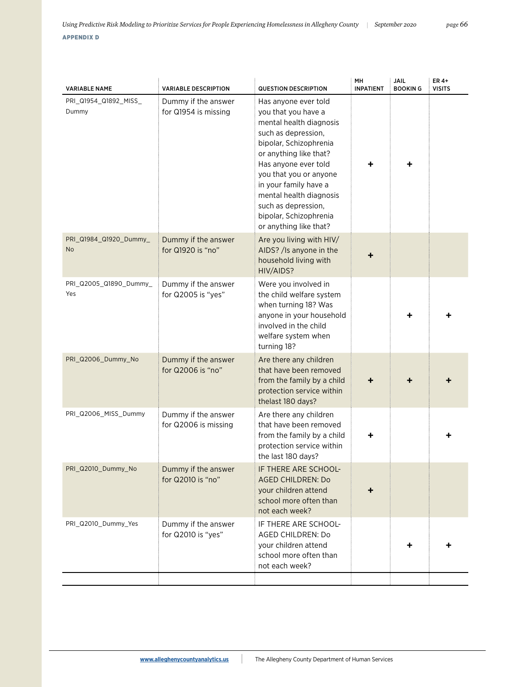| <b>VARIABLE NAME</b>           | <b>VARIABLE DESCRIPTION</b>                 | <b>QUESTION DESCRIPTION</b>                                                                                                                                                                                                                                                                                                        | MH<br><b>INPATIENT</b> | <b>JAIL</b><br><b>BOOKING</b> | ER 4+<br><b>VISITS</b> |
|--------------------------------|---------------------------------------------|------------------------------------------------------------------------------------------------------------------------------------------------------------------------------------------------------------------------------------------------------------------------------------------------------------------------------------|------------------------|-------------------------------|------------------------|
| PRI_Q1954_Q1892_MISS_<br>Dummy | Dummy if the answer<br>for Q1954 is missing | Has anyone ever told<br>you that you have a<br>mental health diagnosis<br>such as depression,<br>bipolar, Schizophrenia<br>or anything like that?<br>Has anyone ever told<br>you that you or anyone<br>in your family have a<br>mental health diagnosis<br>such as depression,<br>bipolar, Schizophrenia<br>or anything like that? |                        |                               |                        |
| PRI_Q1984_Q1920_Dummy_<br>No   | Dummy if the answer<br>for Q1920 is "no"    | Are you living with HIV/<br>AIDS? / Is anyone in the<br>household living with<br>HIV/AIDS?                                                                                                                                                                                                                                         |                        |                               |                        |
| PRI_Q2005_Q1890_Dummy_<br>Yes  | Dummy if the answer<br>for Q2005 is "yes"   | Were you involved in<br>the child welfare system<br>when turning 18? Was<br>anyone in your household<br>involved in the child<br>welfare system when<br>turning 18?                                                                                                                                                                |                        |                               |                        |
| PRI_Q2006_Dummy_No             | Dummy if the answer<br>for Q2006 is "no"    | Are there any children<br>that have been removed<br>from the family by a child<br>protection service within<br>thelast 180 days?                                                                                                                                                                                                   |                        |                               |                        |
| PRI_Q2006_MISS_Dummy           | Dummy if the answer<br>for Q2006 is missing | Are there any children<br>that have been removed<br>from the family by a child<br>protection service within<br>the last 180 days?                                                                                                                                                                                                  | ┿                      |                               |                        |
| PRI_Q2010_Dummy_No             | Dummy if the answer<br>for Q2010 is "no"    | IF THERE ARE SCHOOL-<br><b>AGED CHILDREN: Do</b><br>your children attend<br>school more often than<br>not each week?                                                                                                                                                                                                               | ┿                      |                               |                        |
| PRI_Q2010_Dummy_Yes            | Dummy if the answer<br>for Q2010 is "yes"   | IF THERE ARE SCHOOL-<br>AGED CHILDREN: Do<br>your children attend<br>school more often than<br>not each week?                                                                                                                                                                                                                      |                        | ٠                             |                        |
|                                |                                             |                                                                                                                                                                                                                                                                                                                                    |                        |                               |                        |